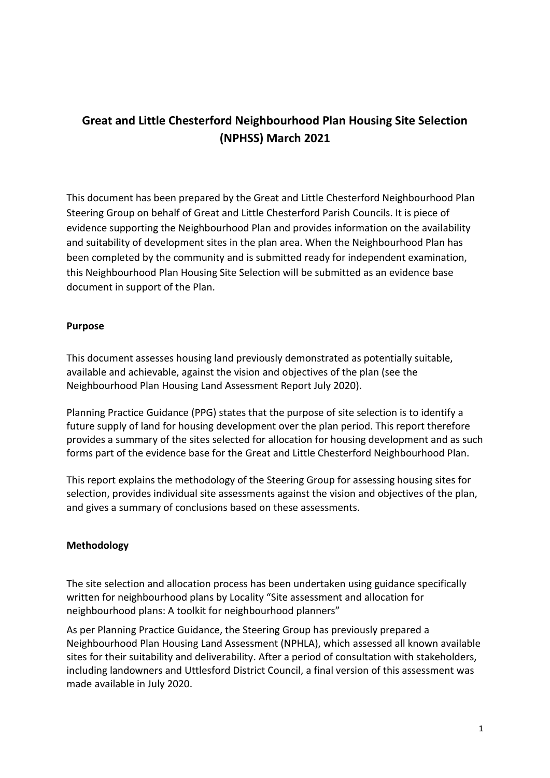# **Great and Little Chesterford Neighbourhood Plan Housing Site Selection (NPHSS) March 2021**

This document has been prepared by the Great and Little Chesterford Neighbourhood Plan Steering Group on behalf of Great and Little Chesterford Parish Councils. It is piece of evidence supporting the Neighbourhood Plan and provides information on the availability and suitability of development sites in the plan area. When the Neighbourhood Plan has been completed by the community and is submitted ready for independent examination, this Neighbourhood Plan Housing Site Selection will be submitted as an evidence base document in support of the Plan.

# **Purpose**

This document assesses housing land previously demonstrated as potentially suitable, available and achievable, against the vision and objectives of the plan (see the Neighbourhood Plan Housing Land Assessment Report July 2020).

Planning Practice Guidance (PPG) states that the purpose of site selection is to identify a future supply of land for housing development over the plan period. This report therefore provides a summary of the sites selected for allocation for housing development and as such forms part of the evidence base for the Great and Little Chesterford Neighbourhood Plan.

This report explains the methodology of the Steering Group for assessing housing sites for selection, provides individual site assessments against the vision and objectives of the plan, and gives a summary of conclusions based on these assessments.

# **Methodology**

The site selection and allocation process has been undertaken using guidance specifically written for neighbourhood plans by Locality "Site assessment and allocation for neighbourhood plans: A toolkit for neighbourhood planners"

As per Planning Practice Guidance, the Steering Group has previously prepared a Neighbourhood Plan Housing Land Assessment (NPHLA), which assessed all known available sites for their suitability and deliverability. After a period of consultation with stakeholders, including landowners and Uttlesford District Council, a final version of this assessment was made available in July 2020.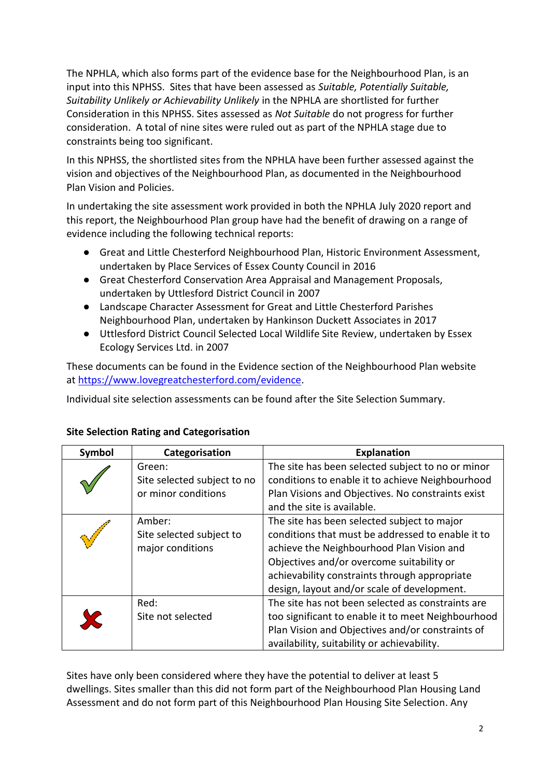The NPHLA, which also forms part of the evidence base for the Neighbourhood Plan, is an input into this NPHSS. Sites that have been assessed as *Suitable, Potentially Suitable, Suitability Unlikely or Achievability Unlikely* in the NPHLA are shortlisted for further Consideration in this NPHSS. Sites assessed as *Not Suitable* do not progress for further consideration. A total of nine sites were ruled out as part of the NPHLA stage due to constraints being too significant.

In this NPHSS, the shortlisted sites from the NPHLA have been further assessed against the vision and objectives of the Neighbourhood Plan, as documented in the Neighbourhood Plan Vision and Policies.

In undertaking the site assessment work provided in both the NPHLA July 2020 report and this report, the Neighbourhood Plan group have had the benefit of drawing on a range of evidence including the following technical reports:

- Great and Little Chesterford Neighbourhood Plan, Historic Environment Assessment, undertaken by Place Services of Essex County Council in 2016
- Great Chesterford Conservation Area Appraisal and Management Proposals, undertaken by Uttlesford District Council in 2007
- Landscape Character Assessment for Great and Little Chesterford Parishes Neighbourhood Plan, undertaken by Hankinson Duckett Associates in 2017
- Uttlesford District Council Selected Local Wildlife Site Review, undertaken by Essex Ecology Services Ltd. in 2007

These documents can be found in the Evidence section of the Neighbourhood Plan website at [https://www.lovegreatchesterford.com/evidence.](about:blank)

Individual site selection assessments can be found after the Site Selection Summary.

| Symbol | Categorisation                                               | <b>Explanation</b>                                                                                                                                                                                                                                                                         |
|--------|--------------------------------------------------------------|--------------------------------------------------------------------------------------------------------------------------------------------------------------------------------------------------------------------------------------------------------------------------------------------|
|        | Green:<br>Site selected subject to no<br>or minor conditions | The site has been selected subject to no or minor<br>conditions to enable it to achieve Neighbourhood<br>Plan Visions and Objectives. No constraints exist<br>and the site is available.                                                                                                   |
|        | Amber:<br>Site selected subject to<br>major conditions       | The site has been selected subject to major<br>conditions that must be addressed to enable it to<br>achieve the Neighbourhood Plan Vision and<br>Objectives and/or overcome suitability or<br>achievability constraints through appropriate<br>design, layout and/or scale of development. |
|        | Red:<br>Site not selected                                    | The site has not been selected as constraints are<br>too significant to enable it to meet Neighbourhood<br>Plan Vision and Objectives and/or constraints of<br>availability, suitability or achievability.                                                                                 |

# **Site Selection Rating and Categorisation**

Sites have only been considered where they have the potential to deliver at least 5 dwellings. Sites smaller than this did not form part of the Neighbourhood Plan Housing Land Assessment and do not form part of this Neighbourhood Plan Housing Site Selection. Any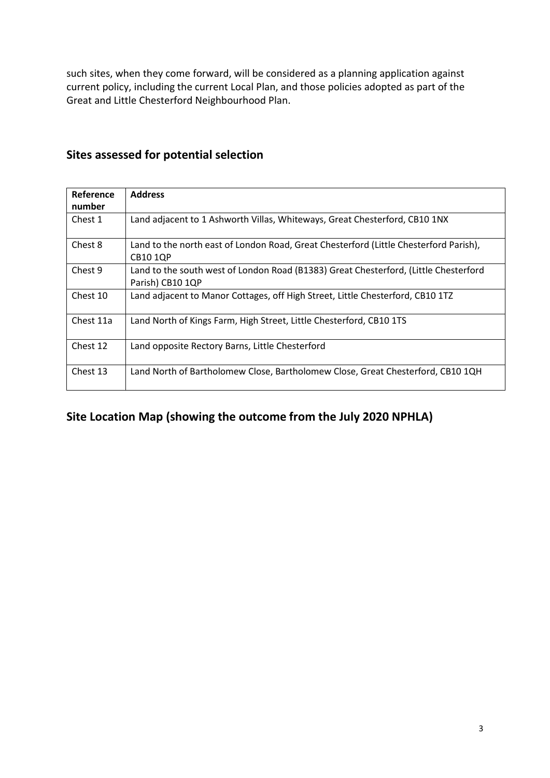such sites, when they come forward, will be considered as a planning application against current policy, including the current Local Plan, and those policies adopted as part of the Great and Little Chesterford Neighbourhood Plan.

| Reference | <b>Address</b>                                                                                           |
|-----------|----------------------------------------------------------------------------------------------------------|
| number    |                                                                                                          |
| Chest 1   | Land adjacent to 1 Ashworth Villas, Whiteways, Great Chesterford, CB10 1NX                               |
| Chest 8   | Land to the north east of London Road, Great Chesterford (Little Chesterford Parish),<br><b>CB10 1QP</b> |
| Chest 9   | Land to the south west of London Road (B1383) Great Chesterford, (Little Chesterford<br>Parish) CB10 1QP |
| Chest 10  | Land adjacent to Manor Cottages, off High Street, Little Chesterford, CB10 1TZ                           |
| Chest 11a | Land North of Kings Farm, High Street, Little Chesterford, CB10 1TS                                      |
| Chest 12  | Land opposite Rectory Barns, Little Chesterford                                                          |
| Chest 13  | Land North of Bartholomew Close, Bartholomew Close, Great Chesterford, CB10 1QH                          |

# **Sites assessed for potential selection**

# **Site Location Map (showing the outcome from the July 2020 NPHLA)**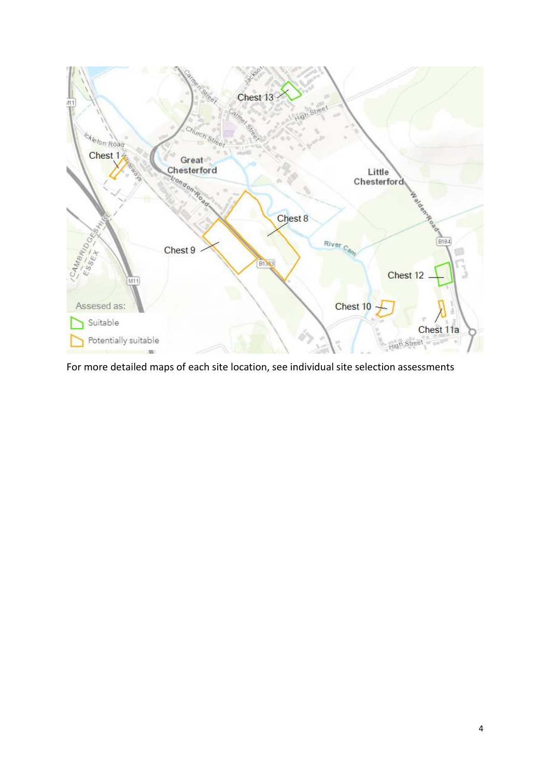

For more detailed maps of each site location, see individual site selection assessments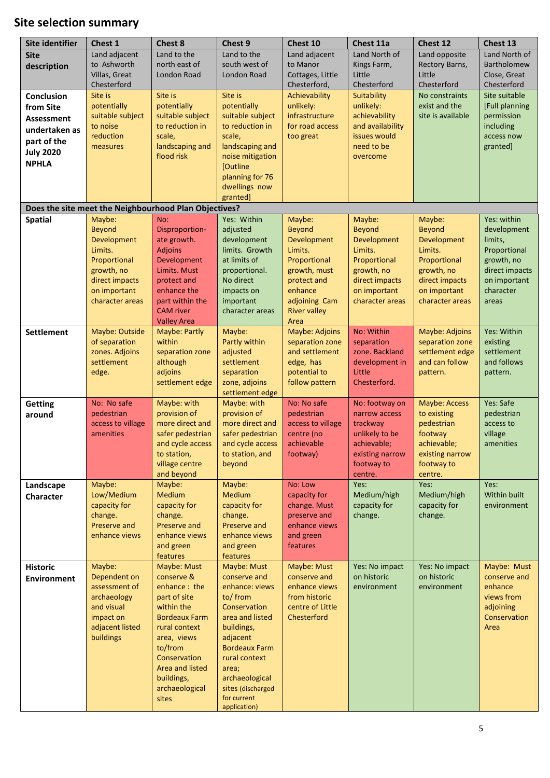# **Site selection summary**

| Site identifier    | Chest 1                        | <b>Chest 8</b>                                        | Chest 9                             | Chest 10                        | Chest 11a                  | Chest 12              | Chest 13             |
|--------------------|--------------------------------|-------------------------------------------------------|-------------------------------------|---------------------------------|----------------------------|-----------------------|----------------------|
| <b>Site</b>        | Land adjacent                  | Land to the                                           | Land to the                         | Land adjacent                   | Land North of              | Land opposite         | Land North of        |
| description        | to Ashworth                    | north east of                                         | south west of                       | to Manor                        | Kings Farm,                | Rectory Barns,        | Bartholomew          |
|                    | Villas, Great                  | London Road                                           | London Road                         | Cottages, Little                | Little                     | Little                | Close, Great         |
|                    | Chesterford                    |                                                       |                                     | Chesterford,                    | Chesterford                | Chesterford           | Chesterford          |
| <b>Conclusion</b>  | Site is                        | Site is                                               | Site is                             | Achievability                   | Suitability                | No constraints        | Site suitable        |
| from Site          | potentially                    | potentially                                           | potentially                         | unlikely:                       | unlikely:                  | exist and the         | [Full planning       |
| <b>Assessment</b>  | suitable subject               | suitable subject                                      | suitable subject                    | infrastructure                  | achievability              | site is available     | permission           |
| undertaken as      | to noise                       | to reduction in                                       | to reduction in                     | for road access                 | and availability           |                       | including            |
| part of the        | reduction                      | scale,                                                | scale,                              | too great                       | issues would               |                       | access now           |
| <b>July 2020</b>   | measures                       | landscaping and                                       | landscaping and                     |                                 | need to be                 |                       | granted]             |
| <b>NPHLA</b>       |                                | flood risk                                            | noise mitigation<br>[Outline        |                                 | overcome                   |                       |                      |
|                    |                                |                                                       | planning for 76                     |                                 |                            |                       |                      |
|                    |                                |                                                       | dwellings now                       |                                 |                            |                       |                      |
|                    |                                |                                                       | granted]                            |                                 |                            |                       |                      |
|                    |                                | Does the site meet the Neighbourhood Plan Objectives? |                                     |                                 |                            |                       |                      |
| <b>Spatial</b>     | Maybe:                         | No:                                                   | Yes: Within                         | Maybe:                          | Maybe:                     | Maybe:                | Yes: within          |
|                    | <b>Beyond</b>                  | Disproportion-                                        | adjusted                            | <b>Beyond</b>                   | <b>Beyond</b>              | <b>Beyond</b>         | development          |
|                    | Development                    | ate growth.                                           | development                         | Development                     | Development                | Development           | limits,              |
|                    | Limits.                        | <b>Adjoins</b>                                        | limits. Growth                      | Limits.                         | Limits.                    | Limits.               | Proportional         |
|                    | Proportional                   | Development                                           | at limits of                        | Proportional                    | Proportional               | Proportional          | growth, no           |
|                    | growth, no                     | Limits. Must                                          | proportional.                       | growth, must                    | growth, no                 | growth, no            | direct impacts       |
|                    | direct impacts                 | protect and                                           | No direct                           | protect and                     | direct impacts             | direct impacts        | on important         |
|                    | on important                   | enhance the                                           | impacts on                          | enhance                         | on important               | on important          | character            |
|                    | character areas                | part within the<br><b>CAM</b> river                   | important                           | adjoining Cam                   | character areas            | character areas       | areas                |
|                    |                                | <b>Valley Area</b>                                    | character areas                     | <b>River valley</b><br>Area     |                            |                       |                      |
| <b>Settlement</b>  | Maybe: Outside                 | Maybe: Partly                                         | Maybe:                              | Maybe: Adjoins                  | No: Within                 | Maybe: Adjoins        | Yes: Within          |
|                    | of separation                  | within                                                | Partly within                       | separation zone                 | separation                 | separation zone       | existing             |
|                    | zones. Adjoins                 | separation zone                                       | adjusted                            | and settlement                  | zone. Backland             | settlement edge       | settlement           |
|                    | settlement                     | although                                              | settlement                          | edge, has                       | development in             | and can follow        | and follows          |
|                    | edge.                          | adjoins                                               | separation                          | potential to                    | Little                     | pattern.              | pattern.             |
|                    |                                | settlement edge                                       | zone, adjoins                       | follow pattern                  | Chesterford.               |                       |                      |
|                    |                                |                                                       | settlement edge                     |                                 |                            |                       |                      |
| <b>Getting</b>     | No: No safe                    | Maybe: with                                           | Maybe: with                         | No: No safe                     | No: footway on             | Maybe: Access         | Yes: Safe            |
| around             | pedestrian                     | provision of                                          | provision of                        | pedestrian                      | narrow access              | to existing           | pedestrian           |
|                    | access to village<br>amenities | more direct and<br>safer pedestrian                   | more direct and<br>safer pedestrian | access to village<br>centre (no | trackway<br>unlikely to be | pedestrian<br>footway | access to<br>village |
|                    |                                | and cycle access                                      | and cycle access                    | achievable                      | achievable;                | achievable;           | amenities            |
|                    |                                | to station,                                           | to station, and                     | footway)                        | existing narrow            | existing narrow       |                      |
|                    |                                | village centre                                        | beyond                              |                                 | footway to                 | footway to            |                      |
|                    |                                | and beyond                                            |                                     |                                 | centre.                    | centre.               |                      |
| Landscape          | Maybe:                         | Maybe:                                                | Maybe:                              | No: Low                         | Yes:                       | Yes:                  | Yes:                 |
| Character          | Low/Medium                     | Medium                                                | Medium                              | capacity for                    | Medium/high                | Medium/high           | Within built         |
|                    | capacity for                   | capacity for                                          | capacity for                        | change. Must                    | capacity for               | capacity for          | environment          |
|                    | change.                        | change.                                               | change.                             | preserve and                    | change.                    | change.               |                      |
|                    | Preserve and                   | Preserve and                                          | Preserve and                        | enhance views                   |                            |                       |                      |
|                    | enhance views                  | enhance views                                         | enhance views                       | and green                       |                            |                       |                      |
|                    |                                | and green<br>features                                 | and green<br>features               | features                        |                            |                       |                      |
| <b>Historic</b>    | Maybe:                         | Maybe: Must                                           | Maybe: Must                         | Maybe: Must                     | Yes: No impact             | Yes: No impact        | Maybe: Must          |
| <b>Environment</b> | Dependent on                   | conserve &                                            | conserve and                        | conserve and                    | on historic                | on historic           | conserve and         |
|                    | assessment of                  | enhance: the                                          | enhance: views                      | enhance views                   | environment                | environment           | enhance              |
|                    | archaeology                    | part of site                                          | to/ from                            | from historic                   |                            |                       | views from           |
|                    | and visual                     | within the                                            | Conservation                        | centre of Little                |                            |                       | adjoining            |
|                    | impact on                      | <b>Bordeaux Farm</b>                                  | area and listed                     | Chesterford                     |                            |                       | Conservation         |
|                    | adjacent listed                | rural context                                         | buildings,                          |                                 |                            |                       | Area                 |
|                    | buildings                      | area, views                                           | adjacent                            |                                 |                            |                       |                      |
|                    |                                | to/from                                               | <b>Bordeaux Farm</b>                |                                 |                            |                       |                      |
|                    |                                | Conservation                                          | rural context                       |                                 |                            |                       |                      |
|                    |                                | Area and listed                                       | area;                               |                                 |                            |                       |                      |
|                    |                                | buildings,<br>archaeological                          | archaeological<br>sites (discharged |                                 |                            |                       |                      |
|                    |                                | sites                                                 | for current                         |                                 |                            |                       |                      |
|                    |                                |                                                       | application)                        |                                 |                            |                       |                      |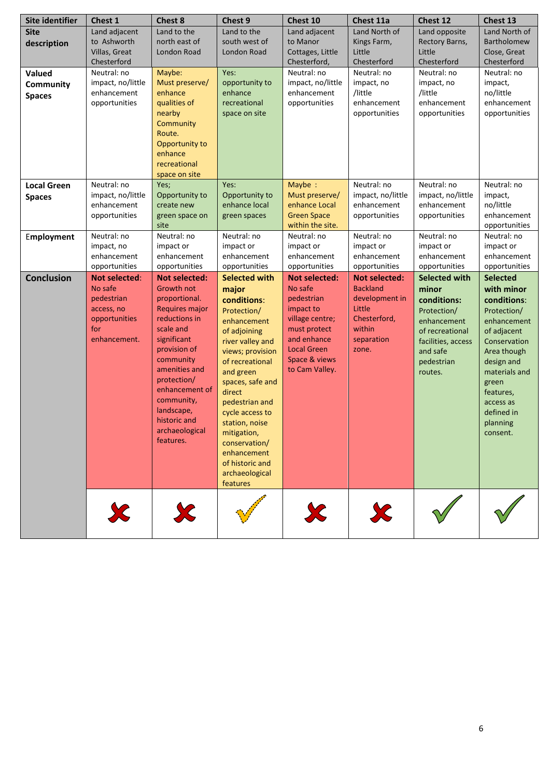| Site identifier    | Chest 1                     | Chest 8                                | Chest 9                             | Chest 10                     | Chest 11a                | Chest 12                       | Chest 13                  |
|--------------------|-----------------------------|----------------------------------------|-------------------------------------|------------------------------|--------------------------|--------------------------------|---------------------------|
| <b>Site</b>        | Land adjacent               | Land to the                            | Land to the                         | Land adjacent                | Land North of            | Land opposite                  | Land North of             |
| description        | to Ashworth                 | north east of                          | south west of                       | to Manor                     | Kings Farm,              | Rectory Barns,                 | Bartholomew               |
|                    | Villas, Great               | London Road                            | London Road                         | Cottages, Little             | Little                   | Little                         | Close, Great              |
|                    | Chesterford                 |                                        |                                     | Chesterford,                 | Chesterford              | Chesterford                    | Chesterford               |
| Valued             | Neutral: no                 | Maybe:                                 | Yes:                                | Neutral: no                  | Neutral: no              | Neutral: no                    | Neutral: no               |
| Community          | impact, no/little           | Must preserve/                         | opportunity to                      | impact, no/little            | impact, no               | impact, no                     | impact,                   |
| <b>Spaces</b>      | enhancement                 | enhance                                | enhance                             | enhancement                  | /little                  | /little                        | no/little                 |
|                    | opportunities               | qualities of                           | recreational                        | opportunities                | enhancement              | enhancement                    | enhancement               |
|                    |                             | nearby                                 | space on site                       |                              | opportunities            | opportunities                  | opportunities             |
|                    |                             | Community<br>Route.                    |                                     |                              |                          |                                |                           |
|                    |                             | Opportunity to                         |                                     |                              |                          |                                |                           |
|                    |                             | enhance                                |                                     |                              |                          |                                |                           |
|                    |                             | recreational                           |                                     |                              |                          |                                |                           |
|                    |                             | space on site                          |                                     |                              |                          |                                |                           |
| <b>Local Green</b> | Neutral: no                 | Yes;                                   | Yes:                                | Maybe:                       | Neutral: no              | Neutral: no                    | Neutral: no               |
| <b>Spaces</b>      | impact, no/little           | Opportunity to                         | Opportunity to                      | Must preserve/               | impact, no/little        | impact, no/little              | impact,                   |
|                    | enhancement                 | create new                             | enhance local                       | enhance Local                | enhancement              | enhancement                    | no/little                 |
|                    | opportunities               | green space on                         | green spaces                        | <b>Green Space</b>           | opportunities            | opportunities                  | enhancement               |
|                    |                             | site                                   |                                     | within the site.             |                          |                                | opportunities             |
| Employment         | Neutral: no                 | Neutral: no                            | Neutral: no                         | Neutral: no                  | Neutral: no              | Neutral: no                    | Neutral: no               |
|                    | impact, no                  | impact or                              | impact or                           | impact or                    | impact or                | impact or                      | impact or                 |
|                    | enhancement                 | enhancement                            | enhancement                         | enhancement                  | enhancement              | enhancement                    | enhancement               |
|                    | opportunities               | opportunities                          | opportunities                       | opportunities                | opportunities            | opportunities                  | opportunities             |
| <b>Conclusion</b>  | <b>Not selected:</b>        | <b>Not selected:</b>                   | <b>Selected with</b>                | <b>Not selected:</b>         | <b>Not selected:</b>     | Selected with                  | <b>Selected</b>           |
|                    | No safe                     | <b>Growth not</b>                      | major                               | No safe                      | <b>Backland</b>          | minor                          | with minor                |
|                    | pedestrian                  | proportional.                          | conditions:                         | pedestrian                   | development in<br>Little | conditions:                    | conditions:               |
|                    | access, no<br>opportunities | <b>Requires major</b><br>reductions in | Protection/                         | impact to<br>village centre; | Chesterford,             | Protection/                    | Protection/               |
|                    | for                         | scale and                              | enhancement                         | must protect                 | within                   | enhancement                    | enhancement               |
|                    | enhancement.                | significant                            | of adjoining                        | and enhance                  | separation               | of recreational                | of adjacent               |
|                    |                             | provision of                           | river valley and                    | <b>Local Green</b>           | zone.                    | facilities, access<br>and safe | Conservation              |
|                    |                             | community                              | views; provision<br>of recreational | Space & views                |                          | pedestrian                     | Area though<br>design and |
|                    |                             | amenities and                          | and green                           | to Cam Valley.               |                          | routes.                        | materials and             |
|                    |                             | protection/                            | spaces, safe and                    |                              |                          |                                | green                     |
|                    |                             | enhancement of                         | direct                              |                              |                          |                                | features,                 |
|                    |                             | community,                             | pedestrian and                      |                              |                          |                                | access as                 |
|                    |                             | landscape,                             | cycle access to                     |                              |                          |                                | defined in                |
|                    |                             | historic and                           | station, noise                      |                              |                          |                                | planning                  |
|                    |                             | archaeological                         | mitigation,                         |                              |                          |                                | consent.                  |
|                    |                             | features.                              | conservation/                       |                              |                          |                                |                           |
|                    |                             |                                        | enhancement                         |                              |                          |                                |                           |
|                    |                             |                                        | of historic and                     |                              |                          |                                |                           |
|                    |                             |                                        | archaeological                      |                              |                          |                                |                           |
|                    |                             |                                        | features                            |                              |                          |                                |                           |
|                    |                             |                                        |                                     |                              |                          |                                |                           |
|                    | Ж                           |                                        |                                     | X                            |                          |                                |                           |
|                    |                             |                                        |                                     |                              |                          |                                |                           |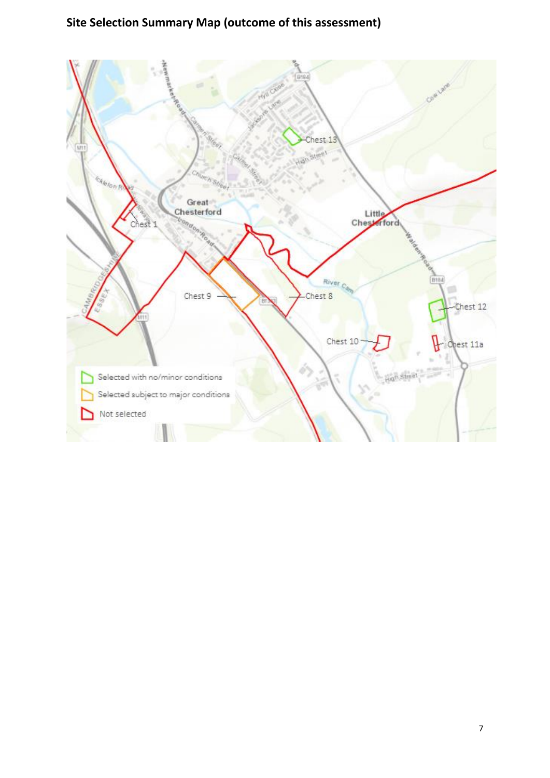# **Site Selection Summary Map (outcome of this assessment)**

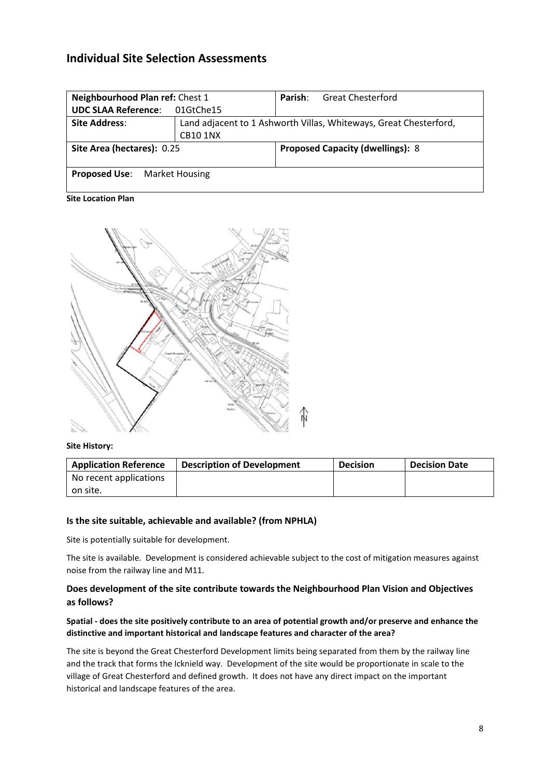# **Individual Site Selection Assessments**

| Neighbourhood Plan ref: Chest 1     |                 | Parish: | <b>Great Chesterford</b>                                          |
|-------------------------------------|-----------------|---------|-------------------------------------------------------------------|
| <b>UDC SLAA Reference:</b>          | 01GtChe15       |         |                                                                   |
| <b>Site Address:</b>                |                 |         | Land adjacent to 1 Ashworth Villas, Whiteways, Great Chesterford, |
|                                     | <b>CB10 1NX</b> |         |                                                                   |
| Site Area (hectares): 0.25          |                 |         | <b>Proposed Capacity (dwellings): 8</b>                           |
| <b>Proposed Use:</b> Market Housing |                 |         |                                                                   |

**Site Location Plan**



#### **Site History:**

| <b>Application Reference</b> | <b>Description of Development</b> | <b>Decision</b> | <b>Decision Date</b> |
|------------------------------|-----------------------------------|-----------------|----------------------|
| No recent applications       |                                   |                 |                      |
| on site.                     |                                   |                 |                      |

# **Is the site suitable, achievable and available? (from NPHLA)**

Site is potentially suitable for development.

The site is available. Development is considered achievable subject to the cost of mitigation measures against noise from the railway line and M11.

# **Does development of the site contribute towards the Neighbourhood Plan Vision and Objectives as follows?**

# **Spatial - does the site positively contribute to an area of potential growth and/or preserve and enhance the distinctive and important historical and landscape features and character of the area?**

The site is beyond the Great Chesterford Development limits being separated from them by the railway line and the track that forms the Icknield way. Development of the site would be proportionate in scale to the village of Great Chesterford and defined growth. It does not have any direct impact on the important historical and landscape features of the area.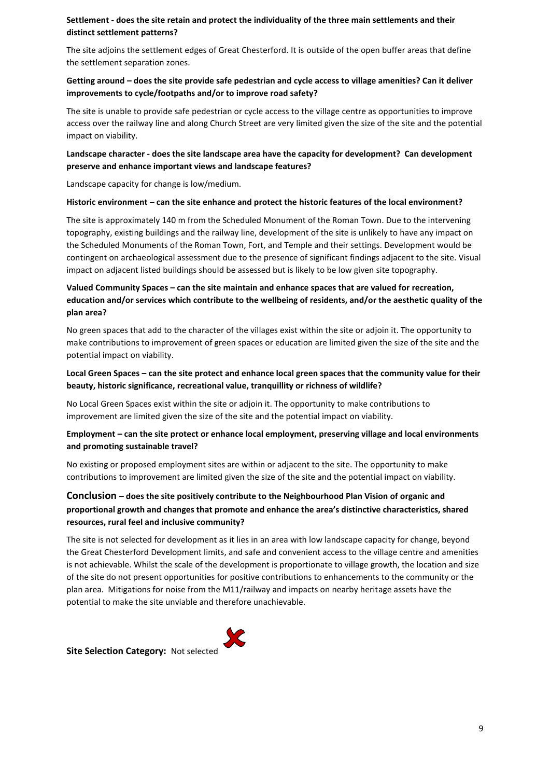# **Settlement - does the site retain and protect the individuality of the three main settlements and their distinct settlement patterns?**

The site adjoins the settlement edges of Great Chesterford. It is outside of the open buffer areas that define the settlement separation zones.

## **Getting around – does the site provide safe pedestrian and cycle access to village amenities? Can it deliver improvements to cycle/footpaths and/or to improve road safety?**

The site is unable to provide safe pedestrian or cycle access to the village centre as opportunities to improve access over the railway line and along Church Street are very limited given the size of the site and the potential impact on viability.

## **Landscape character - does the site landscape area have the capacity for development? Can development preserve and enhance important views and landscape features?**

Landscape capacity for change is low/medium.

#### **Historic environment – can the site enhance and protect the historic features of the local environment?**

The site is approximately 140 m from the Scheduled Monument of the Roman Town. Due to the intervening topography, existing buildings and the railway line, development of the site is unlikely to have any impact on the Scheduled Monuments of the Roman Town, Fort, and Temple and their settings. Development would be contingent on archaeological assessment due to the presence of significant findings adjacent to the site. Visual impact on adjacent listed buildings should be assessed but is likely to be low given site topography.

# **Valued Community Spaces – can the site maintain and enhance spaces that are valued for recreation, education and/or services which contribute to the wellbeing of residents, and/or the aesthetic quality of the plan area?**

No green spaces that add to the character of the villages exist within the site or adjoin it. The opportunity to make contributions to improvement of green spaces or education are limited given the size of the site and the potential impact on viability.

# **Local Green Spaces – can the site protect and enhance local green spaces that the community value for their beauty, historic significance, recreational value, tranquillity or richness of wildlife?**

No Local Green Spaces exist within the site or adjoin it. The opportunity to make contributions to improvement are limited given the size of the site and the potential impact on viability.

# **Employment – can the site protect or enhance local employment, preserving village and local environments and promoting sustainable travel?**

No existing or proposed employment sites are within or adjacent to the site. The opportunity to make contributions to improvement are limited given the size of the site and the potential impact on viability.

# **Conclusion – does the site positively contribute to the Neighbourhood Plan Vision of organic and proportional growth and changes that promote and enhance the area's distinctive characteristics, shared resources, rural feel and inclusive community?**

The site is not selected for development as it lies in an area with low landscape capacity for change, beyond the Great Chesterford Development limits, and safe and convenient access to the village centre and amenities is not achievable. Whilst the scale of the development is proportionate to village growth, the location and size of the site do not present opportunities for positive contributions to enhancements to the community or the plan area. Mitigations for noise from the M11/railway and impacts on nearby heritage assets have the potential to make the site unviable and therefore unachievable.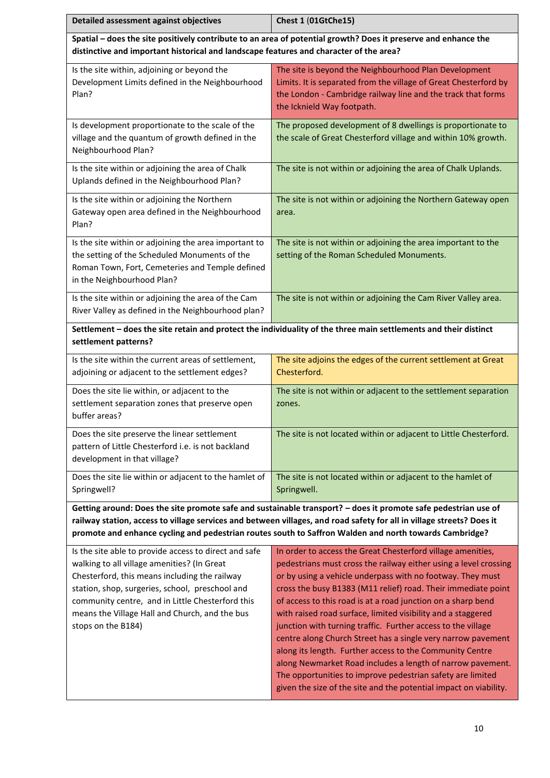| Detailed assessment against objectives                                                                                                                                                                                                                                                                                               | Chest 1 (01GtChe15)                                                                                                                                                                                                                                                                                                                                                                                                                                                                                                                                                                                                                                                                                                                                                                         |  |  |
|--------------------------------------------------------------------------------------------------------------------------------------------------------------------------------------------------------------------------------------------------------------------------------------------------------------------------------------|---------------------------------------------------------------------------------------------------------------------------------------------------------------------------------------------------------------------------------------------------------------------------------------------------------------------------------------------------------------------------------------------------------------------------------------------------------------------------------------------------------------------------------------------------------------------------------------------------------------------------------------------------------------------------------------------------------------------------------------------------------------------------------------------|--|--|
| distinctive and important historical and landscape features and character of the area?                                                                                                                                                                                                                                               | Spatial - does the site positively contribute to an area of potential growth? Does it preserve and enhance the                                                                                                                                                                                                                                                                                                                                                                                                                                                                                                                                                                                                                                                                              |  |  |
| Is the site within, adjoining or beyond the<br>Development Limits defined in the Neighbourhood<br>Plan?                                                                                                                                                                                                                              | The site is beyond the Neighbourhood Plan Development<br>Limits. It is separated from the village of Great Chesterford by<br>the London - Cambridge railway line and the track that forms<br>the Icknield Way footpath.                                                                                                                                                                                                                                                                                                                                                                                                                                                                                                                                                                     |  |  |
| Is development proportionate to the scale of the<br>village and the quantum of growth defined in the<br>Neighbourhood Plan?                                                                                                                                                                                                          | The proposed development of 8 dwellings is proportionate to<br>the scale of Great Chesterford village and within 10% growth.                                                                                                                                                                                                                                                                                                                                                                                                                                                                                                                                                                                                                                                                |  |  |
| Is the site within or adjoining the area of Chalk<br>Uplands defined in the Neighbourhood Plan?                                                                                                                                                                                                                                      | The site is not within or adjoining the area of Chalk Uplands.                                                                                                                                                                                                                                                                                                                                                                                                                                                                                                                                                                                                                                                                                                                              |  |  |
| Is the site within or adjoining the Northern<br>Gateway open area defined in the Neighbourhood<br>Plan?                                                                                                                                                                                                                              | The site is not within or adjoining the Northern Gateway open<br>area.                                                                                                                                                                                                                                                                                                                                                                                                                                                                                                                                                                                                                                                                                                                      |  |  |
| Is the site within or adjoining the area important to<br>the setting of the Scheduled Monuments of the<br>Roman Town, Fort, Cemeteries and Temple defined<br>in the Neighbourhood Plan?                                                                                                                                              | The site is not within or adjoining the area important to the<br>setting of the Roman Scheduled Monuments.                                                                                                                                                                                                                                                                                                                                                                                                                                                                                                                                                                                                                                                                                  |  |  |
| Is the site within or adjoining the area of the Cam<br>River Valley as defined in the Neighbourhood plan?                                                                                                                                                                                                                            | The site is not within or adjoining the Cam River Valley area.                                                                                                                                                                                                                                                                                                                                                                                                                                                                                                                                                                                                                                                                                                                              |  |  |
| settlement patterns?                                                                                                                                                                                                                                                                                                                 | Settlement - does the site retain and protect the individuality of the three main settlements and their distinct                                                                                                                                                                                                                                                                                                                                                                                                                                                                                                                                                                                                                                                                            |  |  |
| Is the site within the current areas of settlement,<br>adjoining or adjacent to the settlement edges?                                                                                                                                                                                                                                | The site adjoins the edges of the current settlement at Great<br>Chesterford.                                                                                                                                                                                                                                                                                                                                                                                                                                                                                                                                                                                                                                                                                                               |  |  |
| Does the site lie within, or adjacent to the<br>settlement separation zones that preserve open<br>buffer areas?                                                                                                                                                                                                                      | The site is not within or adjacent to the settlement separation<br>zones.                                                                                                                                                                                                                                                                                                                                                                                                                                                                                                                                                                                                                                                                                                                   |  |  |
| Does the site preserve the linear settlement<br>pattern of Little Chesterford i.e. is not backland<br>development in that village?                                                                                                                                                                                                   | The site is not located within or adjacent to Little Chesterford.                                                                                                                                                                                                                                                                                                                                                                                                                                                                                                                                                                                                                                                                                                                           |  |  |
| Does the site lie within or adjacent to the hamlet of<br>Springwell?                                                                                                                                                                                                                                                                 | The site is not located within or adjacent to the hamlet of<br>Springwell.                                                                                                                                                                                                                                                                                                                                                                                                                                                                                                                                                                                                                                                                                                                  |  |  |
|                                                                                                                                                                                                                                                                                                                                      | Getting around: Does the site promote safe and sustainable transport? - does it promote safe pedestrian use of<br>railway station, access to village services and between villages, and road safety for all in village streets? Does it<br>promote and enhance cycling and pedestrian routes south to Saffron Walden and north towards Cambridge?                                                                                                                                                                                                                                                                                                                                                                                                                                           |  |  |
| Is the site able to provide access to direct and safe<br>walking to all village amenities? (In Great<br>Chesterford, this means including the railway<br>station, shop, surgeries, school, preschool and<br>community centre, and in Little Chesterford this<br>means the Village Hall and Church, and the bus<br>stops on the B184) | In order to access the Great Chesterford village amenities,<br>pedestrians must cross the railway either using a level crossing<br>or by using a vehicle underpass with no footway. They must<br>cross the busy B1383 (M11 relief) road. Their immediate point<br>of access to this road is at a road junction on a sharp bend<br>with raised road surface, limited visibility and a staggered<br>junction with turning traffic. Further access to the village<br>centre along Church Street has a single very narrow pavement<br>along its length. Further access to the Community Centre<br>along Newmarket Road includes a length of narrow pavement.<br>The opportunities to improve pedestrian safety are limited<br>given the size of the site and the potential impact on viability. |  |  |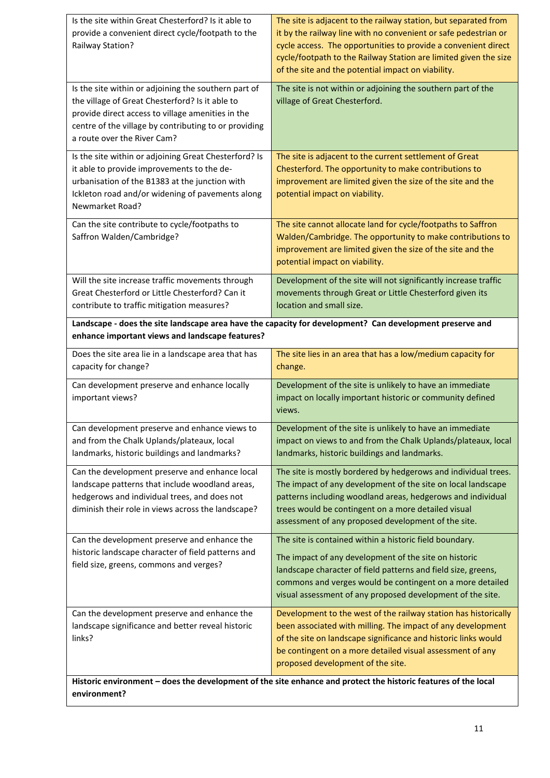| Is the site within Great Chesterford? Is it able to<br>provide a convenient direct cycle/footpath to the<br>Railway Station?                                                                                                                         | The site is adjacent to the railway station, but separated from<br>it by the railway line with no convenient or safe pedestrian or<br>cycle access. The opportunities to provide a convenient direct<br>cycle/footpath to the Railway Station are limited given the size<br>of the site and the potential impact on viability. |
|------------------------------------------------------------------------------------------------------------------------------------------------------------------------------------------------------------------------------------------------------|--------------------------------------------------------------------------------------------------------------------------------------------------------------------------------------------------------------------------------------------------------------------------------------------------------------------------------|
| Is the site within or adjoining the southern part of<br>the village of Great Chesterford? Is it able to<br>provide direct access to village amenities in the<br>centre of the village by contributing to or providing<br>a route over the River Cam? | The site is not within or adjoining the southern part of the<br>village of Great Chesterford.                                                                                                                                                                                                                                  |
| Is the site within or adjoining Great Chesterford? Is<br>it able to provide improvements to the de-<br>urbanisation of the B1383 at the junction with<br>Ickleton road and/or widening of pavements along<br>Newmarket Road?                         | The site is adjacent to the current settlement of Great<br>Chesterford. The opportunity to make contributions to<br>improvement are limited given the size of the site and the<br>potential impact on viability.                                                                                                               |
| Can the site contribute to cycle/footpaths to<br>Saffron Walden/Cambridge?                                                                                                                                                                           | The site cannot allocate land for cycle/footpaths to Saffron<br>Walden/Cambridge. The opportunity to make contributions to<br>improvement are limited given the size of the site and the<br>potential impact on viability.                                                                                                     |
| Will the site increase traffic movements through<br>Great Chesterford or Little Chesterford? Can it<br>contribute to traffic mitigation measures?                                                                                                    | Development of the site will not significantly increase traffic<br>movements through Great or Little Chesterford given its<br>location and small size.                                                                                                                                                                         |
| enhance important views and landscape features?                                                                                                                                                                                                      | Landscape - does the site landscape area have the capacity for development? Can development preserve and                                                                                                                                                                                                                       |
| Does the site area lie in a landscape area that has<br>capacity for change?                                                                                                                                                                          | The site lies in an area that has a low/medium capacity for<br>change.                                                                                                                                                                                                                                                         |
| Can development preserve and enhance locally<br>important views?                                                                                                                                                                                     | Development of the site is unlikely to have an immediate<br>impact on locally important historic or community defined<br>views.                                                                                                                                                                                                |
| Can development preserve and enhance views to<br>and from the Chalk Uplands/plateaux, local<br>landmarks, historic buildings and landmarks?                                                                                                          | Development of the site is unlikely to have an immediate<br>impact on views to and from the Chalk Uplands/plateaux, local<br>landmarks, historic buildings and landmarks.                                                                                                                                                      |
| Can the development preserve and enhance local<br>landscape patterns that include woodland areas,<br>hedgerows and individual trees, and does not<br>diminish their role in views across the landscape?                                              | The site is mostly bordered by hedgerows and individual trees.<br>The impact of any development of the site on local landscape<br>patterns including woodland areas, hedgerows and individual<br>trees would be contingent on a more detailed visual<br>assessment of any proposed development of the site.                    |
| Can the development preserve and enhance the<br>historic landscape character of field patterns and<br>field size, greens, commons and verges?                                                                                                        | The site is contained within a historic field boundary.<br>The impact of any development of the site on historic<br>landscape character of field patterns and field size, greens,<br>commons and verges would be contingent on a more detailed<br>visual assessment of any proposed development of the site.                   |
| Can the development preserve and enhance the<br>landscape significance and better reveal historic<br>links?                                                                                                                                          | Development to the west of the railway station has historically<br>been associated with milling. The impact of any development<br>of the site on landscape significance and historic links would<br>be contingent on a more detailed visual assessment of any<br>proposed development of the site.                             |
| environment?                                                                                                                                                                                                                                         | Historic environment - does the development of the site enhance and protect the historic features of the local                                                                                                                                                                                                                 |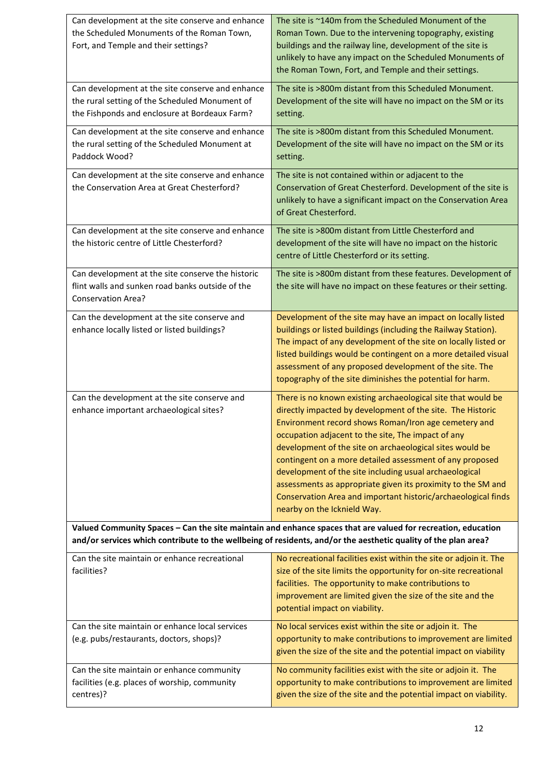| Can development at the site conserve and enhance<br>the Scheduled Monuments of the Roman Town,<br>Fort, and Temple and their settings?              | The site is ~140m from the Scheduled Monument of the<br>Roman Town. Due to the intervening topography, existing<br>buildings and the railway line, development of the site is<br>unlikely to have any impact on the Scheduled Monuments of<br>the Roman Town, Fort, and Temple and their settings.                                                                                                                                                                                                                                                                                         |
|-----------------------------------------------------------------------------------------------------------------------------------------------------|--------------------------------------------------------------------------------------------------------------------------------------------------------------------------------------------------------------------------------------------------------------------------------------------------------------------------------------------------------------------------------------------------------------------------------------------------------------------------------------------------------------------------------------------------------------------------------------------|
| Can development at the site conserve and enhance<br>the rural setting of the Scheduled Monument of<br>the Fishponds and enclosure at Bordeaux Farm? | The site is >800m distant from this Scheduled Monument.<br>Development of the site will have no impact on the SM or its<br>setting.                                                                                                                                                                                                                                                                                                                                                                                                                                                        |
| Can development at the site conserve and enhance<br>the rural setting of the Scheduled Monument at<br>Paddock Wood?                                 | The site is >800m distant from this Scheduled Monument.<br>Development of the site will have no impact on the SM or its<br>setting.                                                                                                                                                                                                                                                                                                                                                                                                                                                        |
| Can development at the site conserve and enhance<br>the Conservation Area at Great Chesterford?                                                     | The site is not contained within or adjacent to the<br>Conservation of Great Chesterford. Development of the site is<br>unlikely to have a significant impact on the Conservation Area<br>of Great Chesterford.                                                                                                                                                                                                                                                                                                                                                                            |
| Can development at the site conserve and enhance<br>the historic centre of Little Chesterford?                                                      | The site is >800m distant from Little Chesterford and<br>development of the site will have no impact on the historic<br>centre of Little Chesterford or its setting.                                                                                                                                                                                                                                                                                                                                                                                                                       |
| Can development at the site conserve the historic<br>flint walls and sunken road banks outside of the<br><b>Conservation Area?</b>                  | The site is >800m distant from these features. Development of<br>the site will have no impact on these features or their setting.                                                                                                                                                                                                                                                                                                                                                                                                                                                          |
| Can the development at the site conserve and<br>enhance locally listed or listed buildings?                                                         | Development of the site may have an impact on locally listed<br>buildings or listed buildings (including the Railway Station).<br>The impact of any development of the site on locally listed or<br>listed buildings would be contingent on a more detailed visual<br>assessment of any proposed development of the site. The<br>topography of the site diminishes the potential for harm.                                                                                                                                                                                                 |
| Can the development at the site conserve and<br>enhance important archaeological sites?                                                             | There is no known existing archaeological site that would be<br>directly impacted by development of the site. The Historic<br>Environment record shows Roman/Iron age cemetery and<br>occupation adjacent to the site, The impact of any<br>development of the site on archaeological sites would be<br>contingent on a more detailed assessment of any proposed<br>development of the site including usual archaeological<br>assessments as appropriate given its proximity to the SM and<br>Conservation Area and important historic/archaeological finds<br>nearby on the Icknield Way. |
|                                                                                                                                                     | Valued Community Spaces - Can the site maintain and enhance spaces that are valued for recreation, education<br>and/or services which contribute to the wellbeing of residents, and/or the aesthetic quality of the plan area?                                                                                                                                                                                                                                                                                                                                                             |
| Can the site maintain or enhance recreational<br>facilities?                                                                                        | No recreational facilities exist within the site or adjoin it. The<br>size of the site limits the opportunity for on-site recreational<br>facilities. The opportunity to make contributions to<br>improvement are limited given the size of the site and the<br>potential impact on viability.                                                                                                                                                                                                                                                                                             |
| Can the site maintain or enhance local services<br>(e.g. pubs/restaurants, doctors, shops)?                                                         | No local services exist within the site or adjoin it. The<br>opportunity to make contributions to improvement are limited<br>given the size of the site and the potential impact on viability                                                                                                                                                                                                                                                                                                                                                                                              |
| Can the site maintain or enhance community<br>facilities (e.g. places of worship, community<br>centres)?                                            | No community facilities exist with the site or adjoin it. The<br>opportunity to make contributions to improvement are limited<br>given the size of the site and the potential impact on viability.                                                                                                                                                                                                                                                                                                                                                                                         |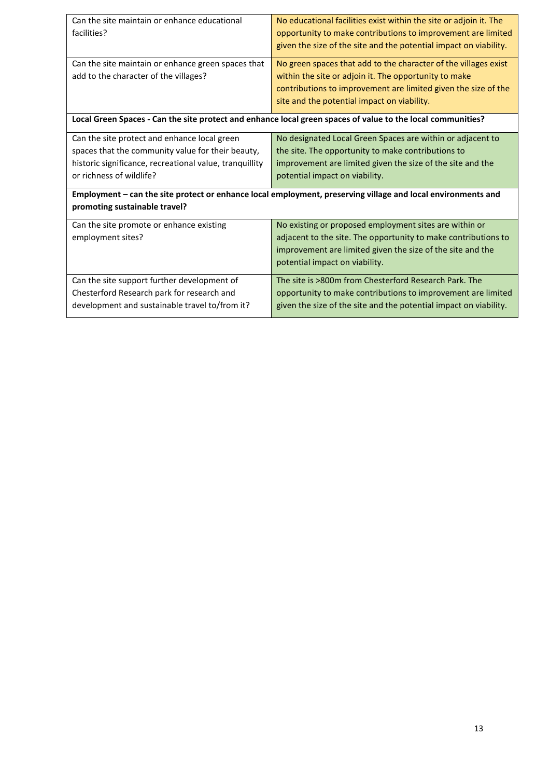| Can the site maintain or enhance educational            | No educational facilities exist within the site or adjoin it. The                                            |
|---------------------------------------------------------|--------------------------------------------------------------------------------------------------------------|
| facilities?                                             | opportunity to make contributions to improvement are limited                                                 |
|                                                         | given the size of the site and the potential impact on viability.                                            |
|                                                         |                                                                                                              |
| Can the site maintain or enhance green spaces that      | No green spaces that add to the character of the villages exist                                              |
| add to the character of the villages?                   | within the site or adjoin it. The opportunity to make                                                        |
|                                                         | contributions to improvement are limited given the size of the                                               |
|                                                         |                                                                                                              |
|                                                         | site and the potential impact on viability.                                                                  |
|                                                         | Local Green Spaces - Can the site protect and enhance local green spaces of value to the local communities?  |
|                                                         |                                                                                                              |
| Can the site protect and enhance local green            | No designated Local Green Spaces are within or adjacent to                                                   |
| spaces that the community value for their beauty,       | the site. The opportunity to make contributions to                                                           |
| historic significance, recreational value, tranquillity | improvement are limited given the size of the site and the                                                   |
| or richness of wildlife?                                | potential impact on viability.                                                                               |
|                                                         |                                                                                                              |
|                                                         | Employment - can the site protect or enhance local employment, preserving village and local environments and |
| promoting sustainable travel?                           |                                                                                                              |
| Can the site promote or enhance existing                | No existing or proposed employment sites are within or                                                       |
| employment sites?                                       | adjacent to the site. The opportunity to make contributions to                                               |
|                                                         |                                                                                                              |
|                                                         | improvement are limited given the size of the site and the                                                   |
|                                                         | potential impact on viability.                                                                               |
| Can the site support further development of             | The site is >800m from Chesterford Research Park. The                                                        |
| Chesterford Research park for research and              | opportunity to make contributions to improvement are limited                                                 |
| development and sustainable travel to/from it?          | given the size of the site and the potential impact on viability.                                            |
|                                                         |                                                                                                              |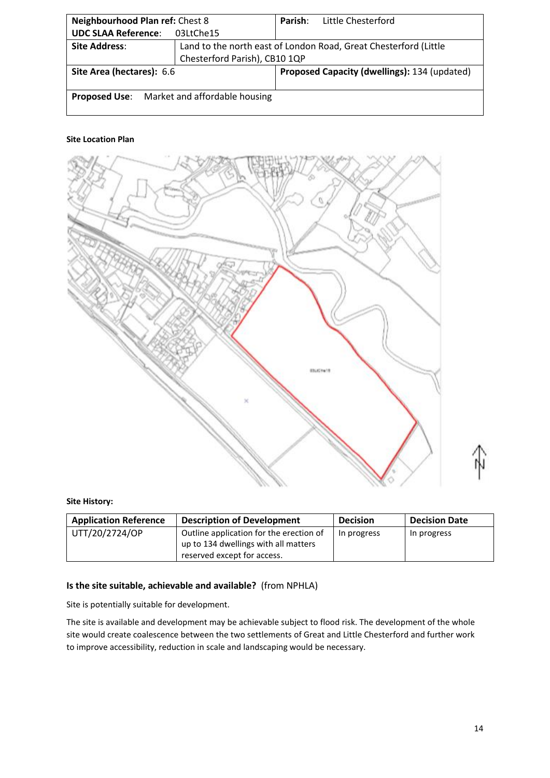| Neighbourhood Plan ref: Chest 8                    |                               | Parish: | Little Chesterford                                               |  |
|----------------------------------------------------|-------------------------------|---------|------------------------------------------------------------------|--|
| <b>UDC SLAA Reference:</b>                         | 03LtChe15                     |         |                                                                  |  |
| <b>Site Address:</b>                               |                               |         | Land to the north east of London Road, Great Chesterford (Little |  |
|                                                    | Chesterford Parish), CB10 1QP |         |                                                                  |  |
| Site Area (hectares): 6.6                          |                               |         | Proposed Capacity (dwellings): 134 (updated)                     |  |
| <b>Proposed Use:</b> Market and affordable housing |                               |         |                                                                  |  |



# **Site History:**

| <b>Application Reference</b> | <b>Description of Development</b>                                                                              | <b>Decision</b> | <b>Decision Date</b> |
|------------------------------|----------------------------------------------------------------------------------------------------------------|-----------------|----------------------|
| UTT/20/2724/OP               | Outline application for the erection of<br>up to 134 dwellings with all matters<br>reserved except for access. | In progress     | In progress          |

# **Is the site suitable, achievable and available?** (from NPHLA)

Site is potentially suitable for development.

The site is available and development may be achievable subject to flood risk. The development of the whole site would create coalescence between the two settlements of Great and Little Chesterford and further work to improve accessibility, reduction in scale and landscaping would be necessary.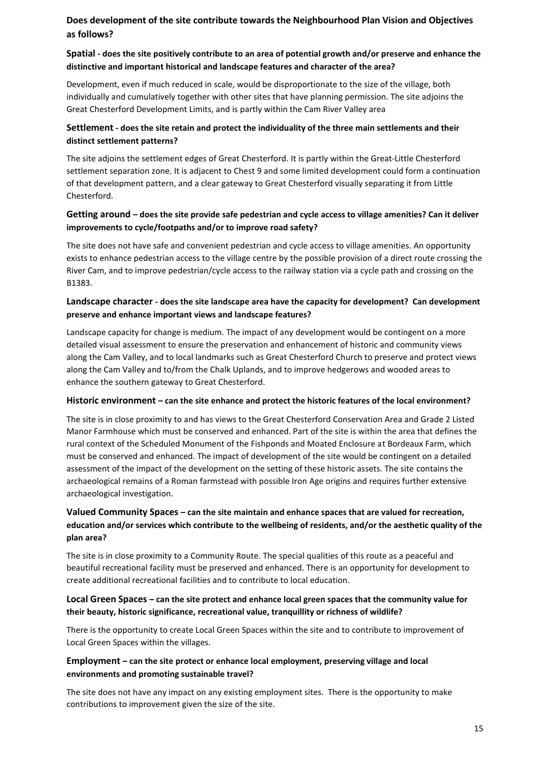# **Does development of the site contribute towards the Neighbourhood Plan Vision and Objectives as follows?**

# **Spatial - does the site positively contribute to an area of potential growth and/or preserve and enhance the distinctive and important historical and landscape features and character of the area?**

Development, even if much reduced in scale, would be disproportionate to the size of the village, both individually and cumulatively together with other sites that have planning permission. The site adjoins the Great Chesterford Development Limits, and is partly within the Cam River Valley area

# **Settlement - does the site retain and protect the individuality of the three main settlements and their distinct settlement patterns?**

The site adjoins the settlement edges of Great Chesterford. It is partly within the Great-Little Chesterford settlement separation zone. It is adjacent to Chest 9 and some limited development could form a continuation of that development pattern, and a clear gateway to Great Chesterford visually separating it from Little Chesterford.

# **Getting around – does the site provide safe pedestrian and cycle access to village amenities? Can it deliver improvements to cycle/footpaths and/or to improve road safety?**

The site does not have safe and convenient pedestrian and cycle access to village amenities. An opportunity exists to enhance pedestrian access to the village centre by the possible provision of a direct route crossing the River Cam, and to improve pedestrian/cycle access to the railway station via a cycle path and crossing on the B1383.

# **Landscape character - does the site landscape area have the capacity for development? Can development preserve and enhance important views and landscape features?**

Landscape capacity for change is medium. The impact of any development would be contingent on a more detailed visual assessment to ensure the preservation and enhancement of historic and community views along the Cam Valley, and to local landmarks such as Great Chesterford Church to preserve and protect views along the Cam Valley and to/from the Chalk Uplands, and to improve hedgerows and wooded areas to enhance the southern gateway to Great Chesterford.

# **Historic environment – can the site enhance and protect the historic features of the local environment?**

The site is in close proximity to and has views to the Great Chesterford Conservation Area and Grade 2 Listed Manor Farmhouse which must be conserved and enhanced. Part of the site is within the area that defines the rural context of the Scheduled Monument of the Fishponds and Moated Enclosure at Bordeaux Farm, which must be conserved and enhanced. The impact of development of the site would be contingent on a detailed assessment of the impact of the development on the setting of these historic assets. The site contains the archaeological remains of a Roman farmstead with possible Iron Age origins and requires further extensive archaeological investigation.

# **Valued Community Spaces – can the site maintain and enhance spaces that are valued for recreation, education and/or services which contribute to the wellbeing of residents, and/or the aesthetic quality of the plan area?**

The site is in close proximity to a Community Route. The special qualities of this route as a peaceful and beautiful recreational facility must be preserved and enhanced. There is an opportunity for development to create additional recreational facilities and to contribute to local education.

# **Local Green Spaces – can the site protect and enhance local green spaces that the community value for their beauty, historic significance, recreational value, tranquillity or richness of wildlife?**

There is the opportunity to create Local Green Spaces within the site and to contribute to improvement of Local Green Spaces within the villages.

# **Employment – can the site protect or enhance local employment, preserving village and local environments and promoting sustainable travel?**

The site does not have any impact on any existing employment sites. There is the opportunity to make contributions to improvement given the size of the site.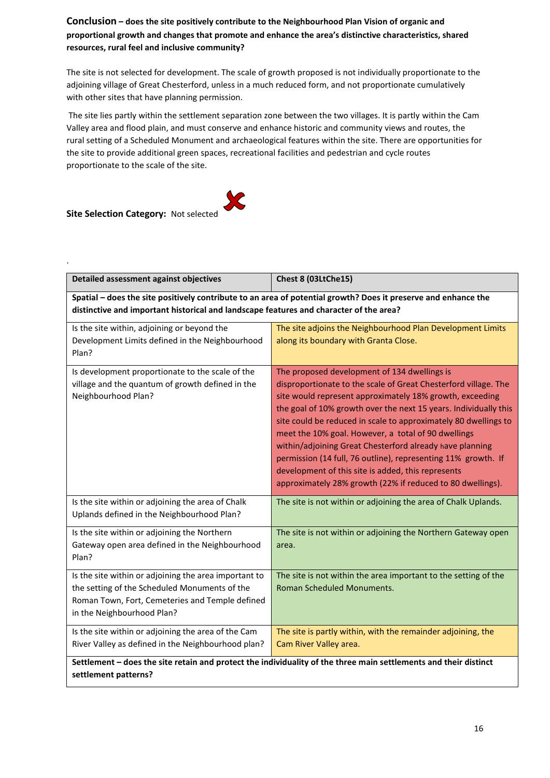**Conclusion – does the site positively contribute to the Neighbourhood Plan Vision of organic and proportional growth and changes that promote and enhance the area's distinctive characteristics, shared resources, rural feel and inclusive community?** 

The site is not selected for development. The scale of growth proposed is not individually proportionate to the adjoining village of Great Chesterford, unless in a much reduced form, and not proportionate cumulatively with other sites that have planning permission.

The site lies partly within the settlement separation zone between the two villages. It is partly within the Cam Valley area and flood plain, and must conserve and enhance historic and community views and routes, the rural setting of a Scheduled Monument and archaeological features within the site. There are opportunities for the site to provide additional green spaces, recreational facilities and pedestrian and cycle routes proportionate to the scale of the site.

# **Site Selection Category:** Not selected

.

| Detailed assessment against objectives                                                                                                                                                                   | Chest 8 (03LtChe15)                                                                                                                                                                                                                                                                                                                                                                                                                                                                                                                                                                                                        |  |  |
|----------------------------------------------------------------------------------------------------------------------------------------------------------------------------------------------------------|----------------------------------------------------------------------------------------------------------------------------------------------------------------------------------------------------------------------------------------------------------------------------------------------------------------------------------------------------------------------------------------------------------------------------------------------------------------------------------------------------------------------------------------------------------------------------------------------------------------------------|--|--|
| Spatial - does the site positively contribute to an area of potential growth? Does it preserve and enhance the<br>distinctive and important historical and landscape features and character of the area? |                                                                                                                                                                                                                                                                                                                                                                                                                                                                                                                                                                                                                            |  |  |
| Is the site within, adjoining or beyond the<br>Development Limits defined in the Neighbourhood<br>Plan?                                                                                                  | The site adjoins the Neighbourhood Plan Development Limits<br>along its boundary with Granta Close.                                                                                                                                                                                                                                                                                                                                                                                                                                                                                                                        |  |  |
| Is development proportionate to the scale of the<br>village and the quantum of growth defined in the<br>Neighbourhood Plan?                                                                              | The proposed development of 134 dwellings is<br>disproportionate to the scale of Great Chesterford village. The<br>site would represent approximately 18% growth, exceeding<br>the goal of 10% growth over the next 15 years. Individually this<br>site could be reduced in scale to approximately 80 dwellings to<br>meet the 10% goal. However, a total of 90 dwellings<br>within/adjoining Great Chesterford already have planning<br>permission (14 full, 76 outline), representing 11% growth. If<br>development of this site is added, this represents<br>approximately 28% growth (22% if reduced to 80 dwellings). |  |  |
| Is the site within or adjoining the area of Chalk<br>Uplands defined in the Neighbourhood Plan?                                                                                                          | The site is not within or adjoining the area of Chalk Uplands.                                                                                                                                                                                                                                                                                                                                                                                                                                                                                                                                                             |  |  |
| Is the site within or adjoining the Northern<br>Gateway open area defined in the Neighbourhood<br>Plan?                                                                                                  | The site is not within or adjoining the Northern Gateway open<br>area.                                                                                                                                                                                                                                                                                                                                                                                                                                                                                                                                                     |  |  |
| Is the site within or adjoining the area important to<br>the setting of the Scheduled Monuments of the<br>Roman Town, Fort, Cemeteries and Temple defined<br>in the Neighbourhood Plan?                  | The site is not within the area important to the setting of the<br>Roman Scheduled Monuments.                                                                                                                                                                                                                                                                                                                                                                                                                                                                                                                              |  |  |
| Is the site within or adjoining the area of the Cam<br>River Valley as defined in the Neighbourhood plan?                                                                                                | The site is partly within, with the remainder adjoining, the<br>Cam River Valley area.                                                                                                                                                                                                                                                                                                                                                                                                                                                                                                                                     |  |  |
| settlement patterns?                                                                                                                                                                                     | Settlement - does the site retain and protect the individuality of the three main settlements and their distinct                                                                                                                                                                                                                                                                                                                                                                                                                                                                                                           |  |  |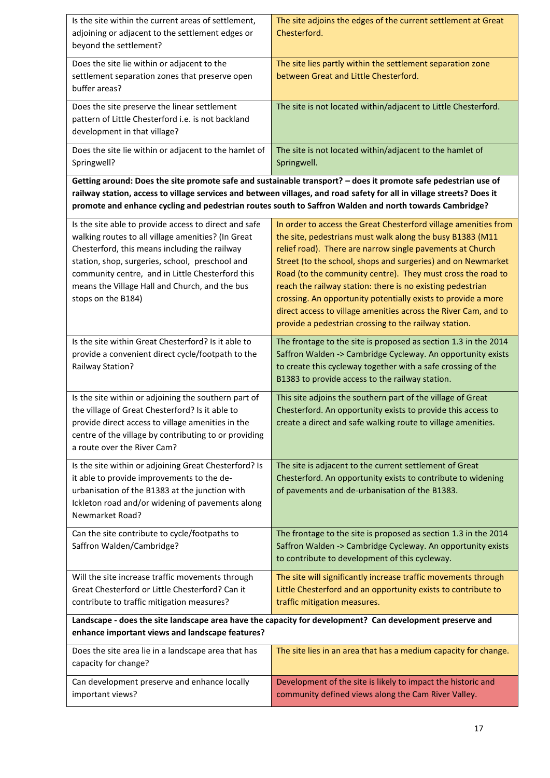| Is the site within the current areas of settlement,<br>adjoining or adjacent to the settlement edges or<br>beyond the settlement?                                                                                                                                                                                                           | The site adjoins the edges of the current settlement at Great<br>Chesterford.                                                                                                                                                                                                                                                                                                                                                                                                                                                                                                       |  |
|---------------------------------------------------------------------------------------------------------------------------------------------------------------------------------------------------------------------------------------------------------------------------------------------------------------------------------------------|-------------------------------------------------------------------------------------------------------------------------------------------------------------------------------------------------------------------------------------------------------------------------------------------------------------------------------------------------------------------------------------------------------------------------------------------------------------------------------------------------------------------------------------------------------------------------------------|--|
| Does the site lie within or adjacent to the<br>settlement separation zones that preserve open<br>buffer areas?                                                                                                                                                                                                                              | The site lies partly within the settlement separation zone<br>between Great and Little Chesterford.                                                                                                                                                                                                                                                                                                                                                                                                                                                                                 |  |
| Does the site preserve the linear settlement<br>pattern of Little Chesterford i.e. is not backland<br>development in that village?                                                                                                                                                                                                          | The site is not located within/adjacent to Little Chesterford.                                                                                                                                                                                                                                                                                                                                                                                                                                                                                                                      |  |
| Does the site lie within or adjacent to the hamlet of<br>Springwell?                                                                                                                                                                                                                                                                        | The site is not located within/adjacent to the hamlet of<br>Springwell.                                                                                                                                                                                                                                                                                                                                                                                                                                                                                                             |  |
|                                                                                                                                                                                                                                                                                                                                             | Getting around: Does the site promote safe and sustainable transport? - does it promote safe pedestrian use of                                                                                                                                                                                                                                                                                                                                                                                                                                                                      |  |
|                                                                                                                                                                                                                                                                                                                                             | railway station, access to village services and between villages, and road safety for all in village streets? Does it                                                                                                                                                                                                                                                                                                                                                                                                                                                               |  |
|                                                                                                                                                                                                                                                                                                                                             | promote and enhance cycling and pedestrian routes south to Saffron Walden and north towards Cambridge?                                                                                                                                                                                                                                                                                                                                                                                                                                                                              |  |
| Is the site able to provide access to direct and safe<br>walking routes to all village amenities? (In Great<br>Chesterford, this means including the railway<br>station, shop, surgeries, school, preschool and<br>community centre, and in Little Chesterford this<br>means the Village Hall and Church, and the bus<br>stops on the B184) | In order to access the Great Chesterford village amenities from<br>the site, pedestrians must walk along the busy B1383 (M11<br>relief road). There are narrow single pavements at Church<br>Street (to the school, shops and surgeries) and on Newmarket<br>Road (to the community centre). They must cross the road to<br>reach the railway station: there is no existing pedestrian<br>crossing. An opportunity potentially exists to provide a more<br>direct access to village amenities across the River Cam, and to<br>provide a pedestrian crossing to the railway station. |  |
| Is the site within Great Chesterford? Is it able to<br>provide a convenient direct cycle/footpath to the<br>Railway Station?                                                                                                                                                                                                                | The frontage to the site is proposed as section 1.3 in the 2014<br>Saffron Walden -> Cambridge Cycleway. An opportunity exists<br>to create this cycleway together with a safe crossing of the<br>B1383 to provide access to the railway station.                                                                                                                                                                                                                                                                                                                                   |  |
| Is the site within or adjoining the southern part of<br>the village of Great Chesterford? Is it able to<br>provide direct access to village amenities in the<br>centre of the village by contributing to or providing<br>a route over the River Cam?                                                                                        | This site adjoins the southern part of the village of Great<br>Chesterford. An opportunity exists to provide this access to<br>create a direct and safe walking route to village amenities.                                                                                                                                                                                                                                                                                                                                                                                         |  |
| Is the site within or adjoining Great Chesterford? Is<br>it able to provide improvements to the de-<br>urbanisation of the B1383 at the junction with<br>Ickleton road and/or widening of pavements along<br>Newmarket Road?                                                                                                                | The site is adjacent to the current settlement of Great<br>Chesterford. An opportunity exists to contribute to widening<br>of pavements and de-urbanisation of the B1383.                                                                                                                                                                                                                                                                                                                                                                                                           |  |
| Can the site contribute to cycle/footpaths to<br>Saffron Walden/Cambridge?                                                                                                                                                                                                                                                                  | The frontage to the site is proposed as section 1.3 in the 2014<br>Saffron Walden -> Cambridge Cycleway. An opportunity exists<br>to contribute to development of this cycleway.                                                                                                                                                                                                                                                                                                                                                                                                    |  |
| Will the site increase traffic movements through<br>Great Chesterford or Little Chesterford? Can it<br>contribute to traffic mitigation measures?                                                                                                                                                                                           | The site will significantly increase traffic movements through<br>Little Chesterford and an opportunity exists to contribute to<br>traffic mitigation measures.                                                                                                                                                                                                                                                                                                                                                                                                                     |  |
| enhance important views and landscape features?                                                                                                                                                                                                                                                                                             | Landscape - does the site landscape area have the capacity for development? Can development preserve and                                                                                                                                                                                                                                                                                                                                                                                                                                                                            |  |
| Does the site area lie in a landscape area that has<br>capacity for change?                                                                                                                                                                                                                                                                 | The site lies in an area that has a medium capacity for change.                                                                                                                                                                                                                                                                                                                                                                                                                                                                                                                     |  |
| Can development preserve and enhance locally<br>important views?                                                                                                                                                                                                                                                                            | Development of the site is likely to impact the historic and<br>community defined views along the Cam River Valley.                                                                                                                                                                                                                                                                                                                                                                                                                                                                 |  |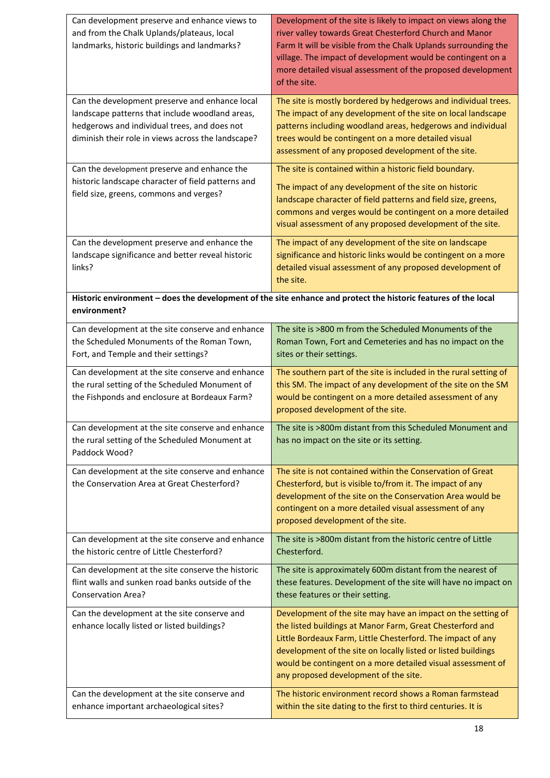| Can development preserve and enhance views to<br>and from the Chalk Uplands/plateaus, local<br>landmarks, historic buildings and landmarks?                                                                                                             | Development of the site is likely to impact on views along the<br>river valley towards Great Chesterford Church and Manor<br>Farm It will be visible from the Chalk Uplands surrounding the<br>village. The impact of development would be contingent on a<br>more detailed visual assessment of the proposed development<br>of the site.                              |
|---------------------------------------------------------------------------------------------------------------------------------------------------------------------------------------------------------------------------------------------------------|------------------------------------------------------------------------------------------------------------------------------------------------------------------------------------------------------------------------------------------------------------------------------------------------------------------------------------------------------------------------|
| Can the development preserve and enhance local<br>landscape patterns that include woodland areas,<br>hedgerows and individual trees, and does not<br>diminish their role in views across the landscape?<br>Can the development preserve and enhance the | The site is mostly bordered by hedgerows and individual trees.<br>The impact of any development of the site on local landscape<br>patterns including woodland areas, hedgerows and individual<br>trees would be contingent on a more detailed visual<br>assessment of any proposed development of the site.<br>The site is contained within a historic field boundary. |
| historic landscape character of field patterns and<br>field size, greens, commons and verges?                                                                                                                                                           | The impact of any development of the site on historic<br>landscape character of field patterns and field size, greens,<br>commons and verges would be contingent on a more detailed<br>visual assessment of any proposed development of the site.                                                                                                                      |
| Can the development preserve and enhance the<br>landscape significance and better reveal historic<br>links?                                                                                                                                             | The impact of any development of the site on landscape<br>significance and historic links would be contingent on a more<br>detailed visual assessment of any proposed development of<br>the site.                                                                                                                                                                      |
| environment?                                                                                                                                                                                                                                            | Historic environment - does the development of the site enhance and protect the historic features of the local                                                                                                                                                                                                                                                         |
| Can development at the site conserve and enhance<br>the Scheduled Monuments of the Roman Town,<br>Fort, and Temple and their settings?                                                                                                                  | The site is >800 m from the Scheduled Monuments of the<br>Roman Town, Fort and Cemeteries and has no impact on the<br>sites or their settings.                                                                                                                                                                                                                         |
| Can development at the site conserve and enhance<br>the rural setting of the Scheduled Monument of<br>the Fishponds and enclosure at Bordeaux Farm?                                                                                                     | The southern part of the site is included in the rural setting of<br>this SM. The impact of any development of the site on the SM<br>would be contingent on a more detailed assessment of any<br>proposed development of the site.                                                                                                                                     |
| Can development at the site conserve and enhance<br>the rural setting of the Scheduled Monument at<br>Paddock Wood?                                                                                                                                     | The site is >800m distant from this Scheduled Monument and<br>has no impact on the site or its setting.                                                                                                                                                                                                                                                                |
| Can development at the site conserve and enhance<br>the Conservation Area at Great Chesterford?                                                                                                                                                         | The site is not contained within the Conservation of Great<br>Chesterford, but is visible to/from it. The impact of any<br>development of the site on the Conservation Area would be<br>contingent on a more detailed visual assessment of any<br>proposed development of the site.                                                                                    |
| Can development at the site conserve and enhance<br>the historic centre of Little Chesterford?                                                                                                                                                          | The site is >800m distant from the historic centre of Little<br>Chesterford.                                                                                                                                                                                                                                                                                           |
| Can development at the site conserve the historic<br>flint walls and sunken road banks outside of the<br><b>Conservation Area?</b>                                                                                                                      | The site is approximately 600m distant from the nearest of<br>these features. Development of the site will have no impact on<br>these features or their setting.                                                                                                                                                                                                       |
| Can the development at the site conserve and<br>enhance locally listed or listed buildings?                                                                                                                                                             | Development of the site may have an impact on the setting of<br>the listed buildings at Manor Farm, Great Chesterford and<br>Little Bordeaux Farm, Little Chesterford. The impact of any<br>development of the site on locally listed or listed buildings<br>would be contingent on a more detailed visual assessment of<br>any proposed development of the site.      |
| Can the development at the site conserve and<br>enhance important archaeological sites?                                                                                                                                                                 | The historic environment record shows a Roman farmstead<br>within the site dating to the first to third centuries. It is                                                                                                                                                                                                                                               |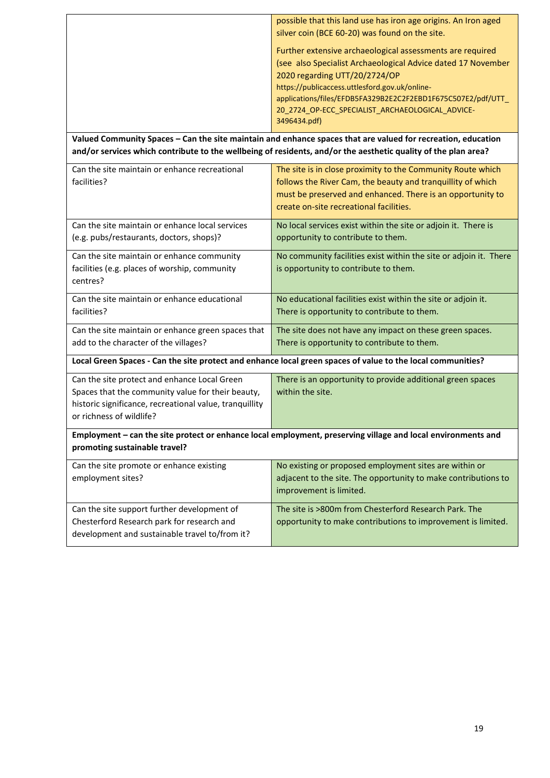|                                                                                                                                                                                          | possible that this land use has iron age origins. An Iron aged<br>silver coin (BCE 60-20) was found on the site.                                                                                                                                                                                                                                 |  |
|------------------------------------------------------------------------------------------------------------------------------------------------------------------------------------------|--------------------------------------------------------------------------------------------------------------------------------------------------------------------------------------------------------------------------------------------------------------------------------------------------------------------------------------------------|--|
|                                                                                                                                                                                          | Further extensive archaeological assessments are required<br>(see also Specialist Archaeological Advice dated 17 November<br>2020 regarding UTT/20/2724/OP<br>https://publicaccess.uttlesford.gov.uk/online-<br>applications/files/EFDB5FA329B2E2C2F2EBD1F675C507E2/pdf/UTT_<br>20_2724_OP-ECC_SPECIALIST_ARCHAEOLOGICAL_ADVICE-<br>3496434.pdf) |  |
|                                                                                                                                                                                          | Valued Community Spaces - Can the site maintain and enhance spaces that are valued for recreation, education                                                                                                                                                                                                                                     |  |
|                                                                                                                                                                                          | and/or services which contribute to the wellbeing of residents, and/or the aesthetic quality of the plan area?                                                                                                                                                                                                                                   |  |
| Can the site maintain or enhance recreational<br>facilities?                                                                                                                             | The site is in close proximity to the Community Route which<br>follows the River Cam, the beauty and tranquillity of which<br>must be preserved and enhanced. There is an opportunity to<br>create on-site recreational facilities.                                                                                                              |  |
| Can the site maintain or enhance local services<br>(e.g. pubs/restaurants, doctors, shops)?                                                                                              | No local services exist within the site or adjoin it. There is<br>opportunity to contribute to them.                                                                                                                                                                                                                                             |  |
| Can the site maintain or enhance community<br>facilities (e.g. places of worship, community<br>centres?                                                                                  | No community facilities exist within the site or adjoin it. There<br>is opportunity to contribute to them.                                                                                                                                                                                                                                       |  |
| Can the site maintain or enhance educational<br>facilities?                                                                                                                              | No educational facilities exist within the site or adjoin it.<br>There is opportunity to contribute to them.                                                                                                                                                                                                                                     |  |
| Can the site maintain or enhance green spaces that<br>add to the character of the villages?                                                                                              | The site does not have any impact on these green spaces.<br>There is opportunity to contribute to them.                                                                                                                                                                                                                                          |  |
|                                                                                                                                                                                          | Local Green Spaces - Can the site protect and enhance local green spaces of value to the local communities?                                                                                                                                                                                                                                      |  |
| Can the site protect and enhance Local Green<br>Spaces that the community value for their beauty,<br>historic significance, recreational value, tranquillity<br>or richness of wildlife? | There is an opportunity to provide additional green spaces<br>within the site.                                                                                                                                                                                                                                                                   |  |
| Employment - can the site protect or enhance local employment, preserving village and local environments and<br>promoting sustainable travel?                                            |                                                                                                                                                                                                                                                                                                                                                  |  |
| Can the site promote or enhance existing<br>employment sites?                                                                                                                            | No existing or proposed employment sites are within or<br>adjacent to the site. The opportunity to make contributions to<br>improvement is limited.                                                                                                                                                                                              |  |
| Can the site support further development of<br>Chesterford Research park for research and<br>development and sustainable travel to/from it?                                              | The site is >800m from Chesterford Research Park. The<br>opportunity to make contributions to improvement is limited.                                                                                                                                                                                                                            |  |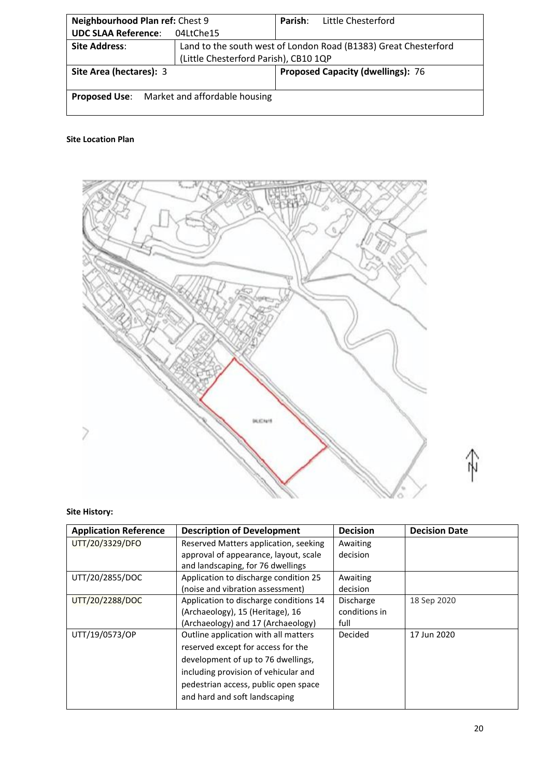| Neighbourhood Plan ref: Chest 9                                     |                                                                 | Parish: | Little Chesterford |
|---------------------------------------------------------------------|-----------------------------------------------------------------|---------|--------------------|
| <b>UDC SLAA Reference:</b>                                          | 04LtChe15                                                       |         |                    |
| <b>Site Address:</b>                                                | Land to the south west of London Road (B1383) Great Chesterford |         |                    |
|                                                                     | (Little Chesterford Parish), CB10 1QP                           |         |                    |
| <b>Proposed Capacity (dwellings): 76</b><br>Site Area (hectares): 3 |                                                                 |         |                    |
|                                                                     | <b>Proposed Use:</b> Market and affordable housing              |         |                    |



# **Site History:**

| <b>Application Reference</b> | <b>Description of Development</b>      | <b>Decision</b> | <b>Decision Date</b> |
|------------------------------|----------------------------------------|-----------------|----------------------|
| UTT/20/3329/DFO              | Reserved Matters application, seeking  | Awaiting        |                      |
|                              | approval of appearance, layout, scale  | decision        |                      |
|                              | and landscaping, for 76 dwellings      |                 |                      |
| UTT/20/2855/DOC              | Application to discharge condition 25  | Awaiting        |                      |
|                              | (noise and vibration assessment)       | decision        |                      |
| UTT/20/2288/DOC              | Application to discharge conditions 14 | Discharge       | 18 Sep 2020          |
|                              | (Archaeology), 15 (Heritage), 16       | conditions in   |                      |
|                              | (Archaeology) and 17 (Archaeology)     | full            |                      |
| UTT/19/0573/OP               | Outline application with all matters   | Decided         | 17 Jun 2020          |
|                              | reserved except for access for the     |                 |                      |
|                              | development of up to 76 dwellings,     |                 |                      |
|                              | including provision of vehicular and   |                 |                      |
|                              | pedestrian access, public open space   |                 |                      |
|                              | and hard and soft landscaping          |                 |                      |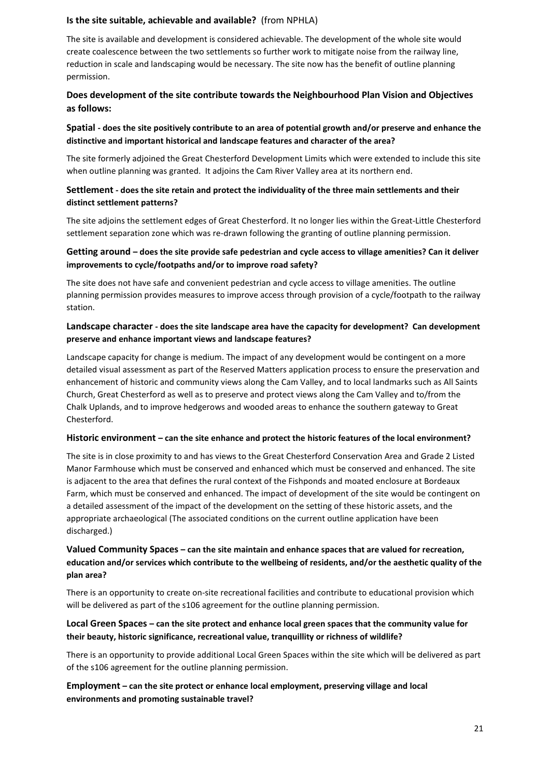# **Is the site suitable, achievable and available?** (from NPHLA)

The site is available and development is considered achievable. The development of the whole site would create coalescence between the two settlements so further work to mitigate noise from the railway line, reduction in scale and landscaping would be necessary. The site now has the benefit of outline planning permission.

# **Does development of the site contribute towards the Neighbourhood Plan Vision and Objectives as follows:**

# **Spatial - does the site positively contribute to an area of potential growth and/or preserve and enhance the distinctive and important historical and landscape features and character of the area?**

The site formerly adjoined the Great Chesterford Development Limits which were extended to include this site when outline planning was granted. It adjoins the Cam River Valley area at its northern end.

# **Settlement - does the site retain and protect the individuality of the three main settlements and their distinct settlement patterns?**

The site adjoins the settlement edges of Great Chesterford. It no longer lies within the Great-Little Chesterford settlement separation zone which was re-drawn following the granting of outline planning permission.

# **Getting around – does the site provide safe pedestrian and cycle access to village amenities? Can it deliver improvements to cycle/footpaths and/or to improve road safety?**

The site does not have safe and convenient pedestrian and cycle access to village amenities. The outline planning permission provides measures to improve access through provision of a cycle/footpath to the railway station.

# **Landscape character - does the site landscape area have the capacity for development? Can development preserve and enhance important views and landscape features?**

Landscape capacity for change is medium. The impact of any development would be contingent on a more detailed visual assessment as part of the Reserved Matters application process to ensure the preservation and enhancement of historic and community views along the Cam Valley, and to local landmarks such as All Saints Church, Great Chesterford as well as to preserve and protect views along the Cam Valley and to/from the Chalk Uplands, and to improve hedgerows and wooded areas to enhance the southern gateway to Great Chesterford.

# **Historic environment – can the site enhance and protect the historic features of the local environment?**

The site is in close proximity to and has views to the Great Chesterford Conservation Area and Grade 2 Listed Manor Farmhouse which must be conserved and enhanced which must be conserved and enhanced. The site is adjacent to the area that defines the rural context of the Fishponds and moated enclosure at Bordeaux Farm, which must be conserved and enhanced. The impact of development of the site would be contingent on a detailed assessment of the impact of the development on the setting of these historic assets, and the appropriate archaeological (The associated conditions on the current outline application have been discharged.)

# **Valued Community Spaces – can the site maintain and enhance spaces that are valued for recreation, education and/or services which contribute to the wellbeing of residents, and/or the aesthetic quality of the plan area?**

There is an opportunity to create on-site recreational facilities and contribute to educational provision which will be delivered as part of the s106 agreement for the outline planning permission.

# **Local Green Spaces – can the site protect and enhance local green spaces that the community value for their beauty, historic significance, recreational value, tranquillity or richness of wildlife?**

There is an opportunity to provide additional Local Green Spaces within the site which will be delivered as part of the s106 agreement for the outline planning permission.

# **Employment – can the site protect or enhance local employment, preserving village and local environments and promoting sustainable travel?**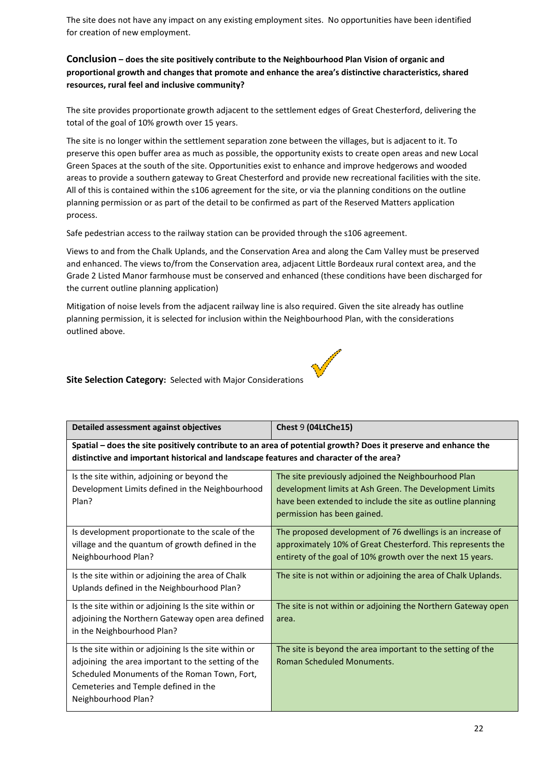The site does not have any impact on any existing employment sites. No opportunities have been identified for creation of new employment.

# **Conclusion – does the site positively contribute to the Neighbourhood Plan Vision of organic and proportional growth and changes that promote and enhance the area's distinctive characteristics, shared resources, rural feel and inclusive community?**

The site provides proportionate growth adjacent to the settlement edges of Great Chesterford, delivering the total of the goal of 10% growth over 15 years.

The site is no longer within the settlement separation zone between the villages, but is adjacent to it. To preserve this open buffer area as much as possible, the opportunity exists to create open areas and new Local Green Spaces at the south of the site. Opportunities exist to enhance and improve hedgerows and wooded areas to provide a southern gateway to Great Chesterford and provide new recreational facilities with the site. All of this is contained within the s106 agreement for the site, or via the planning conditions on the outline planning permission or as part of the detail to be confirmed as part of the Reserved Matters application process.

Safe pedestrian access to the railway station can be provided through the s106 agreement.

Views to and from the Chalk Uplands, and the Conservation Area and along the Cam Valley must be preserved and enhanced. The views to/from the Conservation area, adjacent Little Bordeaux rural context area, and the Grade 2 Listed Manor farmhouse must be conserved and enhanced (these conditions have been discharged for the current outline planning application)

Mitigation of noise levels from the adjacent railway line is also required. Given the site already has outline planning permission, it is selected for inclusion within the Neighbourhood Plan, with the considerations outlined above.

**Barriotte** 

### **Site Selection Category:** Selected with Major Considerations

| Detailed assessment against objectives                                                                                                                                                                                     | Chest 9 (04LtChe15)                                                                                                                                                                                         |  |
|----------------------------------------------------------------------------------------------------------------------------------------------------------------------------------------------------------------------------|-------------------------------------------------------------------------------------------------------------------------------------------------------------------------------------------------------------|--|
| Spatial – does the site positively contribute to an area of potential growth? Does it preserve and enhance the<br>distinctive and important historical and landscape features and character of the area?                   |                                                                                                                                                                                                             |  |
| Is the site within, adjoining or beyond the<br>Development Limits defined in the Neighbourhood<br>Plan?                                                                                                                    | The site previously adjoined the Neighbourhood Plan<br>development limits at Ash Green. The Development Limits<br>have been extended to include the site as outline planning<br>permission has been gained. |  |
| Is development proportionate to the scale of the<br>village and the quantum of growth defined in the<br>Neighbourhood Plan?                                                                                                | The proposed development of 76 dwellings is an increase of<br>approximately 10% of Great Chesterford. This represents the<br>entirety of the goal of 10% growth over the next 15 years.                     |  |
| Is the site within or adjoining the area of Chalk<br>Uplands defined in the Neighbourhood Plan?                                                                                                                            | The site is not within or adjoining the area of Chalk Uplands.                                                                                                                                              |  |
| Is the site within or adjoining Is the site within or<br>adjoining the Northern Gateway open area defined<br>in the Neighbourhood Plan?                                                                                    | The site is not within or adjoining the Northern Gateway open<br>area.                                                                                                                                      |  |
| Is the site within or adjoining Is the site within or<br>adjoining the area important to the setting of the<br>Scheduled Monuments of the Roman Town, Fort,<br>Cemeteries and Temple defined in the<br>Neighbourhood Plan? | The site is beyond the area important to the setting of the<br><b>Roman Scheduled Monuments.</b>                                                                                                            |  |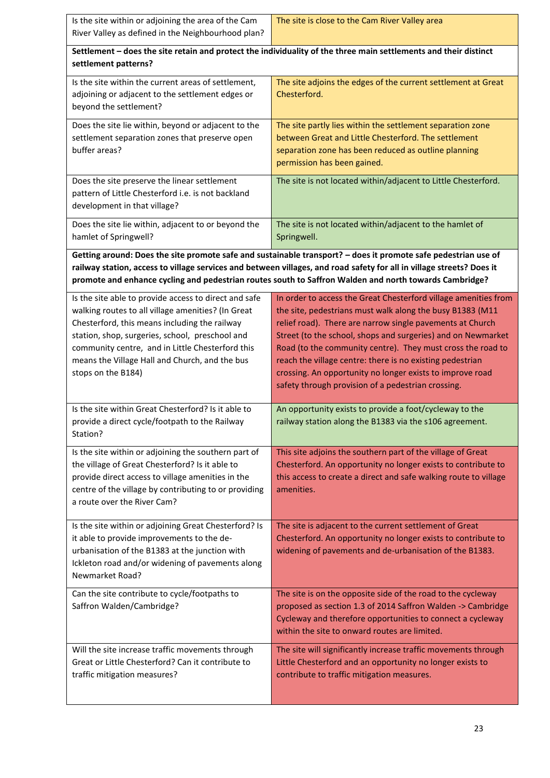| Is the site within or adjoining the area of the Cam<br>River Valley as defined in the Neighbourhood plan?                                                                                                                                                                                                                                   | The site is close to the Cam River Valley area                                                                                                                                                                                                                                                                                                                                                                                                                                                           |  |  |
|---------------------------------------------------------------------------------------------------------------------------------------------------------------------------------------------------------------------------------------------------------------------------------------------------------------------------------------------|----------------------------------------------------------------------------------------------------------------------------------------------------------------------------------------------------------------------------------------------------------------------------------------------------------------------------------------------------------------------------------------------------------------------------------------------------------------------------------------------------------|--|--|
| Settlement - does the site retain and protect the individuality of the three main settlements and their distinct<br>settlement patterns?                                                                                                                                                                                                    |                                                                                                                                                                                                                                                                                                                                                                                                                                                                                                          |  |  |
| Is the site within the current areas of settlement,<br>adjoining or adjacent to the settlement edges or<br>beyond the settlement?                                                                                                                                                                                                           | The site adjoins the edges of the current settlement at Great<br>Chesterford.                                                                                                                                                                                                                                                                                                                                                                                                                            |  |  |
| Does the site lie within, beyond or adjacent to the<br>settlement separation zones that preserve open<br>buffer areas?                                                                                                                                                                                                                      | The site partly lies within the settlement separation zone<br>between Great and Little Chesterford. The settlement<br>separation zone has been reduced as outline planning<br>permission has been gained.                                                                                                                                                                                                                                                                                                |  |  |
| Does the site preserve the linear settlement<br>pattern of Little Chesterford i.e. is not backland<br>development in that village?                                                                                                                                                                                                          | The site is not located within/adjacent to Little Chesterford.                                                                                                                                                                                                                                                                                                                                                                                                                                           |  |  |
| Does the site lie within, adjacent to or beyond the<br>hamlet of Springwell?                                                                                                                                                                                                                                                                | The site is not located within/adjacent to the hamlet of<br>Springwell.                                                                                                                                                                                                                                                                                                                                                                                                                                  |  |  |
|                                                                                                                                                                                                                                                                                                                                             | Getting around: Does the site promote safe and sustainable transport? - does it promote safe pedestrian use of<br>railway station, access to village services and between villages, and road safety for all in village streets? Does it<br>promote and enhance cycling and pedestrian routes south to Saffron Walden and north towards Cambridge?                                                                                                                                                        |  |  |
| Is the site able to provide access to direct and safe<br>walking routes to all village amenities? (In Great<br>Chesterford, this means including the railway<br>station, shop, surgeries, school, preschool and<br>community centre, and in Little Chesterford this<br>means the Village Hall and Church, and the bus<br>stops on the B184) | In order to access the Great Chesterford village amenities from<br>the site, pedestrians must walk along the busy B1383 (M11<br>relief road). There are narrow single pavements at Church<br>Street (to the school, shops and surgeries) and on Newmarket<br>Road (to the community centre). They must cross the road to<br>reach the village centre: there is no existing pedestrian<br>crossing. An opportunity no longer exists to improve road<br>safety through provision of a pedestrian crossing. |  |  |
| Is the site within Great Chesterford? Is it able to<br>provide a direct cycle/footpath to the Railway<br>Station?                                                                                                                                                                                                                           | An opportunity exists to provide a foot/cycleway to the<br>railway station along the B1383 via the s106 agreement.                                                                                                                                                                                                                                                                                                                                                                                       |  |  |
| Is the site within or adjoining the southern part of<br>the village of Great Chesterford? Is it able to<br>provide direct access to village amenities in the<br>centre of the village by contributing to or providing<br>a route over the River Cam?                                                                                        | This site adjoins the southern part of the village of Great<br>Chesterford. An opportunity no longer exists to contribute to<br>this access to create a direct and safe walking route to village<br>amenities.                                                                                                                                                                                                                                                                                           |  |  |
| Is the site within or adjoining Great Chesterford? Is<br>it able to provide improvements to the de-<br>urbanisation of the B1383 at the junction with<br>Ickleton road and/or widening of pavements along<br>Newmarket Road?                                                                                                                | The site is adjacent to the current settlement of Great<br>Chesterford. An opportunity no longer exists to contribute to<br>widening of pavements and de-urbanisation of the B1383.                                                                                                                                                                                                                                                                                                                      |  |  |
| Can the site contribute to cycle/footpaths to<br>Saffron Walden/Cambridge?                                                                                                                                                                                                                                                                  | The site is on the opposite side of the road to the cycleway<br>proposed as section 1.3 of 2014 Saffron Walden -> Cambridge<br>Cycleway and therefore opportunities to connect a cycleway<br>within the site to onward routes are limited.                                                                                                                                                                                                                                                               |  |  |
| Will the site increase traffic movements through<br>Great or Little Chesterford? Can it contribute to<br>traffic mitigation measures?                                                                                                                                                                                                       | The site will significantly increase traffic movements through<br>Little Chesterford and an opportunity no longer exists to<br>contribute to traffic mitigation measures.                                                                                                                                                                                                                                                                                                                                |  |  |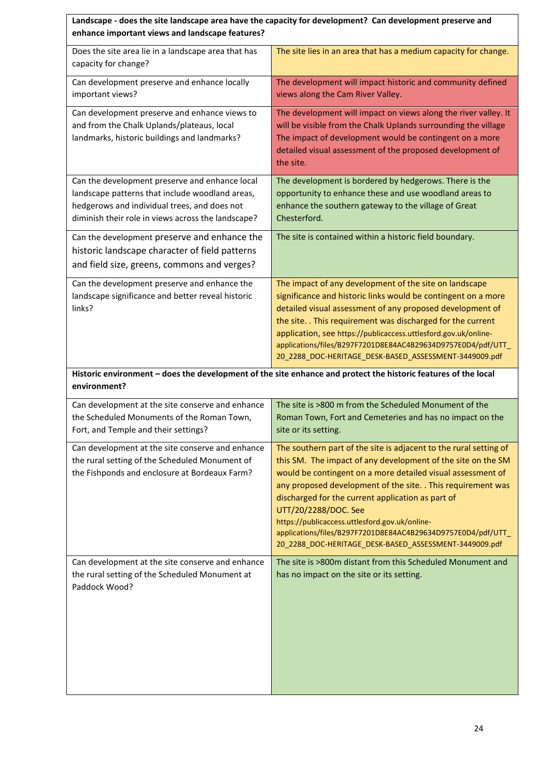| enhance important views and landscape features?                                                                                                                                                         | Landscape - does the site landscape area have the capacity for development? Can development preserve and                                                                                                                                                                                                                                                                                                                                                                                                                  |
|---------------------------------------------------------------------------------------------------------------------------------------------------------------------------------------------------------|---------------------------------------------------------------------------------------------------------------------------------------------------------------------------------------------------------------------------------------------------------------------------------------------------------------------------------------------------------------------------------------------------------------------------------------------------------------------------------------------------------------------------|
| Does the site area lie in a landscape area that has<br>capacity for change?                                                                                                                             | The site lies in an area that has a medium capacity for change.                                                                                                                                                                                                                                                                                                                                                                                                                                                           |
| Can development preserve and enhance locally<br>important views?                                                                                                                                        | The development will impact historic and community defined<br>views along the Cam River Valley.                                                                                                                                                                                                                                                                                                                                                                                                                           |
| Can development preserve and enhance views to<br>and from the Chalk Uplands/plateaus, local<br>landmarks, historic buildings and landmarks?                                                             | The development will impact on views along the river valley. It<br>will be visible from the Chalk Uplands surrounding the village<br>The impact of development would be contingent on a more<br>detailed visual assessment of the proposed development of<br>the site.                                                                                                                                                                                                                                                    |
| Can the development preserve and enhance local<br>landscape patterns that include woodland areas,<br>hedgerows and individual trees, and does not<br>diminish their role in views across the landscape? | The development is bordered by hedgerows. There is the<br>opportunity to enhance these and use woodland areas to<br>enhance the southern gateway to the village of Great<br>Chesterford.                                                                                                                                                                                                                                                                                                                                  |
| Can the development preserve and enhance the<br>historic landscape character of field patterns<br>and field size, greens, commons and verges?                                                           | The site is contained within a historic field boundary.                                                                                                                                                                                                                                                                                                                                                                                                                                                                   |
| Can the development preserve and enhance the<br>landscape significance and better reveal historic<br>links?                                                                                             | The impact of any development of the site on landscape<br>significance and historic links would be contingent on a more<br>detailed visual assessment of any proposed development of<br>the site. . This requirement was discharged for the current<br>application, see https://publicaccess.uttlesford.gov.uk/online-<br>applications/files/B297F7201D8E84AC4B29634D9757E0D4/pdf/UTT_<br>20_2288_DOC-HERITAGE_DESK-BASED_ASSESSMENT-3449009.pdf                                                                          |
| environment?                                                                                                                                                                                            | Historic environment - does the development of the site enhance and protect the historic features of the local                                                                                                                                                                                                                                                                                                                                                                                                            |
| Can development at the site conserve and enhance<br>the Scheduled Monuments of the Roman Town,<br>Fort, and Temple and their settings?                                                                  | The site is >800 m from the Scheduled Monument of the<br>Roman Town, Fort and Cemeteries and has no impact on the<br>site or its setting.                                                                                                                                                                                                                                                                                                                                                                                 |
| Can development at the site conserve and enhance<br>the rural setting of the Scheduled Monument of<br>the Fishponds and enclosure at Bordeaux Farm?                                                     | The southern part of the site is adjacent to the rural setting of<br>this SM. The impact of any development of the site on the SM<br>would be contingent on a more detailed visual assessment of<br>any proposed development of the site. . This requirement was<br>discharged for the current application as part of<br>UTT/20/2288/DOC. See<br>https://publicaccess.uttlesford.gov.uk/online-<br>applications/files/B297F7201D8E84AC4B29634D9757E0D4/pdf/UTT_<br>20_2288_DOC-HERITAGE_DESK-BASED_ASSESSMENT-3449009.pdf |
| Can development at the site conserve and enhance<br>the rural setting of the Scheduled Monument at<br>Paddock Wood?                                                                                     | The site is >800m distant from this Scheduled Monument and<br>has no impact on the site or its setting.                                                                                                                                                                                                                                                                                                                                                                                                                   |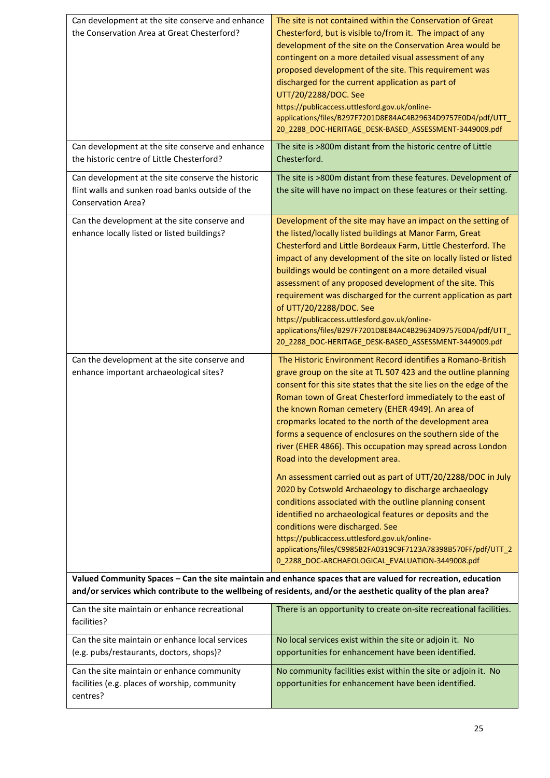| Can development at the site conserve and enhance<br>the Conservation Area at Great Chesterford?                                    | The site is not contained within the Conservation of Great<br>Chesterford, but is visible to/from it. The impact of any<br>development of the site on the Conservation Area would be<br>contingent on a more detailed visual assessment of any<br>proposed development of the site. This requirement was<br>discharged for the current application as part of<br>UTT/20/2288/DOC. See<br>https://publicaccess.uttlesford.gov.uk/online-<br>applications/files/B297F7201D8E84AC4B29634D9757E0D4/pdf/UTT<br>20_2288_DOC-HERITAGE_DESK-BASED_ASSESSMENT-3449009.pdf                                                                                                                                                                                                                                                                                                                                                                                                                                           |
|------------------------------------------------------------------------------------------------------------------------------------|------------------------------------------------------------------------------------------------------------------------------------------------------------------------------------------------------------------------------------------------------------------------------------------------------------------------------------------------------------------------------------------------------------------------------------------------------------------------------------------------------------------------------------------------------------------------------------------------------------------------------------------------------------------------------------------------------------------------------------------------------------------------------------------------------------------------------------------------------------------------------------------------------------------------------------------------------------------------------------------------------------|
| Can development at the site conserve and enhance<br>the historic centre of Little Chesterford?                                     | The site is >800m distant from the historic centre of Little<br>Chesterford.                                                                                                                                                                                                                                                                                                                                                                                                                                                                                                                                                                                                                                                                                                                                                                                                                                                                                                                               |
| Can development at the site conserve the historic<br>flint walls and sunken road banks outside of the<br><b>Conservation Area?</b> | The site is >800m distant from these features. Development of<br>the site will have no impact on these features or their setting.                                                                                                                                                                                                                                                                                                                                                                                                                                                                                                                                                                                                                                                                                                                                                                                                                                                                          |
| Can the development at the site conserve and<br>enhance locally listed or listed buildings?                                        | Development of the site may have an impact on the setting of<br>the listed/locally listed buildings at Manor Farm, Great<br>Chesterford and Little Bordeaux Farm, Little Chesterford. The<br>impact of any development of the site on locally listed or listed<br>buildings would be contingent on a more detailed visual<br>assessment of any proposed development of the site. This<br>requirement was discharged for the current application as part<br>of UTT/20/2288/DOC. See<br>https://publicaccess.uttlesford.gov.uk/online-<br>applications/files/B297F7201D8E84AC4B29634D9757E0D4/pdf/UTT_<br>20_2288_DOC-HERITAGE_DESK-BASED_ASSESSMENT-3449009.pdf                                                                                                                                                                                                                                                                                                                                             |
| Can the development at the site conserve and<br>enhance important archaeological sites?                                            | The Historic Environment Record identifies a Romano-British<br>grave group on the site at TL 507 423 and the outline planning<br>consent for this site states that the site lies on the edge of the<br>Roman town of Great Chesterford immediately to the east of<br>the known Roman cemetery (EHER 4949). An area of<br>cropmarks located to the north of the development area<br>forms a sequence of enclosures on the southern side of the<br>river (EHER 4866). This occupation may spread across London<br>Road into the development area.<br>An assessment carried out as part of UTT/20/2288/DOC in July<br>2020 by Cotswold Archaeology to discharge archaeology<br>conditions associated with the outline planning consent<br>identified no archaeological features or deposits and the<br>conditions were discharged. See<br>https://publicaccess.uttlesford.gov.uk/online-<br>applications/files/C9985B2FA0319C9F7123A78398B570FF/pdf/UTT 2<br>0_2288_DOC-ARCHAEOLOGICAL_EVALUATION-3449008.pdf |
|                                                                                                                                    | Valued Community Spaces - Can the site maintain and enhance spaces that are valued for recreation, education<br>and/or services which contribute to the wellbeing of residents, and/or the aesthetic quality of the plan area?                                                                                                                                                                                                                                                                                                                                                                                                                                                                                                                                                                                                                                                                                                                                                                             |
| Can the site maintain or enhance recreational<br>facilities?                                                                       | There is an opportunity to create on-site recreational facilities.                                                                                                                                                                                                                                                                                                                                                                                                                                                                                                                                                                                                                                                                                                                                                                                                                                                                                                                                         |
| Can the site maintain or enhance local services<br>(e.g. pubs/restaurants, doctors, shops)?                                        | No local services exist within the site or adjoin it. No<br>opportunities for enhancement have been identified.                                                                                                                                                                                                                                                                                                                                                                                                                                                                                                                                                                                                                                                                                                                                                                                                                                                                                            |
| Can the site maintain or enhance community<br>facilities (e.g. places of worship, community<br>centres?                            | No community facilities exist within the site or adjoin it. No<br>opportunities for enhancement have been identified.                                                                                                                                                                                                                                                                                                                                                                                                                                                                                                                                                                                                                                                                                                                                                                                                                                                                                      |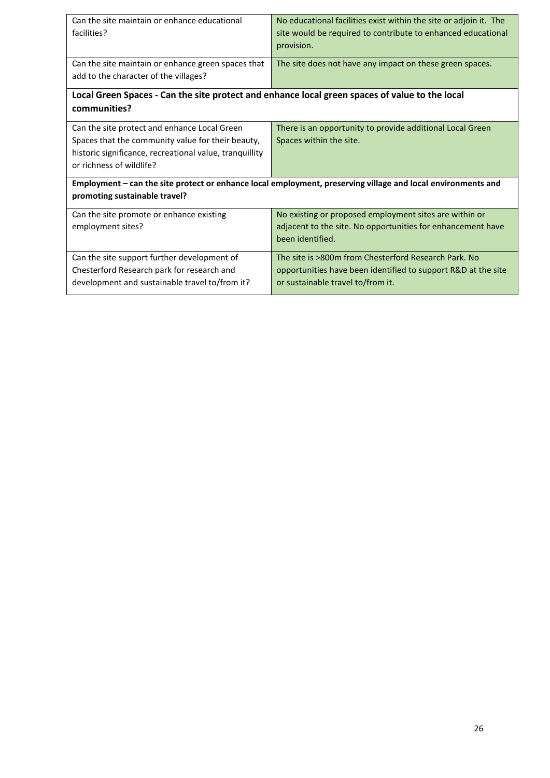| Can the site maintain or enhance educational<br>facilities?                                                                                                                              | No educational facilities exist within the site or adjoin it. The<br>site would be required to contribute to enhanced educational<br>provision.            |  |
|------------------------------------------------------------------------------------------------------------------------------------------------------------------------------------------|------------------------------------------------------------------------------------------------------------------------------------------------------------|--|
| Can the site maintain or enhance green spaces that<br>add to the character of the villages?                                                                                              | The site does not have any impact on these green spaces.                                                                                                   |  |
| Local Green Spaces - Can the site protect and enhance local green spaces of value to the local<br>communities?                                                                           |                                                                                                                                                            |  |
| Can the site protect and enhance Local Green<br>Spaces that the community value for their beauty,<br>historic significance, recreational value, tranquillity<br>or richness of wildlife? | There is an opportunity to provide additional Local Green<br>Spaces within the site.                                                                       |  |
| Employment - can the site protect or enhance local employment, preserving village and local environments and<br>promoting sustainable travel?                                            |                                                                                                                                                            |  |
| Can the site promote or enhance existing<br>employment sites?                                                                                                                            | No existing or proposed employment sites are within or<br>adjacent to the site. No opportunities for enhancement have<br>been identified.                  |  |
| Can the site support further development of<br>Chesterford Research park for research and<br>development and sustainable travel to/from it?                                              | The site is >800m from Chesterford Research Park. No<br>opportunities have been identified to support R&D at the site<br>or sustainable travel to/from it. |  |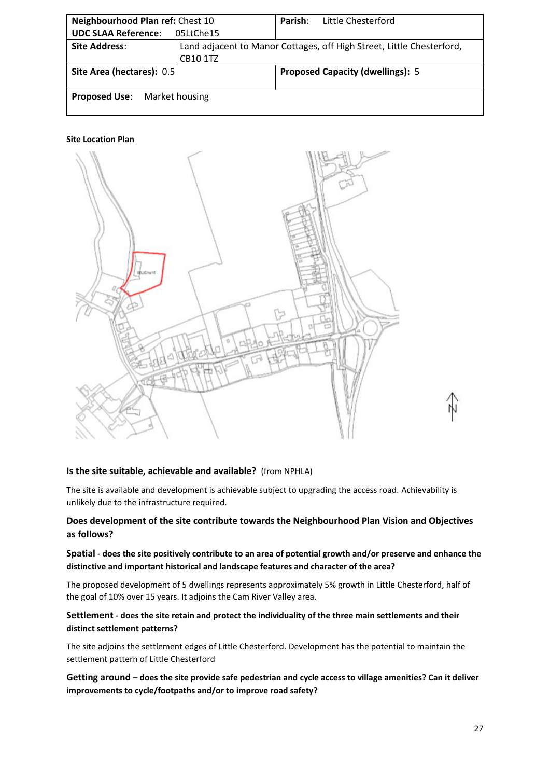| Neighbourhood Plan ref: Chest 10                                     | Little Chesterford<br>Parish:                                         |  |  |
|----------------------------------------------------------------------|-----------------------------------------------------------------------|--|--|
| <b>UDC SLAA Reference:</b>                                           | 05LtChe15                                                             |  |  |
| <b>Site Address:</b>                                                 | Land adjacent to Manor Cottages, off High Street, Little Chesterford, |  |  |
|                                                                      | <b>CB10 1TZ</b>                                                       |  |  |
| Site Area (hectares): 0.5<br><b>Proposed Capacity (dwellings): 5</b> |                                                                       |  |  |
|                                                                      |                                                                       |  |  |
| <b>Proposed Use:</b> Market housing                                  |                                                                       |  |  |



#### **Is the site suitable, achievable and available?** (from NPHLA)

The site is available and development is achievable subject to upgrading the access road. Achievability is unlikely due to the infrastructure required.

# **Does development of the site contribute towards the Neighbourhood Plan Vision and Objectives as follows?**

# **Spatial - does the site positively contribute to an area of potential growth and/or preserve and enhance the distinctive and important historical and landscape features and character of the area?**

The proposed development of 5 dwellings represents approximately 5% growth in Little Chesterford, half of the goal of 10% over 15 years. It adjoins the Cam River Valley area.

# **Settlement - does the site retain and protect the individuality of the three main settlements and their distinct settlement patterns?**

The site adjoins the settlement edges of Little Chesterford. Development has the potential to maintain the settlement pattern of Little Chesterford

**Getting around – does the site provide safe pedestrian and cycle access to village amenities? Can it deliver improvements to cycle/footpaths and/or to improve road safety?**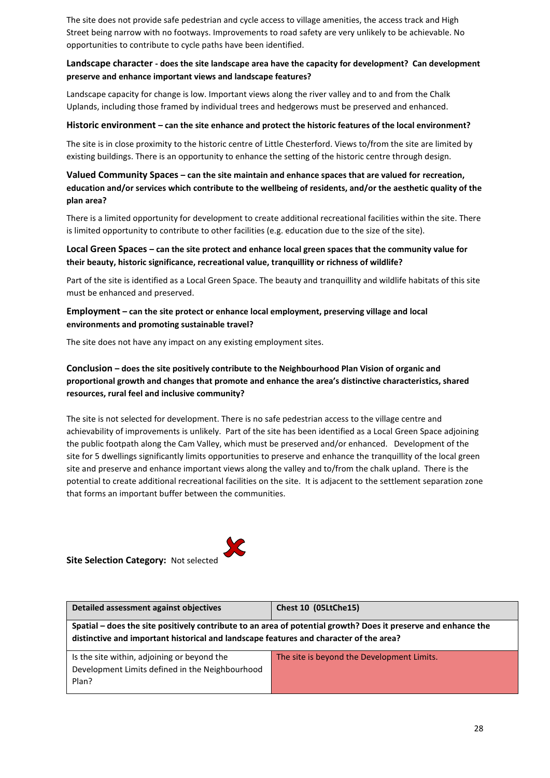The site does not provide safe pedestrian and cycle access to village amenities, the access track and High Street being narrow with no footways. Improvements to road safety are very unlikely to be achievable. No opportunities to contribute to cycle paths have been identified.

# **Landscape character - does the site landscape area have the capacity for development? Can development preserve and enhance important views and landscape features?**

Landscape capacity for change is low. Important views along the river valley and to and from the Chalk Uplands, including those framed by individual trees and hedgerows must be preserved and enhanced.

#### **Historic environment – can the site enhance and protect the historic features of the local environment?**

The site is in close proximity to the historic centre of Little Chesterford. Views to/from the site are limited by existing buildings. There is an opportunity to enhance the setting of the historic centre through design.

# **Valued Community Spaces – can the site maintain and enhance spaces that are valued for recreation, education and/or services which contribute to the wellbeing of residents, and/or the aesthetic quality of the plan area?**

There is a limited opportunity for development to create additional recreational facilities within the site. There is limited opportunity to contribute to other facilities (e.g. education due to the size of the site).

# **Local Green Spaces – can the site protect and enhance local green spaces that the community value for their beauty, historic significance, recreational value, tranquillity or richness of wildlife?**

Part of the site is identified as a Local Green Space. The beauty and tranquillity and wildlife habitats of this site must be enhanced and preserved.

# **Employment – can the site protect or enhance local employment, preserving village and local environments and promoting sustainable travel?**

The site does not have any impact on any existing employment sites.

# **Conclusion – does the site positively contribute to the Neighbourhood Plan Vision of organic and proportional growth and changes that promote and enhance the area's distinctive characteristics, shared resources, rural feel and inclusive community?**

The site is not selected for development. There is no safe pedestrian access to the village centre and achievability of improvements is unlikely. Part of the site has been identified as a Local Green Space adjoining the public footpath along the Cam Valley, which must be preserved and/or enhanced. Development of the site for 5 dwellings significantly limits opportunities to preserve and enhance the tranquillity of the local green site and preserve and enhance important views along the valley and to/from the chalk upland. There is the potential to create additional recreational facilities on the site. It is adjacent to the settlement separation zone that forms an important buffer between the communities.

# **Site Selection Category:** Not selected

| Detailed assessment against objectives                                                                                                                                                                   | Chest 10 (05LtChe15)                       |  |  |
|----------------------------------------------------------------------------------------------------------------------------------------------------------------------------------------------------------|--------------------------------------------|--|--|
| Spatial – does the site positively contribute to an area of potential growth? Does it preserve and enhance the<br>distinctive and important historical and landscape features and character of the area? |                                            |  |  |
| Is the site within, adjoining or beyond the<br>Development Limits defined in the Neighbourhood<br>Plan?                                                                                                  | The site is beyond the Development Limits. |  |  |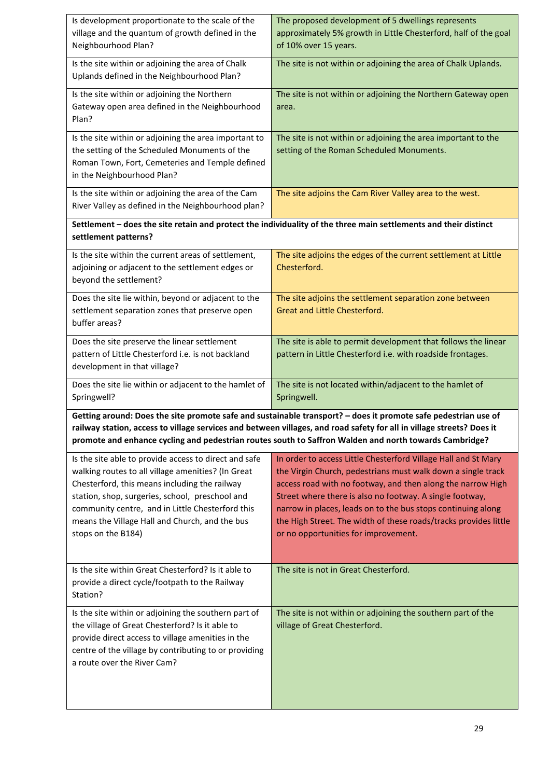| Is development proportionate to the scale of the<br>village and the quantum of growth defined in the<br>Neighbourhood Plan?                                                                                                                                                                                                                 | The proposed development of 5 dwellings represents<br>approximately 5% growth in Little Chesterford, half of the goal<br>of 10% over 15 years.                                                                                                                                                                                                                                                                                        |  |  |
|---------------------------------------------------------------------------------------------------------------------------------------------------------------------------------------------------------------------------------------------------------------------------------------------------------------------------------------------|---------------------------------------------------------------------------------------------------------------------------------------------------------------------------------------------------------------------------------------------------------------------------------------------------------------------------------------------------------------------------------------------------------------------------------------|--|--|
| Is the site within or adjoining the area of Chalk<br>Uplands defined in the Neighbourhood Plan?                                                                                                                                                                                                                                             | The site is not within or adjoining the area of Chalk Uplands.                                                                                                                                                                                                                                                                                                                                                                        |  |  |
| Is the site within or adjoining the Northern<br>Gateway open area defined in the Neighbourhood<br>Plan?                                                                                                                                                                                                                                     | The site is not within or adjoining the Northern Gateway open<br>area.                                                                                                                                                                                                                                                                                                                                                                |  |  |
| Is the site within or adjoining the area important to<br>the setting of the Scheduled Monuments of the<br>Roman Town, Fort, Cemeteries and Temple defined<br>in the Neighbourhood Plan?                                                                                                                                                     | The site is not within or adjoining the area important to the<br>setting of the Roman Scheduled Monuments.                                                                                                                                                                                                                                                                                                                            |  |  |
| Is the site within or adjoining the area of the Cam<br>River Valley as defined in the Neighbourhood plan?                                                                                                                                                                                                                                   | The site adjoins the Cam River Valley area to the west.                                                                                                                                                                                                                                                                                                                                                                               |  |  |
| settlement patterns?                                                                                                                                                                                                                                                                                                                        | Settlement - does the site retain and protect the individuality of the three main settlements and their distinct                                                                                                                                                                                                                                                                                                                      |  |  |
| Is the site within the current areas of settlement,<br>adjoining or adjacent to the settlement edges or<br>beyond the settlement?                                                                                                                                                                                                           | The site adjoins the edges of the current settlement at Little<br>Chesterford.                                                                                                                                                                                                                                                                                                                                                        |  |  |
| Does the site lie within, beyond or adjacent to the<br>settlement separation zones that preserve open<br>buffer areas?                                                                                                                                                                                                                      | The site adjoins the settlement separation zone between<br>Great and Little Chesterford.                                                                                                                                                                                                                                                                                                                                              |  |  |
| Does the site preserve the linear settlement<br>pattern of Little Chesterford i.e. is not backland<br>development in that village?                                                                                                                                                                                                          | The site is able to permit development that follows the linear<br>pattern in Little Chesterford i.e. with roadside frontages.                                                                                                                                                                                                                                                                                                         |  |  |
| Does the site lie within or adjacent to the hamlet of<br>Springwell?                                                                                                                                                                                                                                                                        | The site is not located within/adjacent to the hamlet of<br>Springwell.                                                                                                                                                                                                                                                                                                                                                               |  |  |
|                                                                                                                                                                                                                                                                                                                                             | Getting around: Does the site promote safe and sustainable transport? - does it promote safe pedestrian use of<br>railway station, access to village services and between villages, and road safety for all in village streets? Does it<br>promote and enhance cycling and pedestrian routes south to Saffron Walden and north towards Cambridge?                                                                                     |  |  |
| Is the site able to provide access to direct and safe<br>walking routes to all village amenities? (In Great<br>Chesterford, this means including the railway<br>station, shop, surgeries, school, preschool and<br>community centre, and in Little Chesterford this<br>means the Village Hall and Church, and the bus<br>stops on the B184) | In order to access Little Chesterford Village Hall and St Mary<br>the Virgin Church, pedestrians must walk down a single track<br>access road with no footway, and then along the narrow High<br>Street where there is also no footway. A single footway,<br>narrow in places, leads on to the bus stops continuing along<br>the High Street. The width of these roads/tracks provides little<br>or no opportunities for improvement. |  |  |
| Is the site within Great Chesterford? Is it able to<br>provide a direct cycle/footpath to the Railway<br>Station?                                                                                                                                                                                                                           | The site is not in Great Chesterford.                                                                                                                                                                                                                                                                                                                                                                                                 |  |  |
| Is the site within or adjoining the southern part of<br>the village of Great Chesterford? Is it able to<br>provide direct access to village amenities in the<br>centre of the village by contributing to or providing<br>a route over the River Cam?                                                                                        | The site is not within or adjoining the southern part of the<br>village of Great Chesterford.                                                                                                                                                                                                                                                                                                                                         |  |  |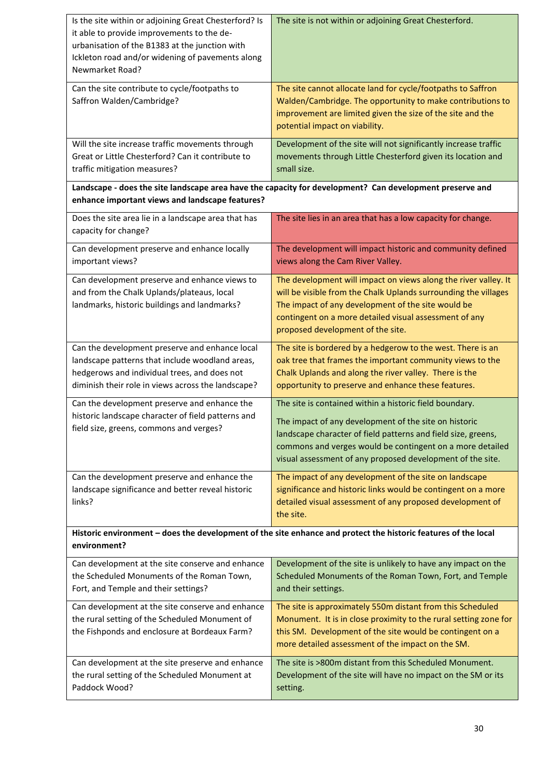| Is the site within or adjoining Great Chesterford? Is<br>it able to provide improvements to the de-<br>urbanisation of the B1383 at the junction with<br>Ickleton road and/or widening of pavements along<br>Newmarket Road? | The site is not within or adjoining Great Chesterford.                                                                                                                                                                                                                                                       |  |
|------------------------------------------------------------------------------------------------------------------------------------------------------------------------------------------------------------------------------|--------------------------------------------------------------------------------------------------------------------------------------------------------------------------------------------------------------------------------------------------------------------------------------------------------------|--|
| Can the site contribute to cycle/footpaths to<br>Saffron Walden/Cambridge?                                                                                                                                                   | The site cannot allocate land for cycle/footpaths to Saffron<br>Walden/Cambridge. The opportunity to make contributions to<br>improvement are limited given the size of the site and the<br>potential impact on viability.                                                                                   |  |
| Will the site increase traffic movements through<br>Great or Little Chesterford? Can it contribute to<br>traffic mitigation measures?                                                                                        | Development of the site will not significantly increase traffic<br>movements through Little Chesterford given its location and<br>small size.                                                                                                                                                                |  |
| enhance important views and landscape features?                                                                                                                                                                              | Landscape - does the site landscape area have the capacity for development? Can development preserve and                                                                                                                                                                                                     |  |
| Does the site area lie in a landscape area that has<br>capacity for change?                                                                                                                                                  | The site lies in an area that has a low capacity for change.                                                                                                                                                                                                                                                 |  |
| Can development preserve and enhance locally<br>important views?                                                                                                                                                             | The development will impact historic and community defined<br>views along the Cam River Valley.                                                                                                                                                                                                              |  |
| Can development preserve and enhance views to<br>and from the Chalk Uplands/plateaus, local<br>landmarks, historic buildings and landmarks?                                                                                  | The development will impact on views along the river valley. It<br>will be visible from the Chalk Uplands surrounding the villages<br>The impact of any development of the site would be<br>contingent on a more detailed visual assessment of any<br>proposed development of the site.                      |  |
| Can the development preserve and enhance local<br>landscape patterns that include woodland areas,<br>hedgerows and individual trees, and does not<br>diminish their role in views across the landscape?                      | The site is bordered by a hedgerow to the west. There is an<br>oak tree that frames the important community views to the<br>Chalk Uplands and along the river valley. There is the<br>opportunity to preserve and enhance these features.                                                                    |  |
| Can the development preserve and enhance the<br>historic landscape character of field patterns and<br>field size, greens, commons and verges?                                                                                | The site is contained within a historic field boundary.<br>The impact of any development of the site on historic<br>landscape character of field patterns and field size, greens,<br>commons and verges would be contingent on a more detailed<br>visual assessment of any proposed development of the site. |  |
| Can the development preserve and enhance the<br>landscape significance and better reveal historic<br>links?                                                                                                                  | The impact of any development of the site on landscape<br>significance and historic links would be contingent on a more<br>detailed visual assessment of any proposed development of<br>the site.                                                                                                            |  |
| environment?                                                                                                                                                                                                                 | Historic environment - does the development of the site enhance and protect the historic features of the local                                                                                                                                                                                               |  |
| Can development at the site conserve and enhance<br>the Scheduled Monuments of the Roman Town,<br>Fort, and Temple and their settings?                                                                                       | Development of the site is unlikely to have any impact on the<br>Scheduled Monuments of the Roman Town, Fort, and Temple<br>and their settings.                                                                                                                                                              |  |
| Can development at the site conserve and enhance<br>the rural setting of the Scheduled Monument of<br>the Fishponds and enclosure at Bordeaux Farm?                                                                          | The site is approximately 550m distant from this Scheduled<br>Monument. It is in close proximity to the rural setting zone for<br>this SM. Development of the site would be contingent on a<br>more detailed assessment of the impact on the SM.                                                             |  |
| Can development at the site preserve and enhance<br>the rural setting of the Scheduled Monument at<br>Paddock Wood?                                                                                                          | The site is >800m distant from this Scheduled Monument.<br>Development of the site will have no impact on the SM or its<br>setting.                                                                                                                                                                          |  |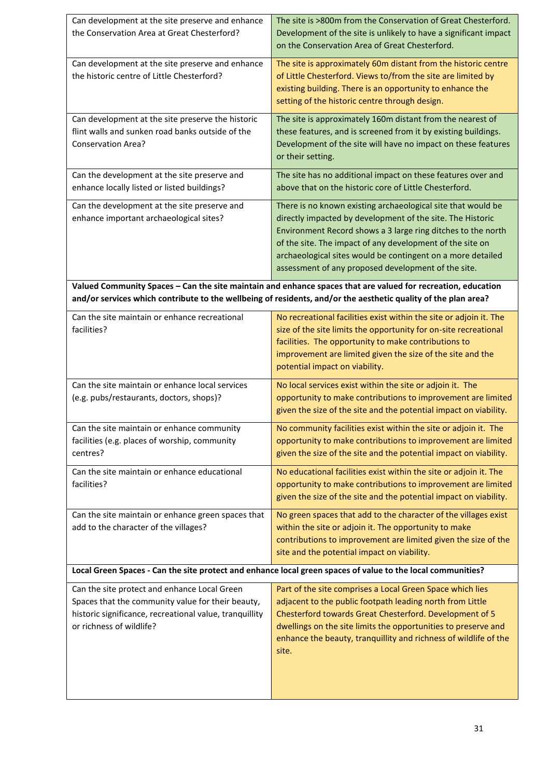| Can development at the site preserve and enhance                                                                                                                                                                               | The site is >800m from the Conservation of Great Chesterford.                                                            |  |
|--------------------------------------------------------------------------------------------------------------------------------------------------------------------------------------------------------------------------------|--------------------------------------------------------------------------------------------------------------------------|--|
| the Conservation Area at Great Chesterford?                                                                                                                                                                                    | Development of the site is unlikely to have a significant impact<br>on the Conservation Area of Great Chesterford.       |  |
| Can development at the site preserve and enhance                                                                                                                                                                               | The site is approximately 60m distant from the historic centre                                                           |  |
| the historic centre of Little Chesterford?                                                                                                                                                                                     | of Little Chesterford. Views to/from the site are limited by                                                             |  |
|                                                                                                                                                                                                                                | existing building. There is an opportunity to enhance the                                                                |  |
|                                                                                                                                                                                                                                | setting of the historic centre through design.                                                                           |  |
| Can development at the site preserve the historic                                                                                                                                                                              | The site is approximately 160m distant from the nearest of                                                               |  |
| flint walls and sunken road banks outside of the                                                                                                                                                                               | these features, and is screened from it by existing buildings.                                                           |  |
| <b>Conservation Area?</b>                                                                                                                                                                                                      | Development of the site will have no impact on these features<br>or their setting.                                       |  |
|                                                                                                                                                                                                                                |                                                                                                                          |  |
| Can the development at the site preserve and                                                                                                                                                                                   | The site has no additional impact on these features over and                                                             |  |
| enhance locally listed or listed buildings?                                                                                                                                                                                    | above that on the historic core of Little Chesterford.                                                                   |  |
| Can the development at the site preserve and                                                                                                                                                                                   | There is no known existing archaeological site that would be                                                             |  |
| enhance important archaeological sites?                                                                                                                                                                                        | directly impacted by development of the site. The Historic                                                               |  |
|                                                                                                                                                                                                                                | Environment Record shows a 3 large ring ditches to the north                                                             |  |
|                                                                                                                                                                                                                                | of the site. The impact of any development of the site on<br>archaeological sites would be contingent on a more detailed |  |
|                                                                                                                                                                                                                                | assessment of any proposed development of the site.                                                                      |  |
|                                                                                                                                                                                                                                |                                                                                                                          |  |
| Valued Community Spaces - Can the site maintain and enhance spaces that are valued for recreation, education<br>and/or services which contribute to the wellbeing of residents, and/or the aesthetic quality of the plan area? |                                                                                                                          |  |
| Can the site maintain or enhance recreational                                                                                                                                                                                  | No recreational facilities exist within the site or adjoin it. The                                                       |  |
| facilities?                                                                                                                                                                                                                    | size of the site limits the opportunity for on-site recreational                                                         |  |
|                                                                                                                                                                                                                                | facilities. The opportunity to make contributions to                                                                     |  |
|                                                                                                                                                                                                                                | improvement are limited given the size of the site and the                                                               |  |
|                                                                                                                                                                                                                                | potential impact on viability.                                                                                           |  |
| Can the site maintain or enhance local services                                                                                                                                                                                | No local services exist within the site or adjoin it. The                                                                |  |
| (e.g. pubs/restaurants, doctors, shops)?                                                                                                                                                                                       | opportunity to make contributions to improvement are limited                                                             |  |
|                                                                                                                                                                                                                                | given the size of the site and the potential impact on viability.                                                        |  |
| Can the site maintain or enhance community                                                                                                                                                                                     | No community facilities exist within the site or adjoin it. The                                                          |  |
| facilities (e.g. places of worship, community                                                                                                                                                                                  | opportunity to make contributions to improvement are limited                                                             |  |
| centres?                                                                                                                                                                                                                       | given the size of the site and the potential impact on viability.                                                        |  |
| Can the site maintain or enhance educational                                                                                                                                                                                   | No educational facilities exist within the site or adjoin it. The                                                        |  |
| facilities?                                                                                                                                                                                                                    | opportunity to make contributions to improvement are limited                                                             |  |
|                                                                                                                                                                                                                                | given the size of the site and the potential impact on viability.                                                        |  |
| Can the site maintain or enhance green spaces that                                                                                                                                                                             | No green spaces that add to the character of the villages exist                                                          |  |
| add to the character of the villages?                                                                                                                                                                                          | within the site or adjoin it. The opportunity to make                                                                    |  |
|                                                                                                                                                                                                                                | contributions to improvement are limited given the size of the                                                           |  |
|                                                                                                                                                                                                                                | site and the potential impact on viability.                                                                              |  |
|                                                                                                                                                                                                                                | Local Green Spaces - Can the site protect and enhance local green spaces of value to the local communities?              |  |
| Can the site protect and enhance Local Green                                                                                                                                                                                   | Part of the site comprises a Local Green Space which lies                                                                |  |
| Spaces that the community value for their beauty,<br>historic significance, recreational value, tranquillity                                                                                                                   | adjacent to the public footpath leading north from Little<br>Chesterford towards Great Chesterford. Development of 5     |  |
| or richness of wildlife?                                                                                                                                                                                                       | dwellings on the site limits the opportunities to preserve and                                                           |  |
|                                                                                                                                                                                                                                | enhance the beauty, tranquillity and richness of wildlife of the                                                         |  |
|                                                                                                                                                                                                                                | site.                                                                                                                    |  |
|                                                                                                                                                                                                                                |                                                                                                                          |  |
|                                                                                                                                                                                                                                |                                                                                                                          |  |
|                                                                                                                                                                                                                                |                                                                                                                          |  |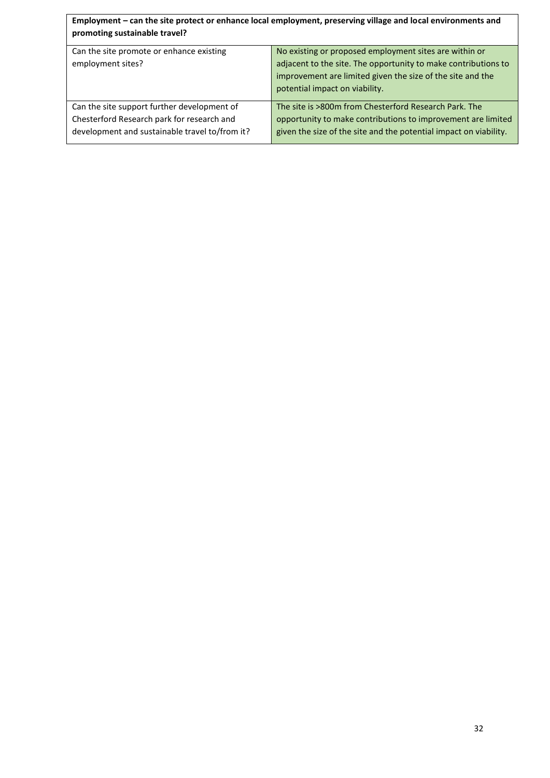| Employment - can the site protect or enhance local employment, preserving village and local environments and<br>promoting sustainable travel? |                                                                                                                                                                                                                          |  |  |
|-----------------------------------------------------------------------------------------------------------------------------------------------|--------------------------------------------------------------------------------------------------------------------------------------------------------------------------------------------------------------------------|--|--|
| Can the site promote or enhance existing<br>employment sites?                                                                                 | No existing or proposed employment sites are within or<br>adjacent to the site. The opportunity to make contributions to<br>improvement are limited given the size of the site and the<br>potential impact on viability. |  |  |
| Can the site support further development of<br>Chesterford Research park for research and<br>development and sustainable travel to/from it?   | The site is >800m from Chesterford Research Park. The<br>opportunity to make contributions to improvement are limited<br>given the size of the site and the potential impact on viability.                               |  |  |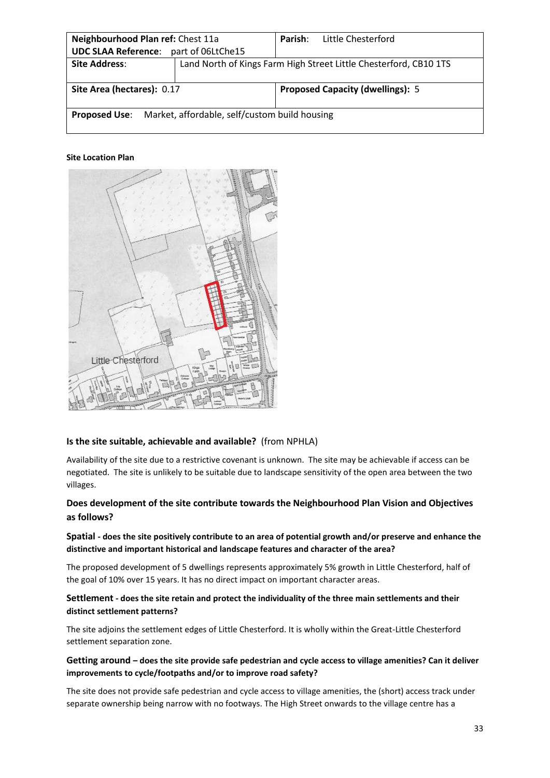| Neighbourhood Plan ref: Chest 11a                                     |                                                                   | Parish: | Little Chesterford                      |  |
|-----------------------------------------------------------------------|-------------------------------------------------------------------|---------|-----------------------------------------|--|
| <b>UDC SLAA Reference:</b>                                            | part of 06LtChe15                                                 |         |                                         |  |
| <b>Site Address:</b>                                                  | Land North of Kings Farm High Street Little Chesterford, CB10 1TS |         |                                         |  |
|                                                                       |                                                                   |         |                                         |  |
| Site Area (hectares): 0.17                                            |                                                                   |         | <b>Proposed Capacity (dwellings): 5</b> |  |
|                                                                       |                                                                   |         |                                         |  |
| Market, affordable, self/custom build housing<br><b>Proposed Use:</b> |                                                                   |         |                                         |  |
|                                                                       |                                                                   |         |                                         |  |



# **Is the site suitable, achievable and available?** (from NPHLA)

Availability of the site due to a restrictive covenant is unknown. The site may be achievable if access can be negotiated. The site is unlikely to be suitable due to landscape sensitivity of the open area between the two villages.

# **Does development of the site contribute towards the Neighbourhood Plan Vision and Objectives as follows?**

# **Spatial - does the site positively contribute to an area of potential growth and/or preserve and enhance the distinctive and important historical and landscape features and character of the area?**

The proposed development of 5 dwellings represents approximately 5% growth in Little Chesterford, half of the goal of 10% over 15 years. It has no direct impact on important character areas.

# **Settlement - does the site retain and protect the individuality of the three main settlements and their distinct settlement patterns?**

The site adjoins the settlement edges of Little Chesterford. It is wholly within the Great-Little Chesterford settlement separation zone.

# **Getting around – does the site provide safe pedestrian and cycle access to village amenities? Can it deliver improvements to cycle/footpaths and/or to improve road safety?**

The site does not provide safe pedestrian and cycle access to village amenities, the (short) access track under separate ownership being narrow with no footways. The High Street onwards to the village centre has a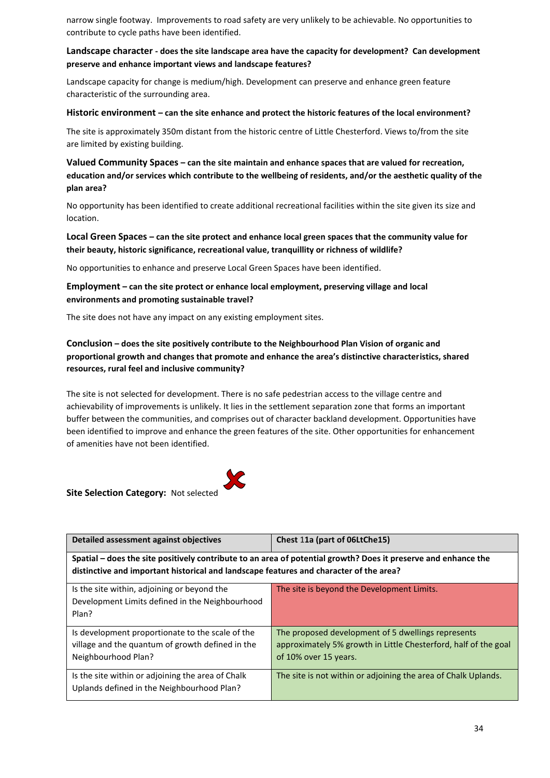narrow single footway. Improvements to road safety are very unlikely to be achievable. No opportunities to contribute to cycle paths have been identified.

# **Landscape character - does the site landscape area have the capacity for development? Can development preserve and enhance important views and landscape features?**

Landscape capacity for change is medium/high. Development can preserve and enhance green feature characteristic of the surrounding area.

#### **Historic environment – can the site enhance and protect the historic features of the local environment?**

The site is approximately 350m distant from the historic centre of Little Chesterford. Views to/from the site are limited by existing building.

# **Valued Community Spaces – can the site maintain and enhance spaces that are valued for recreation, education and/or services which contribute to the wellbeing of residents, and/or the aesthetic quality of the plan area?**

No opportunity has been identified to create additional recreational facilities within the site given its size and location.

# **Local Green Spaces – can the site protect and enhance local green spaces that the community value for their beauty, historic significance, recreational value, tranquillity or richness of wildlife?**

No opportunities to enhance and preserve Local Green Spaces have been identified.

# **Employment – can the site protect or enhance local employment, preserving village and local environments and promoting sustainable travel?**

The site does not have any impact on any existing employment sites.

# **Conclusion – does the site positively contribute to the Neighbourhood Plan Vision of organic and proportional growth and changes that promote and enhance the area's distinctive characteristics, shared resources, rural feel and inclusive community?**

The site is not selected for development. There is no safe pedestrian access to the village centre and achievability of improvements is unlikely. It lies in the settlement separation zone that forms an important buffer between the communities, and comprises out of character backland development. Opportunities have been identified to improve and enhance the green features of the site. Other opportunities for enhancement of amenities have not been identified.



| Detailed assessment against objectives                                                                                                                                                                   | Chest 11a (part of 06LtChe15)                                                                                                                  |  |
|----------------------------------------------------------------------------------------------------------------------------------------------------------------------------------------------------------|------------------------------------------------------------------------------------------------------------------------------------------------|--|
| Spatial - does the site positively contribute to an area of potential growth? Does it preserve and enhance the<br>distinctive and important historical and landscape features and character of the area? |                                                                                                                                                |  |
| Is the site within, adjoining or beyond the<br>Development Limits defined in the Neighbourhood<br>Plan?                                                                                                  | The site is beyond the Development Limits.                                                                                                     |  |
| Is development proportionate to the scale of the<br>village and the quantum of growth defined in the<br>Neighbourhood Plan?                                                                              | The proposed development of 5 dwellings represents<br>approximately 5% growth in Little Chesterford, half of the goal<br>of 10% over 15 years. |  |
| Is the site within or adjoining the area of Chalk<br>Uplands defined in the Neighbourhood Plan?                                                                                                          | The site is not within or adjoining the area of Chalk Uplands.                                                                                 |  |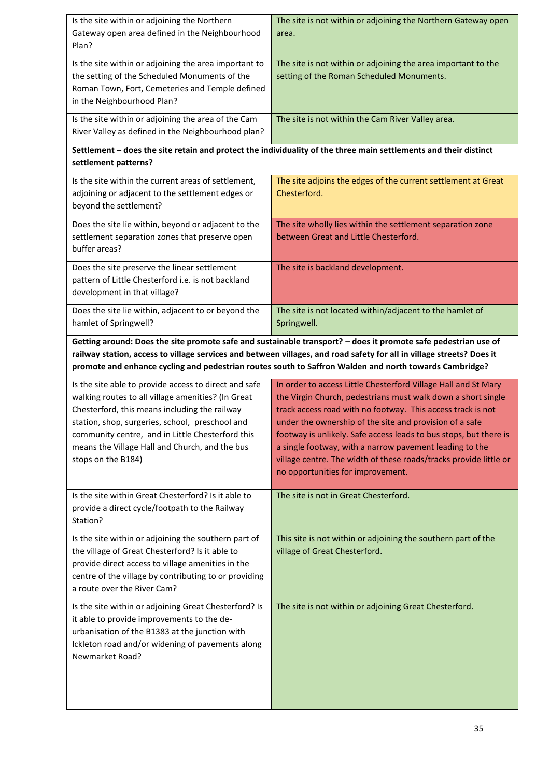| Is the site within or adjoining the Northern<br>Gateway open area defined in the Neighbourhood<br>Plan?                                                                                                                                                                                                                                           | The site is not within or adjoining the Northern Gateway open<br>area.                                                                                                                                                                                                                                                                                                                                                                                                                             |  |  |
|---------------------------------------------------------------------------------------------------------------------------------------------------------------------------------------------------------------------------------------------------------------------------------------------------------------------------------------------------|----------------------------------------------------------------------------------------------------------------------------------------------------------------------------------------------------------------------------------------------------------------------------------------------------------------------------------------------------------------------------------------------------------------------------------------------------------------------------------------------------|--|--|
| Is the site within or adjoining the area important to<br>the setting of the Scheduled Monuments of the<br>Roman Town, Fort, Cemeteries and Temple defined<br>in the Neighbourhood Plan?                                                                                                                                                           | The site is not within or adjoining the area important to the<br>setting of the Roman Scheduled Monuments.                                                                                                                                                                                                                                                                                                                                                                                         |  |  |
| Is the site within or adjoining the area of the Cam<br>River Valley as defined in the Neighbourhood plan?                                                                                                                                                                                                                                         | The site is not within the Cam River Valley area.                                                                                                                                                                                                                                                                                                                                                                                                                                                  |  |  |
| settlement patterns?                                                                                                                                                                                                                                                                                                                              | Settlement - does the site retain and protect the individuality of the three main settlements and their distinct                                                                                                                                                                                                                                                                                                                                                                                   |  |  |
| Is the site within the current areas of settlement,<br>adjoining or adjacent to the settlement edges or<br>beyond the settlement?                                                                                                                                                                                                                 | The site adjoins the edges of the current settlement at Great<br>Chesterford.                                                                                                                                                                                                                                                                                                                                                                                                                      |  |  |
| Does the site lie within, beyond or adjacent to the<br>settlement separation zones that preserve open<br>buffer areas?                                                                                                                                                                                                                            | The site wholly lies within the settlement separation zone<br>between Great and Little Chesterford.                                                                                                                                                                                                                                                                                                                                                                                                |  |  |
| Does the site preserve the linear settlement<br>pattern of Little Chesterford i.e. is not backland<br>development in that village?                                                                                                                                                                                                                | The site is backland development.                                                                                                                                                                                                                                                                                                                                                                                                                                                                  |  |  |
| Does the site lie within, adjacent to or beyond the<br>The site is not located within/adjacent to the hamlet of<br>hamlet of Springwell?<br>Springwell.                                                                                                                                                                                           |                                                                                                                                                                                                                                                                                                                                                                                                                                                                                                    |  |  |
| Getting around: Does the site promote safe and sustainable transport? - does it promote safe pedestrian use of<br>railway station, access to village services and between villages, and road safety for all in village streets? Does it<br>promote and enhance cycling and pedestrian routes south to Saffron Walden and north towards Cambridge? |                                                                                                                                                                                                                                                                                                                                                                                                                                                                                                    |  |  |
|                                                                                                                                                                                                                                                                                                                                                   |                                                                                                                                                                                                                                                                                                                                                                                                                                                                                                    |  |  |
| Is the site able to provide access to direct and safe<br>walking routes to all village amenities? (In Great<br>Chesterford, this means including the railway<br>station, shop, surgeries, school, preschool and<br>community centre, and in Little Chesterford this<br>means the Village Hall and Church, and the bus<br>stops on the B184)       | In order to access Little Chesterford Village Hall and St Mary<br>the Virgin Church, pedestrians must walk down a short single<br>track access road with no footway. This access track is not<br>under the ownership of the site and provision of a safe<br>footway is unlikely. Safe access leads to bus stops, but there is<br>a single footway, with a narrow pavement leading to the<br>village centre. The width of these roads/tracks provide little or<br>no opportunities for improvement. |  |  |
| Is the site within Great Chesterford? Is it able to<br>provide a direct cycle/footpath to the Railway<br>Station?                                                                                                                                                                                                                                 | The site is not in Great Chesterford.                                                                                                                                                                                                                                                                                                                                                                                                                                                              |  |  |
| Is the site within or adjoining the southern part of<br>the village of Great Chesterford? Is it able to<br>provide direct access to village amenities in the<br>centre of the village by contributing to or providing<br>a route over the River Cam?                                                                                              | This site is not within or adjoining the southern part of the<br>village of Great Chesterford.                                                                                                                                                                                                                                                                                                                                                                                                     |  |  |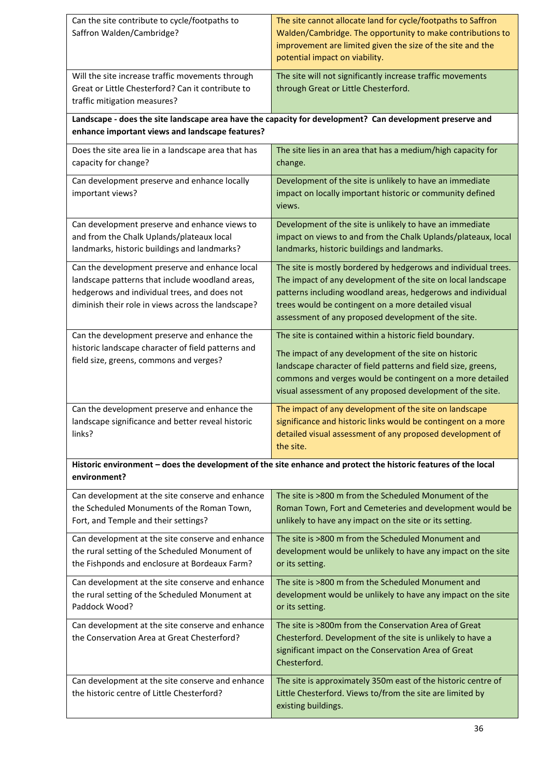| Can the site contribute to cycle/footpaths to<br>Saffron Walden/Cambridge?                                                                                                                              | The site cannot allocate land for cycle/footpaths to Saffron<br>Walden/Cambridge. The opportunity to make contributions to<br>improvement are limited given the size of the site and the<br>potential impact on viability.                                                                                   |  |
|---------------------------------------------------------------------------------------------------------------------------------------------------------------------------------------------------------|--------------------------------------------------------------------------------------------------------------------------------------------------------------------------------------------------------------------------------------------------------------------------------------------------------------|--|
| Will the site increase traffic movements through<br>Great or Little Chesterford? Can it contribute to<br>traffic mitigation measures?                                                                   | The site will not significantly increase traffic movements<br>through Great or Little Chesterford.                                                                                                                                                                                                           |  |
| enhance important views and landscape features?                                                                                                                                                         | Landscape - does the site landscape area have the capacity for development? Can development preserve and                                                                                                                                                                                                     |  |
| Does the site area lie in a landscape area that has                                                                                                                                                     | The site lies in an area that has a medium/high capacity for                                                                                                                                                                                                                                                 |  |
| capacity for change?                                                                                                                                                                                    | change.                                                                                                                                                                                                                                                                                                      |  |
| Can development preserve and enhance locally<br>important views?                                                                                                                                        | Development of the site is unlikely to have an immediate<br>impact on locally important historic or community defined<br>views.                                                                                                                                                                              |  |
| Can development preserve and enhance views to<br>and from the Chalk Uplands/plateaux local<br>landmarks, historic buildings and landmarks?                                                              | Development of the site is unlikely to have an immediate<br>impact on views to and from the Chalk Uplands/plateaux, local<br>landmarks, historic buildings and landmarks.                                                                                                                                    |  |
| Can the development preserve and enhance local<br>landscape patterns that include woodland areas,<br>hedgerows and individual trees, and does not<br>diminish their role in views across the landscape? | The site is mostly bordered by hedgerows and individual trees.<br>The impact of any development of the site on local landscape<br>patterns including woodland areas, hedgerows and individual<br>trees would be contingent on a more detailed visual<br>assessment of any proposed development of the site.  |  |
| Can the development preserve and enhance the<br>historic landscape character of field patterns and<br>field size, greens, commons and verges?                                                           | The site is contained within a historic field boundary.<br>The impact of any development of the site on historic<br>landscape character of field patterns and field size, greens,<br>commons and verges would be contingent on a more detailed<br>visual assessment of any proposed development of the site. |  |
| Can the development preserve and enhance the<br>landscape significance and better reveal historic<br>links?                                                                                             | The impact of any development of the site on landscape<br>significance and historic links would be contingent on a more<br>detailed visual assessment of any proposed development of<br>the site.                                                                                                            |  |
| environment?                                                                                                                                                                                            | Historic environment - does the development of the site enhance and protect the historic features of the local                                                                                                                                                                                               |  |
| Can development at the site conserve and enhance<br>the Scheduled Monuments of the Roman Town,<br>Fort, and Temple and their settings?                                                                  | The site is >800 m from the Scheduled Monument of the<br>Roman Town, Fort and Cemeteries and development would be<br>unlikely to have any impact on the site or its setting.                                                                                                                                 |  |
| Can development at the site conserve and enhance<br>the rural setting of the Scheduled Monument of<br>the Fishponds and enclosure at Bordeaux Farm?                                                     | The site is >800 m from the Scheduled Monument and<br>development would be unlikely to have any impact on the site<br>or its setting.                                                                                                                                                                        |  |
| Can development at the site conserve and enhance<br>the rural setting of the Scheduled Monument at<br>Paddock Wood?                                                                                     | The site is >800 m from the Scheduled Monument and<br>development would be unlikely to have any impact on the site<br>or its setting.                                                                                                                                                                        |  |
| Can development at the site conserve and enhance<br>the Conservation Area at Great Chesterford?                                                                                                         | The site is >800m from the Conservation Area of Great<br>Chesterford. Development of the site is unlikely to have a<br>significant impact on the Conservation Area of Great<br>Chesterford.                                                                                                                  |  |
| Can development at the site conserve and enhance<br>the historic centre of Little Chesterford?                                                                                                          | The site is approximately 350m east of the historic centre of<br>Little Chesterford. Views to/from the site are limited by<br>existing buildings.                                                                                                                                                            |  |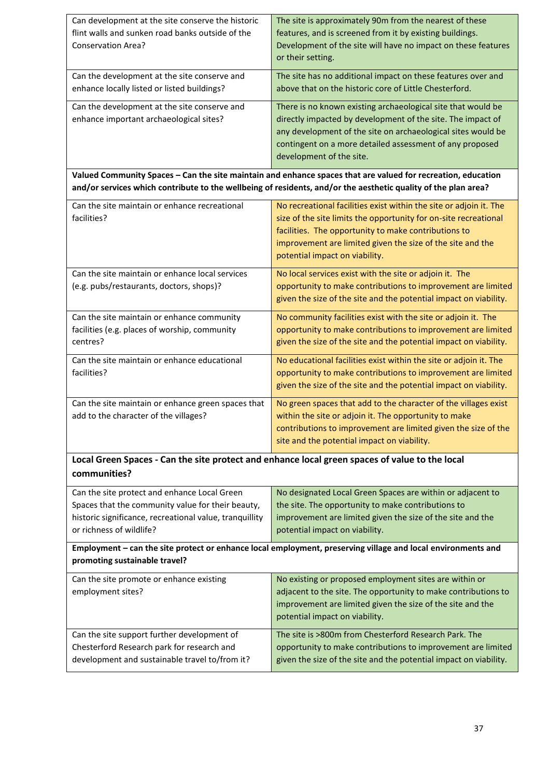| Can development at the site conserve the historic<br>flint walls and sunken road banks outside of the                                                                                    | The site is approximately 90m from the nearest of these<br>features, and is screened from it by existing buildings.                                                                                                                                                                            |  |  |
|------------------------------------------------------------------------------------------------------------------------------------------------------------------------------------------|------------------------------------------------------------------------------------------------------------------------------------------------------------------------------------------------------------------------------------------------------------------------------------------------|--|--|
| <b>Conservation Area?</b>                                                                                                                                                                | Development of the site will have no impact on these features<br>or their setting.                                                                                                                                                                                                             |  |  |
| Can the development at the site conserve and<br>enhance locally listed or listed buildings?                                                                                              | The site has no additional impact on these features over and<br>above that on the historic core of Little Chesterford.                                                                                                                                                                         |  |  |
| Can the development at the site conserve and<br>enhance important archaeological sites?                                                                                                  | There is no known existing archaeological site that would be<br>directly impacted by development of the site. The impact of<br>any development of the site on archaeological sites would be<br>contingent on a more detailed assessment of any proposed<br>development of the site.            |  |  |
|                                                                                                                                                                                          | Valued Community Spaces - Can the site maintain and enhance spaces that are valued for recreation, education<br>and/or services which contribute to the wellbeing of residents, and/or the aesthetic quality of the plan area?                                                                 |  |  |
| Can the site maintain or enhance recreational<br>facilities?                                                                                                                             | No recreational facilities exist within the site or adjoin it. The<br>size of the site limits the opportunity for on-site recreational<br>facilities. The opportunity to make contributions to<br>improvement are limited given the size of the site and the<br>potential impact on viability. |  |  |
| Can the site maintain or enhance local services<br>(e.g. pubs/restaurants, doctors, shops)?                                                                                              | No local services exist with the site or adjoin it. The<br>opportunity to make contributions to improvement are limited<br>given the size of the site and the potential impact on viability.                                                                                                   |  |  |
| Can the site maintain or enhance community<br>facilities (e.g. places of worship, community<br>centres?                                                                                  | No community facilities exist with the site or adjoin it. The<br>opportunity to make contributions to improvement are limited<br>given the size of the site and the potential impact on viability.                                                                                             |  |  |
| Can the site maintain or enhance educational<br>facilities?                                                                                                                              | No educational facilities exist within the site or adjoin it. The<br>opportunity to make contributions to improvement are limited<br>given the size of the site and the potential impact on viability.                                                                                         |  |  |
| Can the site maintain or enhance green spaces that<br>add to the character of the villages?                                                                                              | No green spaces that add to the character of the villages exist<br>within the site or adjoin it. The opportunity to make<br>contributions to improvement are limited given the size of the<br>site and the potential impact on viability.                                                      |  |  |
| Local Green Spaces - Can the site protect and enhance local green spaces of value to the local<br>communities?                                                                           |                                                                                                                                                                                                                                                                                                |  |  |
| Can the site protect and enhance Local Green<br>Spaces that the community value for their beauty,<br>historic significance, recreational value, tranquillity<br>or richness of wildlife? | No designated Local Green Spaces are within or adjacent to<br>the site. The opportunity to make contributions to<br>improvement are limited given the size of the site and the<br>potential impact on viability.                                                                               |  |  |
| Employment - can the site protect or enhance local employment, preserving village and local environments and<br>promoting sustainable travel?                                            |                                                                                                                                                                                                                                                                                                |  |  |
| Can the site promote or enhance existing<br>employment sites?                                                                                                                            | No existing or proposed employment sites are within or<br>adjacent to the site. The opportunity to make contributions to<br>improvement are limited given the size of the site and the<br>potential impact on viability.                                                                       |  |  |
| Can the site support further development of<br>Chesterford Research park for research and<br>development and sustainable travel to/from it?                                              | The site is >800m from Chesterford Research Park. The<br>opportunity to make contributions to improvement are limited<br>given the size of the site and the potential impact on viability.                                                                                                     |  |  |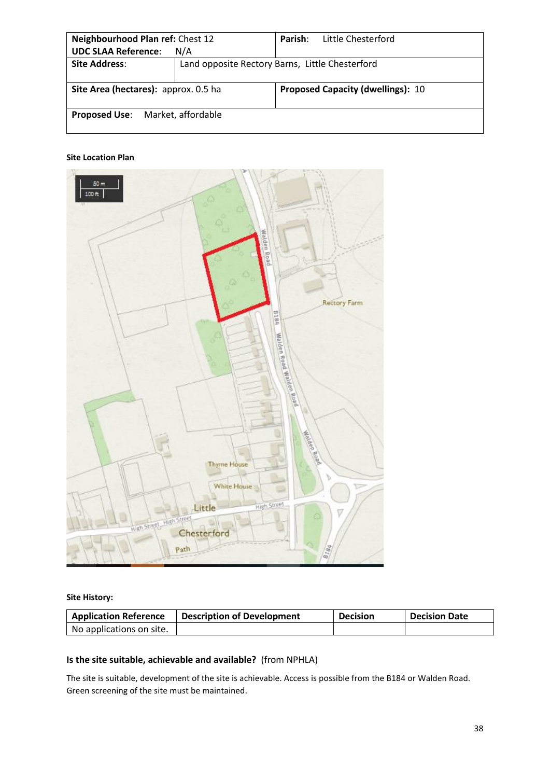| Neighbourhood Plan ref: Chest 12        |                                                                                  | Parish: | Little Chesterford |
|-----------------------------------------|----------------------------------------------------------------------------------|---------|--------------------|
| <b>UDC SLAA Reference:</b>              | N/A                                                                              |         |                    |
| <b>Site Address:</b>                    | Land opposite Rectory Barns, Little Chesterford                                  |         |                    |
|                                         | Site Area (hectares): approx. 0.5 ha<br><b>Proposed Capacity (dwellings): 10</b> |         |                    |
| <b>Proposed Use:</b> Market, affordable |                                                                                  |         |                    |



**Site History:**

| <b>Application Reference</b> | <b>Description of Development</b> | <b>Decision</b> | <b>Decision Date</b> |
|------------------------------|-----------------------------------|-----------------|----------------------|
| No applications on site.     |                                   |                 |                      |

# **Is the site suitable, achievable and available?** (from NPHLA)

The site is suitable, development of the site is achievable. Access is possible from the B184 or Walden Road. Green screening of the site must be maintained.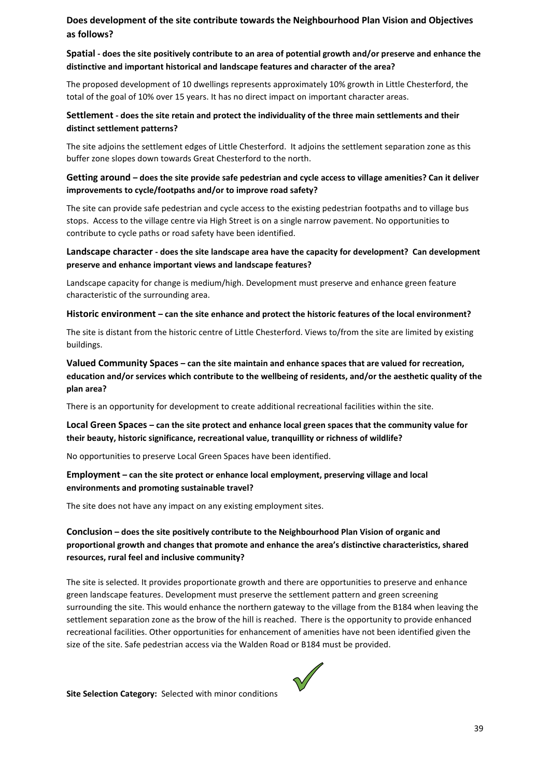# **Does development of the site contribute towards the Neighbourhood Plan Vision and Objectives as follows?**

# **Spatial - does the site positively contribute to an area of potential growth and/or preserve and enhance the distinctive and important historical and landscape features and character of the area?**

The proposed development of 10 dwellings represents approximately 10% growth in Little Chesterford, the total of the goal of 10% over 15 years. It has no direct impact on important character areas.

# **Settlement - does the site retain and protect the individuality of the three main settlements and their distinct settlement patterns?**

The site adjoins the settlement edges of Little Chesterford. It adjoins the settlement separation zone as this buffer zone slopes down towards Great Chesterford to the north.

# **Getting around – does the site provide safe pedestrian and cycle access to village amenities? Can it deliver improvements to cycle/footpaths and/or to improve road safety?**

The site can provide safe pedestrian and cycle access to the existing pedestrian footpaths and to village bus stops. Access to the village centre via High Street is on a single narrow pavement. No opportunities to contribute to cycle paths or road safety have been identified.

# **Landscape character - does the site landscape area have the capacity for development? Can development preserve and enhance important views and landscape features?**

Landscape capacity for change is medium/high. Development must preserve and enhance green feature characteristic of the surrounding area.

#### **Historic environment – can the site enhance and protect the historic features of the local environment?**

The site is distant from the historic centre of Little Chesterford. Views to/from the site are limited by existing buildings.

# **Valued Community Spaces – can the site maintain and enhance spaces that are valued for recreation, education and/or services which contribute to the wellbeing of residents, and/or the aesthetic quality of the plan area?**

There is an opportunity for development to create additional recreational facilities within the site.

# **Local Green Spaces – can the site protect and enhance local green spaces that the community value for their beauty, historic significance, recreational value, tranquillity or richness of wildlife?**

No opportunities to preserve Local Green Spaces have been identified.

# **Employment – can the site protect or enhance local employment, preserving village and local environments and promoting sustainable travel?**

The site does not have any impact on any existing employment sites.

# **Conclusion – does the site positively contribute to the Neighbourhood Plan Vision of organic and proportional growth and changes that promote and enhance the area's distinctive characteristics, shared resources, rural feel and inclusive community?**

The site is selected. It provides proportionate growth and there are opportunities to preserve and enhance green landscape features. Development must preserve the settlement pattern and green screening surrounding the site. This would enhance the northern gateway to the village from the B184 when leaving the settlement separation zone as the brow of the hill is reached. There is the opportunity to provide enhanced recreational facilities. Other opportunities for enhancement of amenities have not been identified given the size of the site. Safe pedestrian access via the Walden Road or B184 must be provided.



**Site Selection Category:** Selected with minor conditions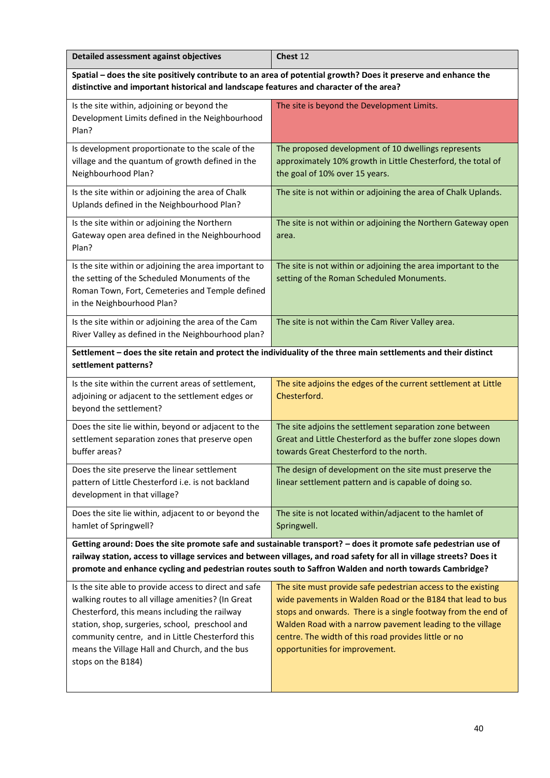| Detailed assessment against objectives | Chest 12 |
|----------------------------------------|----------|
|                                        |          |

**Spatial – does the site positively contribute to an area of potential growth? Does it preserve and enhance the distinctive and important historical and landscape features and character of the area?** 

| Is the site within, adjoining or beyond the<br>Development Limits defined in the Neighbourhood<br>Plan?                                                                                 | The site is beyond the Development Limits.                                                                                                                        |
|-----------------------------------------------------------------------------------------------------------------------------------------------------------------------------------------|-------------------------------------------------------------------------------------------------------------------------------------------------------------------|
| Is development proportionate to the scale of the<br>village and the quantum of growth defined in the<br>Neighbourhood Plan?                                                             | The proposed development of 10 dwellings represents<br>approximately 10% growth in Little Chesterford, the total of<br>the goal of 10% over 15 years.             |
| Is the site within or adjoining the area of Chalk<br>Uplands defined in the Neighbourhood Plan?                                                                                         | The site is not within or adjoining the area of Chalk Uplands.                                                                                                    |
| Is the site within or adjoining the Northern<br>Gateway open area defined in the Neighbourhood<br>Plan?                                                                                 | The site is not within or adjoining the Northern Gateway open<br>area.                                                                                            |
| Is the site within or adjoining the area important to<br>the setting of the Scheduled Monuments of the<br>Roman Town, Fort, Cemeteries and Temple defined<br>in the Neighbourhood Plan? | The site is not within or adjoining the area important to the<br>setting of the Roman Scheduled Monuments.                                                        |
| Is the site within or adjoining the area of the Cam<br>River Valley as defined in the Neighbourhood plan?                                                                               | The site is not within the Cam River Valley area.                                                                                                                 |
| settlement patterns?                                                                                                                                                                    | Settlement - does the site retain and protect the individuality of the three main settlements and their distinct                                                  |
| Is the site within the current areas of settlement,<br>adjoining or adjacent to the settlement edges or<br>beyond the settlement?                                                       | The site adjoins the edges of the current settlement at Little<br>Chesterford.                                                                                    |
| Does the site lie within, beyond or adjacent to the<br>settlement separation zones that preserve open<br>buffer areas?                                                                  | The site adjoins the settlement separation zone between<br>Great and Little Chesterford as the buffer zone slopes down<br>towards Great Chesterford to the north. |
| Does the site preserve the linear settlement<br>pattern of Little Chesterford i.e. is not backland                                                                                      | The design of development on the site must preserve the<br>linear settlement pattern and is capable of doing so.                                                  |

Does the site lie within, adjacent to or beyond the hamlet of Springwell? The site is not located within/adjacent to the hamlet of Springwell.

development in that village?

**Getting around: Does the site promote safe and sustainable transport? – does it promote safe pedestrian use of railway station, access to village services and between villages, and road safety for all in village streets? Does it promote and enhance cycling and pedestrian routes south to Saffron Walden and north towards Cambridge?**

| Is the site able to provide access to direct and safe | The site must provide safe pedestrian access to the existing |
|-------------------------------------------------------|--------------------------------------------------------------|
| walking routes to all village amenities? (In Great    | wide pavements in Walden Road or the B184 that lead to bus   |
| Chesterford, this means including the railway         | stops and onwards. There is a single footway from the end of |
| station, shop, surgeries, school, preschool and       | Walden Road with a narrow pavement leading to the village    |
| community centre, and in Little Chesterford this      | centre. The width of this road provides little or no         |
| means the Village Hall and Church, and the bus        | opportunities for improvement.                               |
| stops on the B184)                                    |                                                              |
|                                                       |                                                              |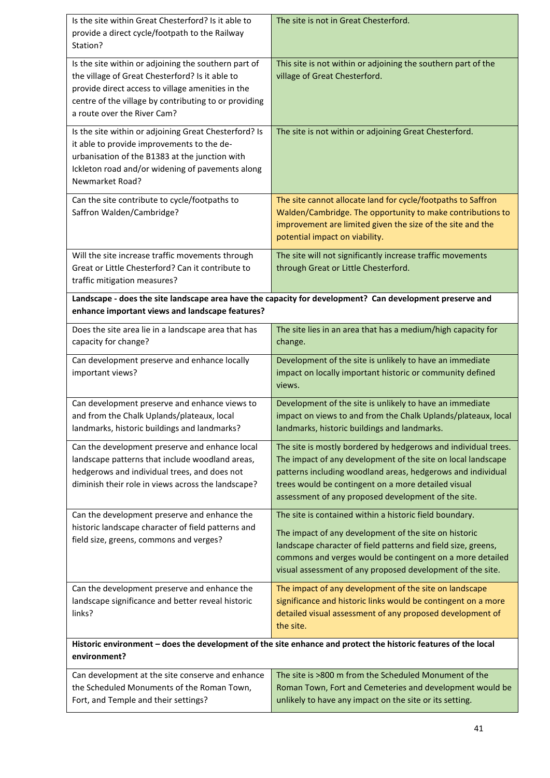| Is the site within Great Chesterford? Is it able to<br>provide a direct cycle/footpath to the Railway<br>Station?                                                                                                                                    | The site is not in Great Chesterford.                                                                                                                                                                                                                                                                        |
|------------------------------------------------------------------------------------------------------------------------------------------------------------------------------------------------------------------------------------------------------|--------------------------------------------------------------------------------------------------------------------------------------------------------------------------------------------------------------------------------------------------------------------------------------------------------------|
| Is the site within or adjoining the southern part of<br>the village of Great Chesterford? Is it able to<br>provide direct access to village amenities in the<br>centre of the village by contributing to or providing<br>a route over the River Cam? | This site is not within or adjoining the southern part of the<br>village of Great Chesterford.                                                                                                                                                                                                               |
| Is the site within or adjoining Great Chesterford? Is<br>it able to provide improvements to the de-<br>urbanisation of the B1383 at the junction with<br>Ickleton road and/or widening of pavements along<br>Newmarket Road?                         | The site is not within or adjoining Great Chesterford.                                                                                                                                                                                                                                                       |
| Can the site contribute to cycle/footpaths to<br>Saffron Walden/Cambridge?                                                                                                                                                                           | The site cannot allocate land for cycle/footpaths to Saffron<br>Walden/Cambridge. The opportunity to make contributions to<br>improvement are limited given the size of the site and the<br>potential impact on viability.                                                                                   |
| Will the site increase traffic movements through<br>Great or Little Chesterford? Can it contribute to<br>traffic mitigation measures?                                                                                                                | The site will not significantly increase traffic movements<br>through Great or Little Chesterford.                                                                                                                                                                                                           |
| Landscape - does the site landscape area have the capacity for development? Can development preserve and<br>enhance important views and landscape features?                                                                                          |                                                                                                                                                                                                                                                                                                              |
| Does the site area lie in a landscape area that has<br>capacity for change?                                                                                                                                                                          | The site lies in an area that has a medium/high capacity for<br>change.                                                                                                                                                                                                                                      |
| Can development preserve and enhance locally<br>important views?                                                                                                                                                                                     | Development of the site is unlikely to have an immediate<br>impact on locally important historic or community defined<br>views.                                                                                                                                                                              |
| Can development preserve and enhance views to<br>and from the Chalk Uplands/plateaux, local<br>landmarks, historic buildings and landmarks?                                                                                                          | Development of the site is unlikely to have an immediate<br>impact on views to and from the Chalk Uplands/plateaux, local<br>landmarks, historic buildings and landmarks.                                                                                                                                    |
| Can the development preserve and enhance local<br>landscape patterns that include woodland areas,<br>hedgerows and individual trees, and does not<br>diminish their role in views across the landscape?                                              | The site is mostly bordered by hedgerows and individual trees.<br>The impact of any development of the site on local landscape<br>patterns including woodland areas, hedgerows and individual<br>trees would be contingent on a more detailed visual<br>assessment of any proposed development of the site.  |
| Can the development preserve and enhance the<br>historic landscape character of field patterns and<br>field size, greens, commons and verges?                                                                                                        | The site is contained within a historic field boundary.<br>The impact of any development of the site on historic<br>landscape character of field patterns and field size, greens,<br>commons and verges would be contingent on a more detailed<br>visual assessment of any proposed development of the site. |
| Can the development preserve and enhance the<br>landscape significance and better reveal historic<br>links?                                                                                                                                          | The impact of any development of the site on landscape<br>significance and historic links would be contingent on a more<br>detailed visual assessment of any proposed development of<br>the site.                                                                                                            |
| Historic environment - does the development of the site enhance and protect the historic features of the local<br>environment?                                                                                                                       |                                                                                                                                                                                                                                                                                                              |
| Can development at the site conserve and enhance<br>the Scheduled Monuments of the Roman Town,<br>Fort, and Temple and their settings?                                                                                                               | The site is >800 m from the Scheduled Monument of the<br>Roman Town, Fort and Cemeteries and development would be<br>unlikely to have any impact on the site or its setting.                                                                                                                                 |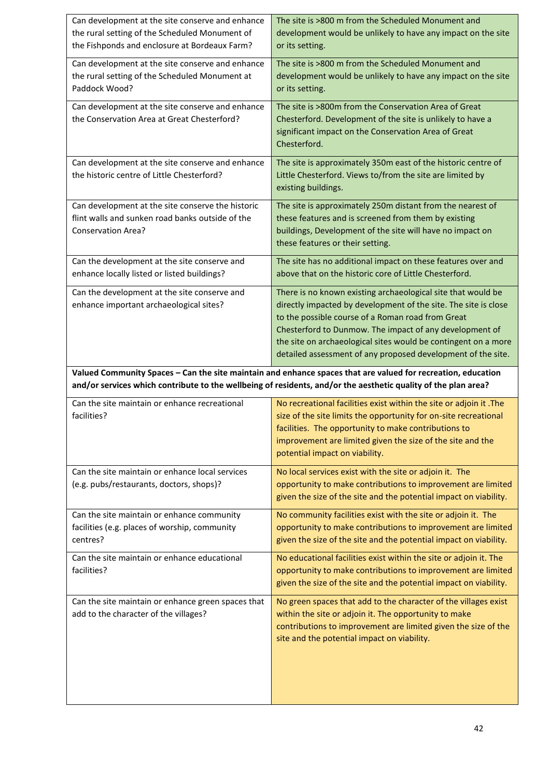| Can development at the site conserve and enhance<br>the rural setting of the Scheduled Monument of<br>the Fishponds and enclosure at Bordeaux Farm? | The site is >800 m from the Scheduled Monument and<br>development would be unlikely to have any impact on the site<br>or its setting.                                                                                                                                                          |
|-----------------------------------------------------------------------------------------------------------------------------------------------------|------------------------------------------------------------------------------------------------------------------------------------------------------------------------------------------------------------------------------------------------------------------------------------------------|
| Can development at the site conserve and enhance<br>the rural setting of the Scheduled Monument at<br>Paddock Wood?                                 | The site is >800 m from the Scheduled Monument and<br>development would be unlikely to have any impact on the site<br>or its setting.                                                                                                                                                          |
| Can development at the site conserve and enhance<br>the Conservation Area at Great Chesterford?                                                     | The site is >800m from the Conservation Area of Great<br>Chesterford. Development of the site is unlikely to have a<br>significant impact on the Conservation Area of Great<br>Chesterford.                                                                                                    |
| Can development at the site conserve and enhance<br>the historic centre of Little Chesterford?                                                      | The site is approximately 350m east of the historic centre of<br>Little Chesterford. Views to/from the site are limited by<br>existing buildings.                                                                                                                                              |
| Can development at the site conserve the historic<br>flint walls and sunken road banks outside of the<br><b>Conservation Area?</b>                  | The site is approximately 250m distant from the nearest of<br>these features and is screened from them by existing<br>buildings, Development of the site will have no impact on<br>these features or their setting.                                                                            |
| Can the development at the site conserve and<br>enhance locally listed or listed buildings?                                                         | The site has no additional impact on these features over and<br>above that on the historic core of Little Chesterford.                                                                                                                                                                         |
| Can the development at the site conserve and<br>enhance important archaeological sites?                                                             | There is no known existing archaeological site that would be<br>directly impacted by development of the site. The site is close<br>to the possible course of a Roman road from Great<br>Chesterford to Dunmow. The impact of any development of                                                |
|                                                                                                                                                     | the site on archaeological sites would be contingent on a more<br>detailed assessment of any proposed development of the site.                                                                                                                                                                 |
|                                                                                                                                                     | Valued Community Spaces - Can the site maintain and enhance spaces that are valued for recreation, education<br>and/or services which contribute to the wellbeing of residents, and/or the aesthetic quality of the plan area?                                                                 |
| Can the site maintain or enhance recreational<br>facilities?                                                                                        | No recreational facilities exist within the site or adjoin it .The<br>size of the site limits the opportunity for on-site recreational<br>facilities. The opportunity to make contributions to<br>improvement are limited given the size of the site and the<br>potential impact on viability. |
| Can the site maintain or enhance local services<br>(e.g. pubs/restaurants, doctors, shops)?                                                         | No local services exist with the site or adjoin it. The<br>opportunity to make contributions to improvement are limited<br>given the size of the site and the potential impact on viability.                                                                                                   |
| Can the site maintain or enhance community<br>facilities (e.g. places of worship, community<br>centres?                                             | No community facilities exist with the site or adjoin it. The<br>opportunity to make contributions to improvement are limited<br>given the size of the site and the potential impact on viability.                                                                                             |
| Can the site maintain or enhance educational<br>facilities?                                                                                         | No educational facilities exist within the site or adjoin it. The<br>opportunity to make contributions to improvement are limited<br>given the size of the site and the potential impact on viability.                                                                                         |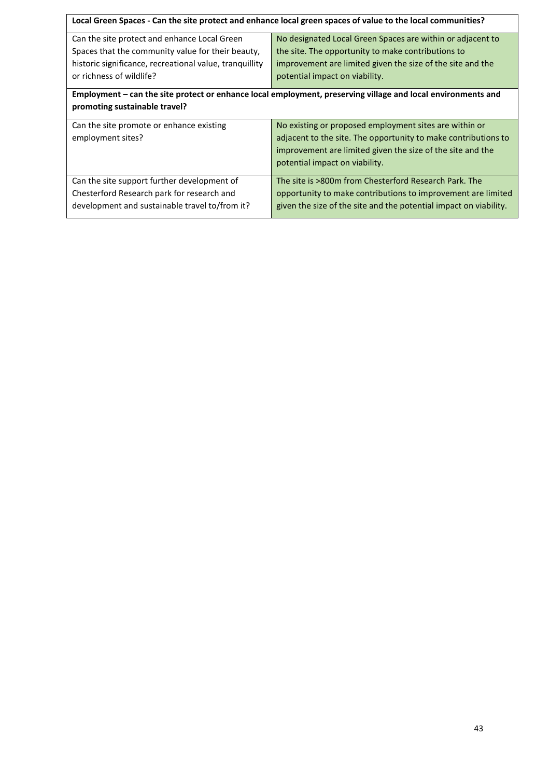| Local Green Spaces - Can the site protect and enhance local green spaces of value to the local communities? |                                                                                                              |  |
|-------------------------------------------------------------------------------------------------------------|--------------------------------------------------------------------------------------------------------------|--|
| Can the site protect and enhance Local Green                                                                | No designated Local Green Spaces are within or adjacent to                                                   |  |
| Spaces that the community value for their beauty,                                                           | the site. The opportunity to make contributions to                                                           |  |
| historic significance, recreational value, tranquillity                                                     | improvement are limited given the size of the site and the                                                   |  |
| or richness of wildlife?                                                                                    | potential impact on viability.                                                                               |  |
|                                                                                                             | Employment – can the site protect or enhance local employment, preserving village and local environments and |  |
| promoting sustainable travel?                                                                               |                                                                                                              |  |
| Can the site promote or enhance existing                                                                    | No existing or proposed employment sites are within or                                                       |  |
| employment sites?                                                                                           | adjacent to the site. The opportunity to make contributions to                                               |  |
|                                                                                                             | improvement are limited given the size of the site and the                                                   |  |
|                                                                                                             | potential impact on viability.                                                                               |  |
| Can the site support further development of                                                                 | The site is >800m from Chesterford Research Park. The                                                        |  |
| Chesterford Research park for research and                                                                  | opportunity to make contributions to improvement are limited                                                 |  |
| development and sustainable travel to/from it?                                                              | given the size of the site and the potential impact on viability.                                            |  |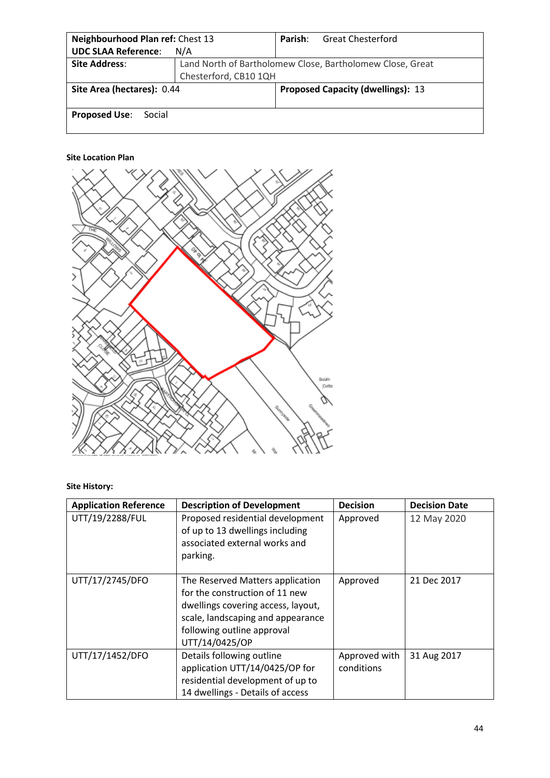| Neighbourhood Plan ref: Chest 13 |                                                           | Parish: | <b>Great Chesterford</b>                 |
|----------------------------------|-----------------------------------------------------------|---------|------------------------------------------|
| <b>UDC SLAA Reference:</b>       | N/A                                                       |         |                                          |
| <b>Site Address:</b>             | Land North of Bartholomew Close, Bartholomew Close, Great |         |                                          |
|                                  | Chesterford, CB10 1QH                                     |         |                                          |
| Site Area (hectares): 0.44       |                                                           |         | <b>Proposed Capacity (dwellings): 13</b> |
|                                  |                                                           |         |                                          |
| <b>Proposed Use:</b><br>Social   |                                                           |         |                                          |



**Site History:**

| <b>Application Reference</b> | <b>Description of Development</b>                                                                                                                                                             | <b>Decision</b>             | <b>Decision Date</b> |
|------------------------------|-----------------------------------------------------------------------------------------------------------------------------------------------------------------------------------------------|-----------------------------|----------------------|
| UTT/19/2288/FUL              | Proposed residential development<br>of up to 13 dwellings including<br>associated external works and<br>parking.                                                                              | Approved                    | 12 May 2020          |
| UTT/17/2745/DFO              | The Reserved Matters application<br>for the construction of 11 new<br>dwellings covering access, layout,<br>scale, landscaping and appearance<br>following outline approval<br>UTT/14/0425/OP | Approved                    | 21 Dec 2017          |
| UTT/17/1452/DFO              | Details following outline<br>application UTT/14/0425/OP for<br>residential development of up to<br>14 dwellings - Details of access                                                           | Approved with<br>conditions | 31 Aug 2017          |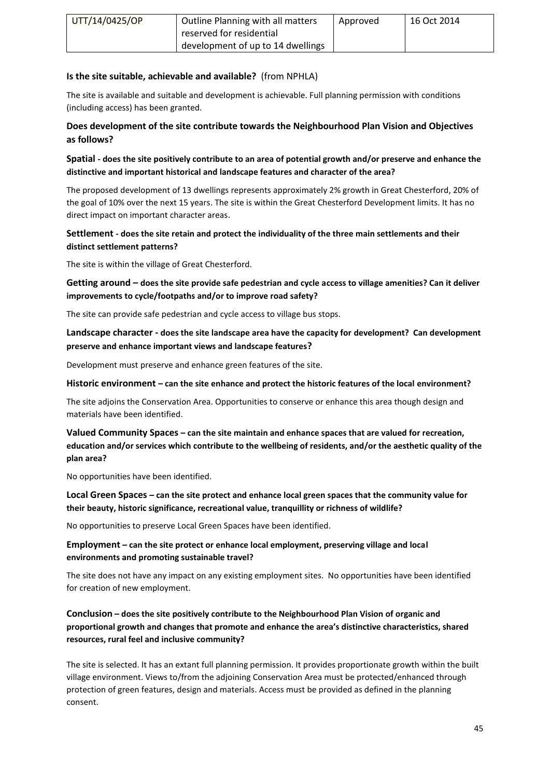| UTT/14/0425/OP | Outline Planning with all matters | Approved | 16 Oct 2014 |
|----------------|-----------------------------------|----------|-------------|
|                | reserved for residential          |          |             |
|                | development of up to 14 dwellings |          |             |

# **Is the site suitable, achievable and available?** (from NPHLA)

The site is available and suitable and development is achievable. Full planning permission with conditions (including access) has been granted.

# **Does development of the site contribute towards the Neighbourhood Plan Vision and Objectives as follows?**

**Spatial - does the site positively contribute to an area of potential growth and/or preserve and enhance the distinctive and important historical and landscape features and character of the area?**

The proposed development of 13 dwellings represents approximately 2% growth in Great Chesterford, 20% of the goal of 10% over the next 15 years. The site is within the Great Chesterford Development limits. It has no direct impact on important character areas.

# **Settlement - does the site retain and protect the individuality of the three main settlements and their distinct settlement patterns?**

The site is within the village of Great Chesterford.

**Getting around – does the site provide safe pedestrian and cycle access to village amenities? Can it deliver improvements to cycle/footpaths and/or to improve road safety?**

The site can provide safe pedestrian and cycle access to village bus stops.

**Landscape character - does the site landscape area have the capacity for development? Can development preserve and enhance important views and landscape features?**

Development must preserve and enhance green features of the site.

## **Historic environment – can the site enhance and protect the historic features of the local environment?**

The site adjoins the Conservation Area. Opportunities to conserve or enhance this area though design and materials have been identified.

**Valued Community Spaces – can the site maintain and enhance spaces that are valued for recreation, education and/or services which contribute to the wellbeing of residents, and/or the aesthetic quality of the plan area?**

No opportunities have been identified.

**Local Green Spaces – can the site protect and enhance local green spaces that the community value for their beauty, historic significance, recreational value, tranquillity or richness of wildlife?**

No opportunities to preserve Local Green Spaces have been identified.

# **Employment – can the site protect or enhance local employment, preserving village and local environments and promoting sustainable travel?**

The site does not have any impact on any existing employment sites. No opportunities have been identified for creation of new employment.

# **Conclusion – does the site positively contribute to the Neighbourhood Plan Vision of organic and proportional growth and changes that promote and enhance the area's distinctive characteristics, shared resources, rural feel and inclusive community?**

The site is selected. It has an extant full planning permission. It provides proportionate growth within the built village environment. Views to/from the adjoining Conservation Area must be protected/enhanced through protection of green features, design and materials. Access must be provided as defined in the planning consent.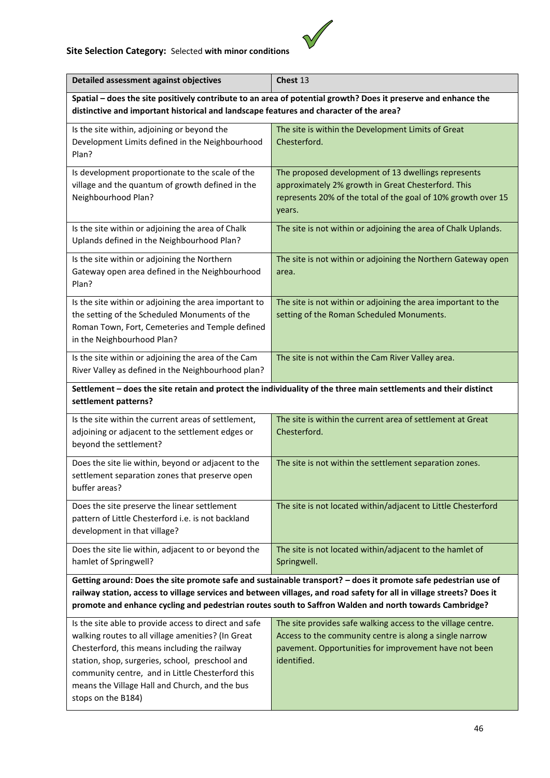# **Site Selection Category:** Selected **with minor conditions**



| Detailed assessment against objectives                                                                                                                                                                                                                                                                                                            | Chest 13                                                                                                                                                                                        |  |
|---------------------------------------------------------------------------------------------------------------------------------------------------------------------------------------------------------------------------------------------------------------------------------------------------------------------------------------------------|-------------------------------------------------------------------------------------------------------------------------------------------------------------------------------------------------|--|
| Spatial - does the site positively contribute to an area of potential growth? Does it preserve and enhance the                                                                                                                                                                                                                                    |                                                                                                                                                                                                 |  |
| distinctive and important historical and landscape features and character of the area?                                                                                                                                                                                                                                                            |                                                                                                                                                                                                 |  |
| Is the site within, adjoining or beyond the<br>Development Limits defined in the Neighbourhood<br>Plan?                                                                                                                                                                                                                                           | The site is within the Development Limits of Great<br>Chesterford.                                                                                                                              |  |
| Is development proportionate to the scale of the<br>village and the quantum of growth defined in the<br>Neighbourhood Plan?                                                                                                                                                                                                                       | The proposed development of 13 dwellings represents<br>approximately 2% growth in Great Chesterford. This<br>represents 20% of the total of the goal of 10% growth over 15<br>years.            |  |
| Is the site within or adjoining the area of Chalk<br>Uplands defined in the Neighbourhood Plan?                                                                                                                                                                                                                                                   | The site is not within or adjoining the area of Chalk Uplands.                                                                                                                                  |  |
| Is the site within or adjoining the Northern<br>Gateway open area defined in the Neighbourhood<br>Plan?                                                                                                                                                                                                                                           | The site is not within or adjoining the Northern Gateway open<br>area.                                                                                                                          |  |
| Is the site within or adjoining the area important to<br>the setting of the Scheduled Monuments of the<br>Roman Town, Fort, Cemeteries and Temple defined<br>in the Neighbourhood Plan?                                                                                                                                                           | The site is not within or adjoining the area important to the<br>setting of the Roman Scheduled Monuments.                                                                                      |  |
| Is the site within or adjoining the area of the Cam<br>River Valley as defined in the Neighbourhood plan?                                                                                                                                                                                                                                         | The site is not within the Cam River Valley area.                                                                                                                                               |  |
| Settlement - does the site retain and protect the individuality of the three main settlements and their distinct<br>settlement patterns?                                                                                                                                                                                                          |                                                                                                                                                                                                 |  |
| Is the site within the current areas of settlement,<br>adjoining or adjacent to the settlement edges or<br>beyond the settlement?                                                                                                                                                                                                                 | The site is within the current area of settlement at Great<br>Chesterford.                                                                                                                      |  |
| Does the site lie within, beyond or adjacent to the<br>settlement separation zones that preserve open<br>buffer areas?                                                                                                                                                                                                                            | The site is not within the settlement separation zones.                                                                                                                                         |  |
| Does the site preserve the linear settlement<br>pattern of Little Chesterford i.e. is not backland<br>development in that village?                                                                                                                                                                                                                | The site is not located within/adjacent to Little Chesterford                                                                                                                                   |  |
| Does the site lie within, adjacent to or beyond the<br>hamlet of Springwell?                                                                                                                                                                                                                                                                      | The site is not located within/adjacent to the hamlet of<br>Springwell.                                                                                                                         |  |
| Getting around: Does the site promote safe and sustainable transport? - does it promote safe pedestrian use of<br>railway station, access to village services and between villages, and road safety for all in village streets? Does it<br>promote and enhance cycling and pedestrian routes south to Saffron Walden and north towards Cambridge? |                                                                                                                                                                                                 |  |
| Is the site able to provide access to direct and safe<br>walking routes to all village amenities? (In Great<br>Chesterford, this means including the railway<br>station, shop, surgeries, school, preschool and<br>community centre, and in Little Chesterford this<br>means the Village Hall and Church, and the bus<br>stops on the B184)       | The site provides safe walking access to the village centre.<br>Access to the community centre is along a single narrow<br>pavement. Opportunities for improvement have not been<br>identified. |  |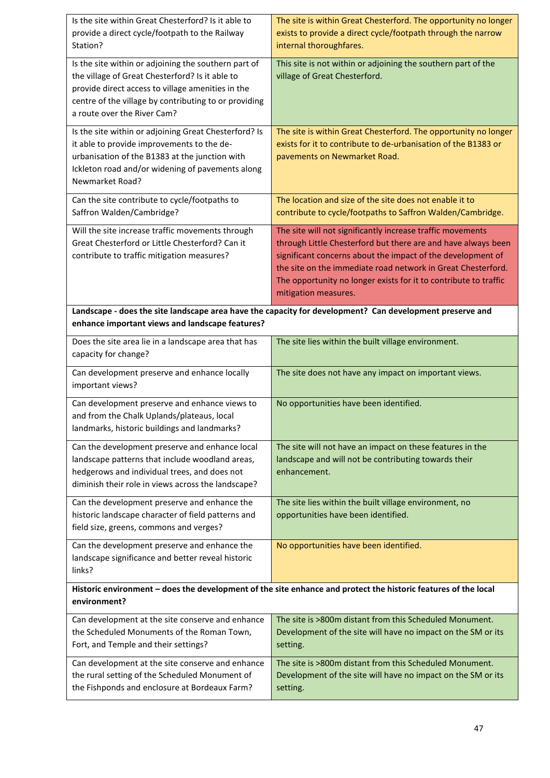| Is the site within Great Chesterford? Is it able to<br>provide a direct cycle/footpath to the Railway<br>Station?                                                                                                                                    | The site is within Great Chesterford. The opportunity no longer<br>exists to provide a direct cycle/footpath through the narrow<br>internal thoroughfares.                                                                                                                                                                                             |  |
|------------------------------------------------------------------------------------------------------------------------------------------------------------------------------------------------------------------------------------------------------|--------------------------------------------------------------------------------------------------------------------------------------------------------------------------------------------------------------------------------------------------------------------------------------------------------------------------------------------------------|--|
| Is the site within or adjoining the southern part of<br>the village of Great Chesterford? Is it able to<br>provide direct access to village amenities in the<br>centre of the village by contributing to or providing<br>a route over the River Cam? | This site is not within or adjoining the southern part of the<br>village of Great Chesterford.                                                                                                                                                                                                                                                         |  |
| Is the site within or adjoining Great Chesterford? Is<br>it able to provide improvements to the de-<br>urbanisation of the B1383 at the junction with<br>Ickleton road and/or widening of pavements along<br>Newmarket Road?                         | The site is within Great Chesterford. The opportunity no longer<br>exists for it to contribute to de-urbanisation of the B1383 or<br>pavements on Newmarket Road.                                                                                                                                                                                      |  |
| Can the site contribute to cycle/footpaths to<br>Saffron Walden/Cambridge?                                                                                                                                                                           | The location and size of the site does not enable it to<br>contribute to cycle/footpaths to Saffron Walden/Cambridge.                                                                                                                                                                                                                                  |  |
| Will the site increase traffic movements through<br>Great Chesterford or Little Chesterford? Can it<br>contribute to traffic mitigation measures?                                                                                                    | The site will not significantly increase traffic movements<br>through Little Chesterford but there are and have always been<br>significant concerns about the impact of the development of<br>the site on the immediate road network in Great Chesterford.<br>The opportunity no longer exists for it to contribute to traffic<br>mitigation measures. |  |
| Landscape - does the site landscape area have the capacity for development? Can development preserve and<br>enhance important views and landscape features?                                                                                          |                                                                                                                                                                                                                                                                                                                                                        |  |
| Does the site area lie in a landscape area that has<br>capacity for change?                                                                                                                                                                          | The site lies within the built village environment.                                                                                                                                                                                                                                                                                                    |  |
| Can development preserve and enhance locally<br>important views?                                                                                                                                                                                     | The site does not have any impact on important views.                                                                                                                                                                                                                                                                                                  |  |
| Can development preserve and enhance views to<br>and from the Chalk Uplands/plateaus, local<br>landmarks, historic buildings and landmarks?                                                                                                          | No opportunities have been identified.                                                                                                                                                                                                                                                                                                                 |  |
| Can the development preserve and enhance local<br>landscape patterns that include woodland areas,<br>hedgerows and individual trees, and does not<br>diminish their role in views across the landscape?                                              | The site will not have an impact on these features in the<br>landscape and will not be contributing towards their<br>enhancement.                                                                                                                                                                                                                      |  |
| Can the development preserve and enhance the<br>historic landscape character of field patterns and<br>field size, greens, commons and verges?                                                                                                        | The site lies within the built village environment, no<br>opportunities have been identified.                                                                                                                                                                                                                                                          |  |
| Can the development preserve and enhance the<br>landscape significance and better reveal historic<br>links?                                                                                                                                          | No opportunities have been identified.                                                                                                                                                                                                                                                                                                                 |  |
| Historic environment - does the development of the site enhance and protect the historic features of the local<br>environment?                                                                                                                       |                                                                                                                                                                                                                                                                                                                                                        |  |
| Can development at the site conserve and enhance<br>the Scheduled Monuments of the Roman Town,<br>Fort, and Temple and their settings?                                                                                                               | The site is >800m distant from this Scheduled Monument.<br>Development of the site will have no impact on the SM or its<br>setting.                                                                                                                                                                                                                    |  |
| Can development at the site conserve and enhance<br>the rural setting of the Scheduled Monument of<br>the Fishponds and enclosure at Bordeaux Farm?                                                                                                  | The site is >800m distant from this Scheduled Monument.<br>Development of the site will have no impact on the SM or its<br>setting.                                                                                                                                                                                                                    |  |